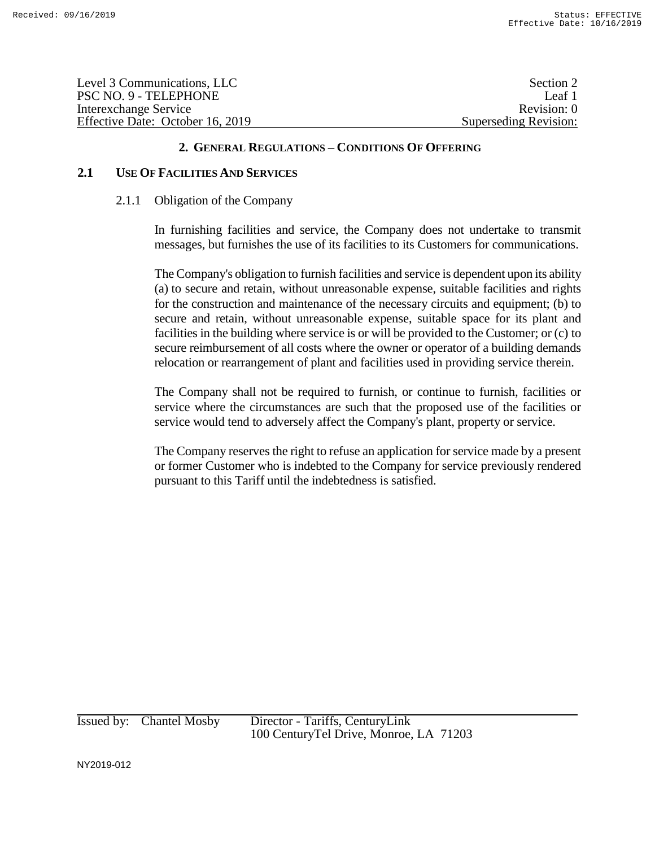| Level 3 Communications, LLC      | Section 2             |
|----------------------------------|-----------------------|
| PSC NO. 9 - TELEPHONE            | Leaf 1                |
| Interexchange Service            | Revision: 0           |
| Effective Date: October 16, 2019 | Superseding Revision: |

### **2.1 USE OF FACILITIES AND SERVICES**

#### 2.1.1 Obligation of the Company

In furnishing facilities and service, the Company does not undertake to transmit messages, but furnishes the use of its facilities to its Customers for communications.

The Company's obligation to furnish facilities and service is dependent upon its ability (a) to secure and retain, without unreasonable expense, suitable facilities and rights for the construction and maintenance of the necessary circuits and equipment; (b) to secure and retain, without unreasonable expense, suitable space for its plant and facilities in the building where service is or will be provided to the Customer; or (c) to secure reimbursement of all costs where the owner or operator of a building demands relocation or rearrangement of plant and facilities used in providing service therein.

The Company shall not be required to furnish, or continue to furnish, facilities or service where the circumstances are such that the proposed use of the facilities or service would tend to adversely affect the Company's plant, property or service.

The Company reserves the right to refuse an application for service made by a present or former Customer who is indebted to the Company for service previously rendered pursuant to this Tariff until the indebtedness is satisfied.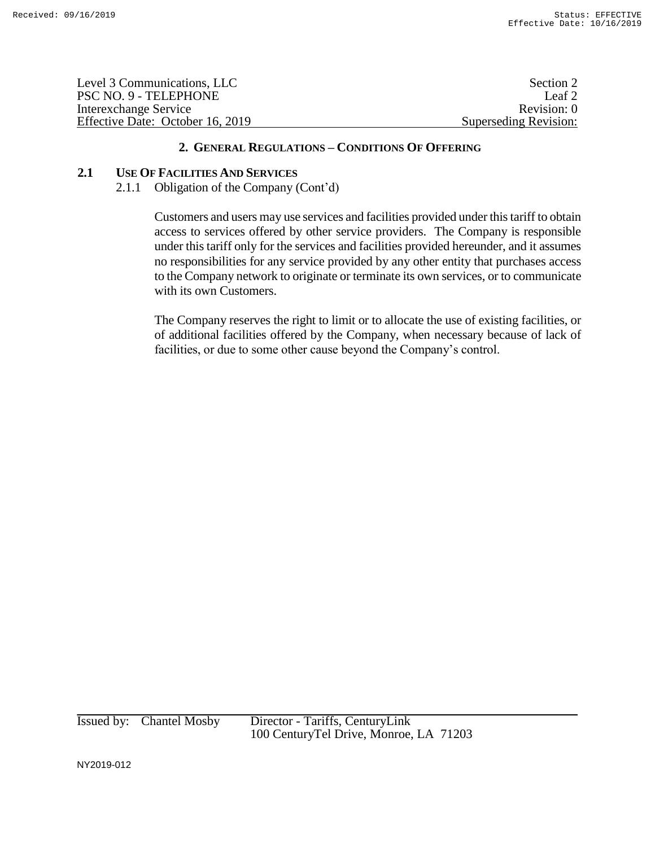| Level 3 Communications, LLC      | Section 2             |
|----------------------------------|-----------------------|
| PSC NO. 9 - TELEPHONE            | Leaf 2                |
| Interexchange Service            | Revision: 0           |
| Effective Date: October 16, 2019 | Superseding Revision: |

#### **2.1 USE OF FACILITIES AND SERVICES**

2.1.1 Obligation of the Company (Cont'd)

Customers and users may use services and facilities provided under this tariff to obtain access to services offered by other service providers. The Company is responsible under this tariff only for the services and facilities provided hereunder, and it assumes no responsibilities for any service provided by any other entity that purchases access to the Company network to originate or terminate its own services, or to communicate with its own Customers.

The Company reserves the right to limit or to allocate the use of existing facilities, or of additional facilities offered by the Company, when necessary because of lack of facilities, or due to some other cause beyond the Company's control.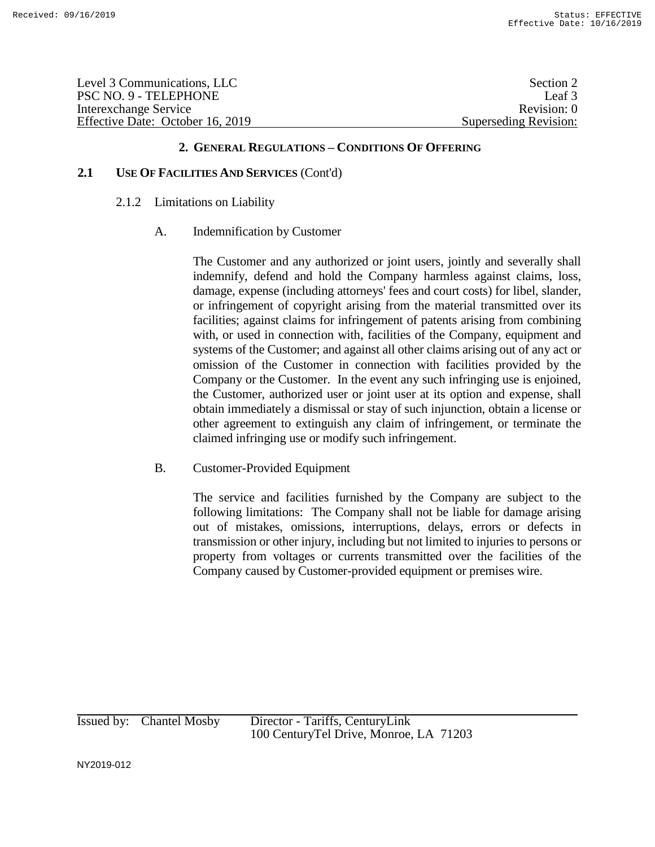Level 3 Communications, LLC Section 2 PSC NO. 9 - TELEPHONE Leaf 3 Interexchange Service Revision: 0 Effective Date: October 16, 2019 Superseding Revision:

# **2. GENERAL REGULATIONS – CONDITIONS OF OFFERING**

### **2.1 USE OF FACILITIES AND SERVICES** (Cont'd)

#### 2.1.2 Limitations on Liability

#### A. Indemnification by Customer

The Customer and any authorized or joint users, jointly and severally shall indemnify, defend and hold the Company harmless against claims, loss, damage, expense (including attorneys' fees and court costs) for libel, slander, or infringement of copyright arising from the material transmitted over its facilities; against claims for infringement of patents arising from combining with, or used in connection with, facilities of the Company, equipment and systems of the Customer; and against all other claims arising out of any act or omission of the Customer in connection with facilities provided by the Company or the Customer. In the event any such infringing use is enjoined, the Customer, authorized user or joint user at its option and expense, shall obtain immediately a dismissal or stay of such injunction, obtain a license or other agreement to extinguish any claim of infringement, or terminate the claimed infringing use or modify such infringement.

### B. Customer-Provided Equipment

The service and facilities furnished by the Company are subject to the following limitations: The Company shall not be liable for damage arising out of mistakes, omissions, interruptions, delays, errors or defects in transmission or other injury, including but not limited to injuries to persons or property from voltages or currents transmitted over the facilities of the Company caused by Customer-provided equipment or premises wire.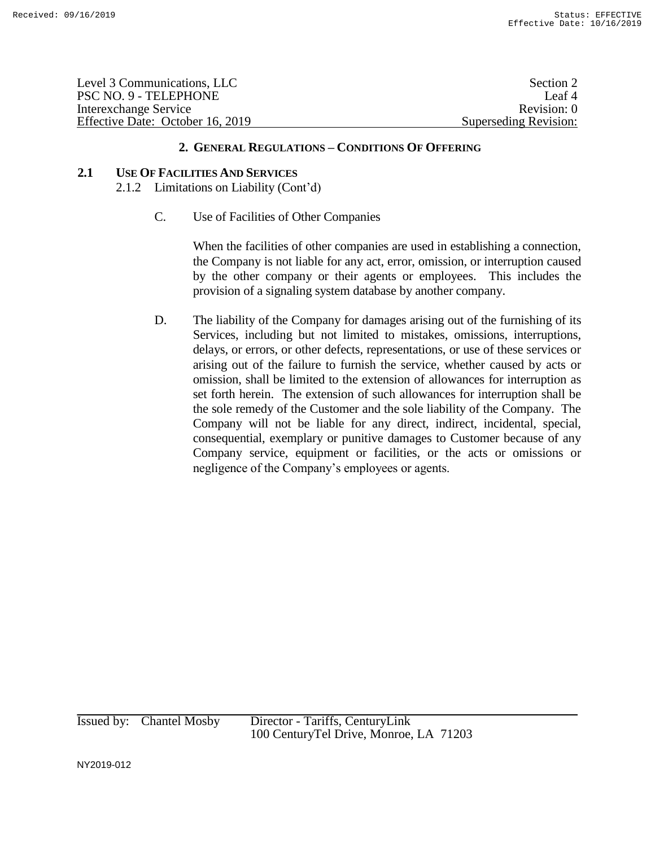| Level 3 Communications, LLC      | Section 2             |
|----------------------------------|-----------------------|
| PSC NO. 9 - TELEPHONE            | Leaf <sup>4</sup>     |
| Interexchange Service            | Revision: 0           |
| Effective Date: October 16, 2019 | Superseding Revision: |

### **2.1 USE OF FACILITIES AND SERVICES**

2.1.2 Limitations on Liability (Cont'd)

C. Use of Facilities of Other Companies

When the facilities of other companies are used in establishing a connection, the Company is not liable for any act, error, omission, or interruption caused by the other company or their agents or employees. This includes the provision of a signaling system database by another company.

D. The liability of the Company for damages arising out of the furnishing of its Services, including but not limited to mistakes, omissions, interruptions, delays, or errors, or other defects, representations, or use of these services or arising out of the failure to furnish the service, whether caused by acts or omission, shall be limited to the extension of allowances for interruption as set forth herein. The extension of such allowances for interruption shall be the sole remedy of the Customer and the sole liability of the Company. The Company will not be liable for any direct, indirect, incidental, special, consequential, exemplary or punitive damages to Customer because of any Company service, equipment or facilities, or the acts or omissions or negligence of the Company's employees or agents.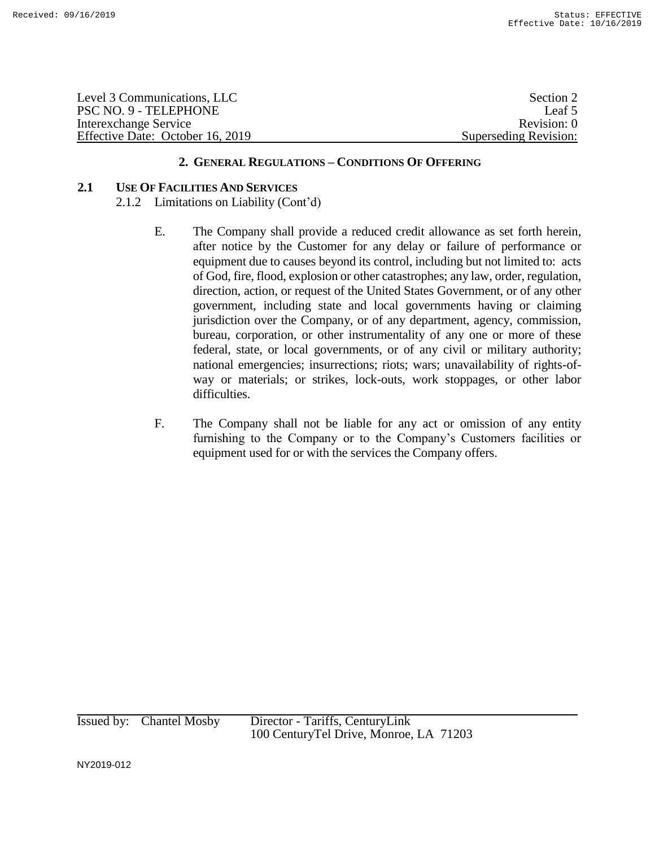| Level 3 Communications, LLC      | Section 2             |
|----------------------------------|-----------------------|
| PSC NO. 9 - TELEPHONE            | Leaf 5                |
| Interexchange Service            | Revision: 0           |
| Effective Date: October 16, 2019 | Superseding Revision: |

#### **2.1 USE OF FACILITIES AND SERVICES**

2.1.2 Limitations on Liability (Cont'd)

- E. The Company shall provide a reduced credit allowance as set forth herein, after notice by the Customer for any delay or failure of performance or equipment due to causes beyond its control, including but not limited to: acts of God, fire, flood, explosion or other catastrophes; any law, order, regulation, direction, action, or request of the United States Government, or of any other government, including state and local governments having or claiming jurisdiction over the Company, or of any department, agency, commission, bureau, corporation, or other instrumentality of any one or more of these federal, state, or local governments, or of any civil or military authority; national emergencies; insurrections; riots; wars; unavailability of rights-ofway or materials; or strikes, lock-outs, work stoppages, or other labor difficulties.
- F. The Company shall not be liable for any act or omission of any entity furnishing to the Company or to the Company's Customers facilities or equipment used for or with the services the Company offers.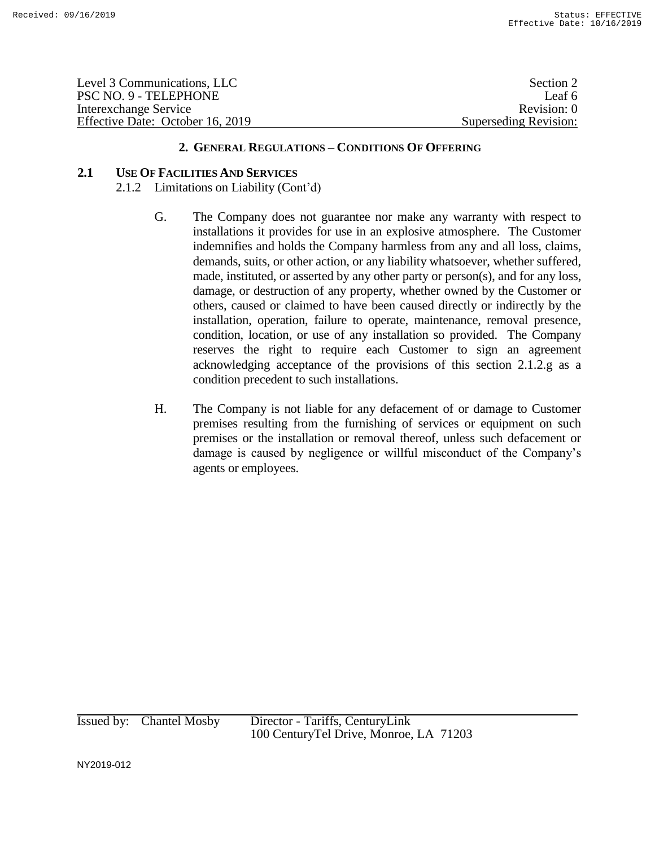| Level 3 Communications, LLC      | Section 2             |
|----------------------------------|-----------------------|
| PSC NO. 9 - TELEPHONE            | Leaf 6                |
| Interexchange Service            | Revision: 0           |
| Effective Date: October 16, 2019 | Superseding Revision: |

### **2.1 USE OF FACILITIES AND SERVICES**

2.1.2 Limitations on Liability (Cont'd)

- G. The Company does not guarantee nor make any warranty with respect to installations it provides for use in an explosive atmosphere. The Customer indemnifies and holds the Company harmless from any and all loss, claims, demands, suits, or other action, or any liability whatsoever, whether suffered, made, instituted, or asserted by any other party or person(s), and for any loss, damage, or destruction of any property, whether owned by the Customer or others, caused or claimed to have been caused directly or indirectly by the installation, operation, failure to operate, maintenance, removal presence, condition, location, or use of any installation so provided. The Company reserves the right to require each Customer to sign an agreement acknowledging acceptance of the provisions of this section 2.1.2.g as a condition precedent to such installations.
- H. The Company is not liable for any defacement of or damage to Customer premises resulting from the furnishing of services or equipment on such premises or the installation or removal thereof, unless such defacement or damage is caused by negligence or willful misconduct of the Company's agents or employees.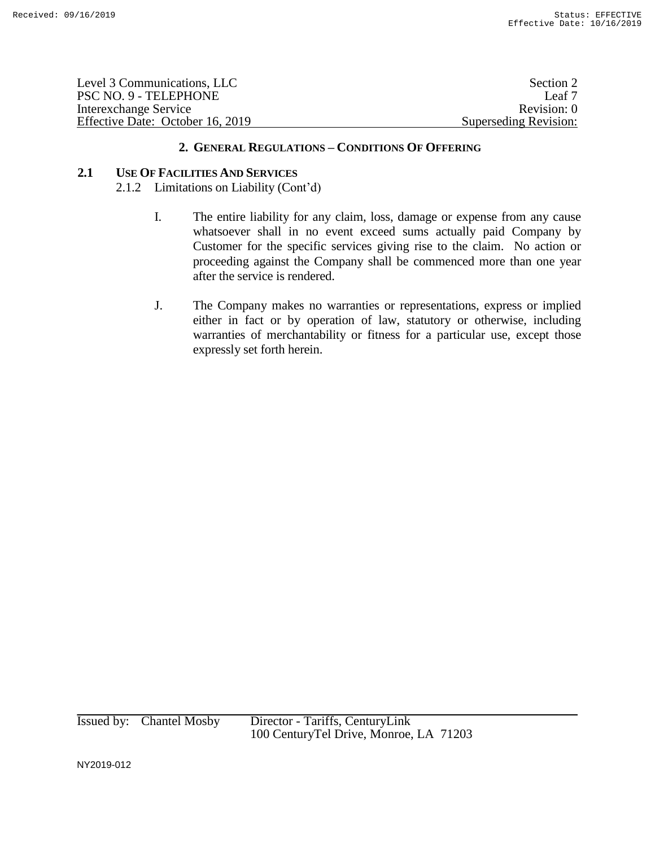| Level 3 Communications, LLC      | Section 2             |
|----------------------------------|-----------------------|
| PSC NO. 9 - TELEPHONE            | Leaf <sub>7</sub>     |
| Interexchange Service            | Revision: 0           |
| Effective Date: October 16, 2019 | Superseding Revision: |

# **2.1 USE OF FACILITIES AND SERVICES**

2.1.2 Limitations on Liability (Cont'd)

- I. The entire liability for any claim, loss, damage or expense from any cause whatsoever shall in no event exceed sums actually paid Company by Customer for the specific services giving rise to the claim. No action or proceeding against the Company shall be commenced more than one year after the service is rendered.
- J. The Company makes no warranties or representations, express or implied either in fact or by operation of law, statutory or otherwise, including warranties of merchantability or fitness for a particular use, except those expressly set forth herein.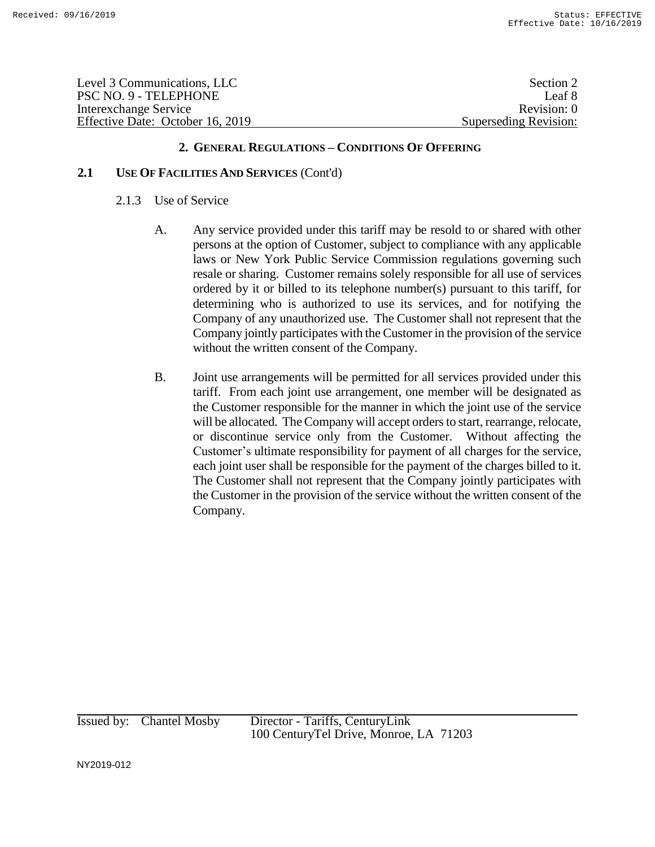| Level 3 Communications, LLC      | Section 2             |
|----------------------------------|-----------------------|
| PSC NO. 9 - TELEPHONE            | Leaf 8                |
| Interexchange Service            | Revision: 0           |
| Effective Date: October 16, 2019 | Superseding Revision: |

### **2.1 USE OF FACILITIES AND SERVICES** (Cont'd)

- 2.1.3 Use of Service
	- A. Any service provided under this tariff may be resold to or shared with other persons at the option of Customer, subject to compliance with any applicable laws or New York Public Service Commission regulations governing such resale or sharing. Customer remains solely responsible for all use of services ordered by it or billed to its telephone number(s) pursuant to this tariff, for determining who is authorized to use its services, and for notifying the Company of any unauthorized use. The Customer shall not represent that the Company jointly participates with the Customer in the provision of the service without the written consent of the Company.
	- B. Joint use arrangements will be permitted for all services provided under this tariff. From each joint use arrangement, one member will be designated as the Customer responsible for the manner in which the joint use of the service will be allocated. The Company will accept orders to start, rearrange, relocate, or discontinue service only from the Customer. Without affecting the Customer's ultimate responsibility for payment of all charges for the service, each joint user shall be responsible for the payment of the charges billed to it. The Customer shall not represent that the Company jointly participates with the Customer in the provision of the service without the written consent of the Company.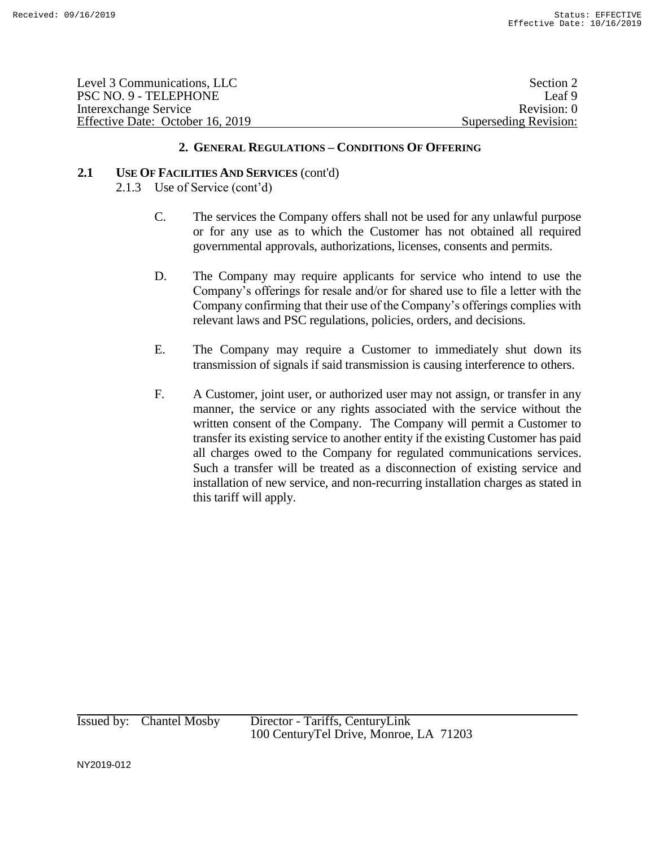| Level 3 Communications, LLC      | Section 2                    |
|----------------------------------|------------------------------|
| PSC NO. 9 - TELEPHONE            | Leaf 9                       |
| Interexchange Service            | Revision: 0                  |
| Effective Date: October 16, 2019 | <b>Superseding Revision:</b> |

# **2.1 USE OF FACILITIES AND SERVICES** (cont'd)

2.1.3 Use of Service (cont'd)

- C. The services the Company offers shall not be used for any unlawful purpose or for any use as to which the Customer has not obtained all required governmental approvals, authorizations, licenses, consents and permits.
- D. The Company may require applicants for service who intend to use the Company's offerings for resale and/or for shared use to file a letter with the Company confirming that their use of the Company's offerings complies with relevant laws and PSC regulations, policies, orders, and decisions.
- E. The Company may require a Customer to immediately shut down its transmission of signals if said transmission is causing interference to others.
- F. A Customer, joint user, or authorized user may not assign, or transfer in any manner, the service or any rights associated with the service without the written consent of the Company. The Company will permit a Customer to transfer its existing service to another entity if the existing Customer has paid all charges owed to the Company for regulated communications services. Such a transfer will be treated as a disconnection of existing service and installation of new service, and non-recurring installation charges as stated in this tariff will apply.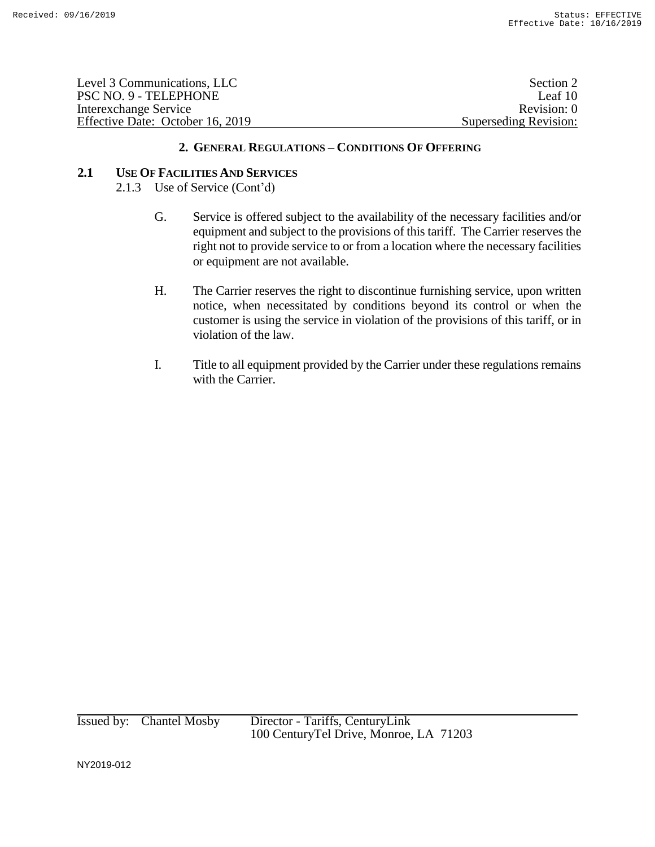| Level 3 Communications, LLC      | Section 2             |
|----------------------------------|-----------------------|
| PSC NO. 9 - TELEPHONE            | Leaf 10               |
| Interexchange Service            | Revision: 0           |
| Effective Date: October 16, 2019 | Superseding Revision: |

# **2.1 USE OF FACILITIES AND SERVICES**

2.1.3 Use of Service (Cont'd)

- G. Service is offered subject to the availability of the necessary facilities and/or equipment and subject to the provisions of this tariff. The Carrier reserves the right not to provide service to or from a location where the necessary facilities or equipment are not available.
- H. The Carrier reserves the right to discontinue furnishing service, upon written notice, when necessitated by conditions beyond its control or when the customer is using the service in violation of the provisions of this tariff, or in violation of the law.
- I. Title to all equipment provided by the Carrier under these regulations remains with the Carrier.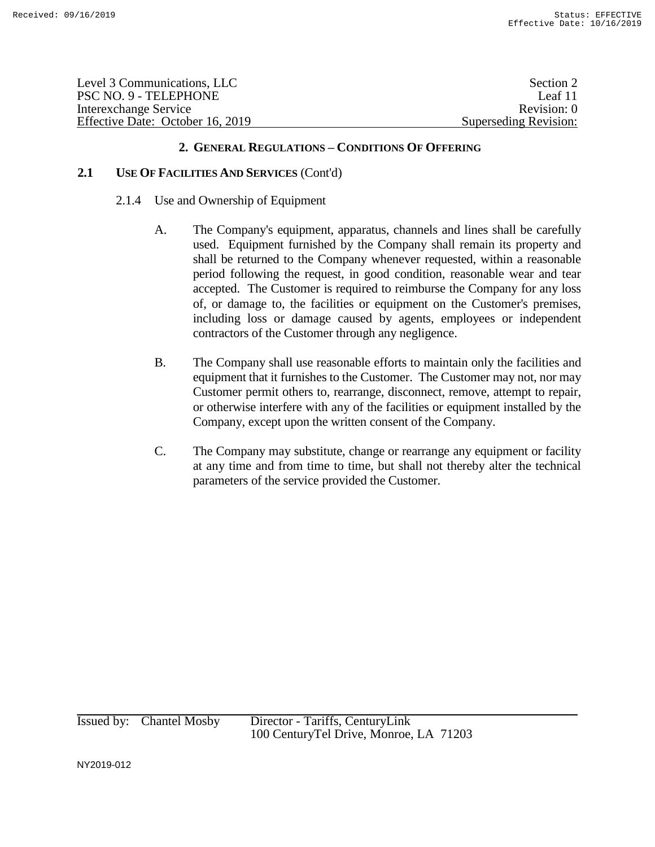| Level 3 Communications, LLC      | Section 2             |
|----------------------------------|-----------------------|
| PSC NO. 9 - TELEPHONE            | Leaf 11               |
| Interexchange Service            | Revision: 0           |
| Effective Date: October 16, 2019 | Superseding Revision: |

#### **2.1 USE OF FACILITIES AND SERVICES** (Cont'd)

- 2.1.4 Use and Ownership of Equipment
	- A. The Company's equipment, apparatus, channels and lines shall be carefully used. Equipment furnished by the Company shall remain its property and shall be returned to the Company whenever requested, within a reasonable period following the request, in good condition, reasonable wear and tear accepted. The Customer is required to reimburse the Company for any loss of, or damage to, the facilities or equipment on the Customer's premises, including loss or damage caused by agents, employees or independent contractors of the Customer through any negligence.
	- B. The Company shall use reasonable efforts to maintain only the facilities and equipment that it furnishes to the Customer. The Customer may not, nor may Customer permit others to, rearrange, disconnect, remove, attempt to repair, or otherwise interfere with any of the facilities or equipment installed by the Company, except upon the written consent of the Company.
	- C. The Company may substitute, change or rearrange any equipment or facility at any time and from time to time, but shall not thereby alter the technical parameters of the service provided the Customer.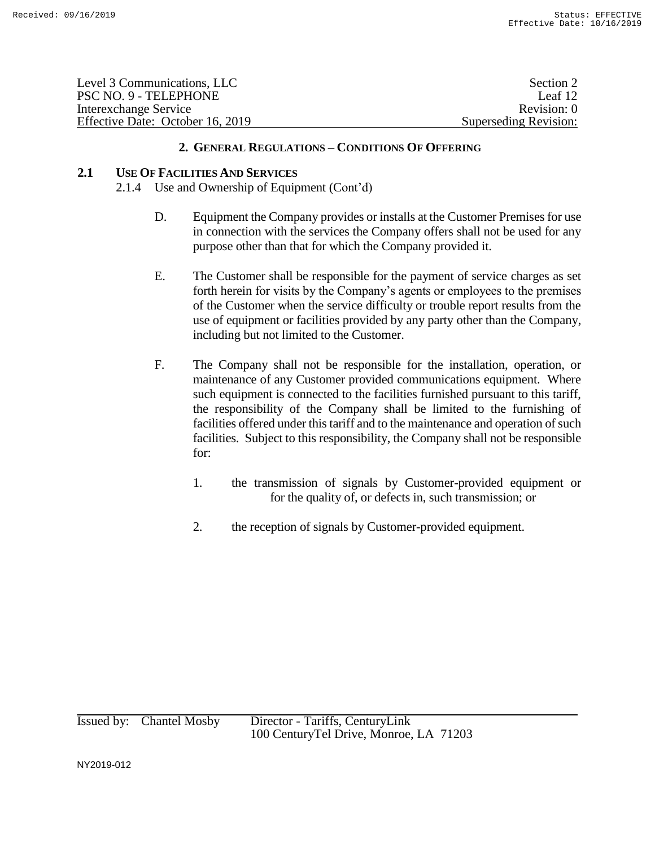| Level 3 Communications, LLC      | Section 2             |
|----------------------------------|-----------------------|
| PSC NO. 9 - TELEPHONE            | Leaf $12$             |
| Interexchange Service            | Revision: 0           |
| Effective Date: October 16, 2019 | Superseding Revision: |

# **2.1 USE OF FACILITIES AND SERVICES**

2.1.4 Use and Ownership of Equipment (Cont'd)

- D. Equipment the Company provides or installs at the Customer Premises for use in connection with the services the Company offers shall not be used for any purpose other than that for which the Company provided it.
- E. The Customer shall be responsible for the payment of service charges as set forth herein for visits by the Company's agents or employees to the premises of the Customer when the service difficulty or trouble report results from the use of equipment or facilities provided by any party other than the Company, including but not limited to the Customer.
- F. The Company shall not be responsible for the installation, operation, or maintenance of any Customer provided communications equipment. Where such equipment is connected to the facilities furnished pursuant to this tariff, the responsibility of the Company shall be limited to the furnishing of facilities offered under this tariff and to the maintenance and operation of such facilities. Subject to this responsibility, the Company shall not be responsible for:
	- 1. the transmission of signals by Customer-provided equipment or for the quality of, or defects in, such transmission; or
	- 2. the reception of signals by Customer-provided equipment.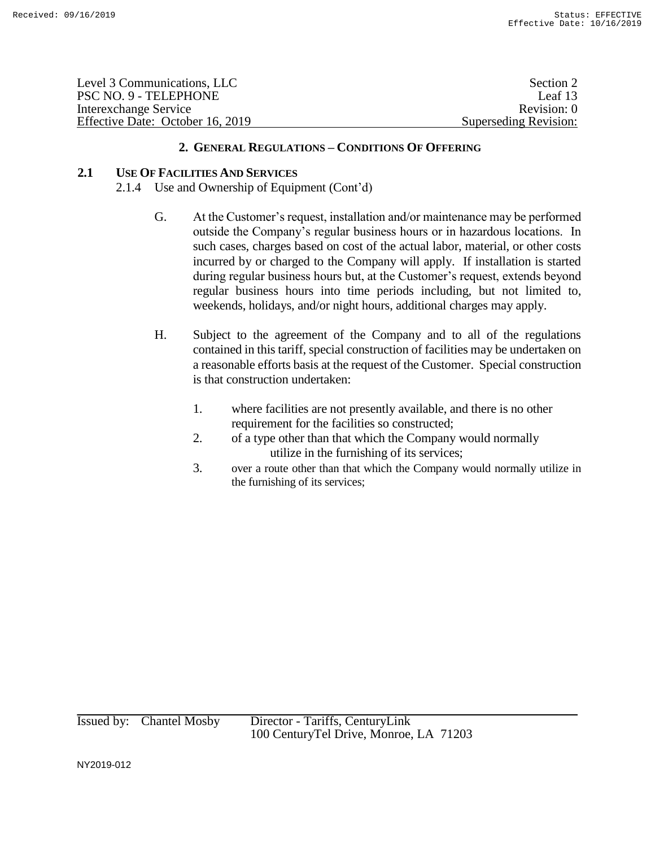| Level 3 Communications, LLC      | Section 2             |
|----------------------------------|-----------------------|
| PSC NO. 9 - TELEPHONE            | Leaf 13               |
| Interexchange Service            | Revision: 0           |
| Effective Date: October 16, 2019 | Superseding Revision: |

### **2.1 USE OF FACILITIES AND SERVICES**

2.1.4 Use and Ownership of Equipment (Cont'd)

- G. At the Customer's request, installation and/or maintenance may be performed outside the Company's regular business hours or in hazardous locations. In such cases, charges based on cost of the actual labor, material, or other costs incurred by or charged to the Company will apply. If installation is started during regular business hours but, at the Customer's request, extends beyond regular business hours into time periods including, but not limited to, weekends, holidays, and/or night hours, additional charges may apply.
- H. Subject to the agreement of the Company and to all of the regulations contained in this tariff, special construction of facilities may be undertaken on a reasonable efforts basis at the request of the Customer. Special construction is that construction undertaken:
	- 1. where facilities are not presently available, and there is no other requirement for the facilities so constructed;
	- 2. of a type other than that which the Company would normally utilize in the furnishing of its services;
	- 3. over a route other than that which the Company would normally utilize in the furnishing of its services;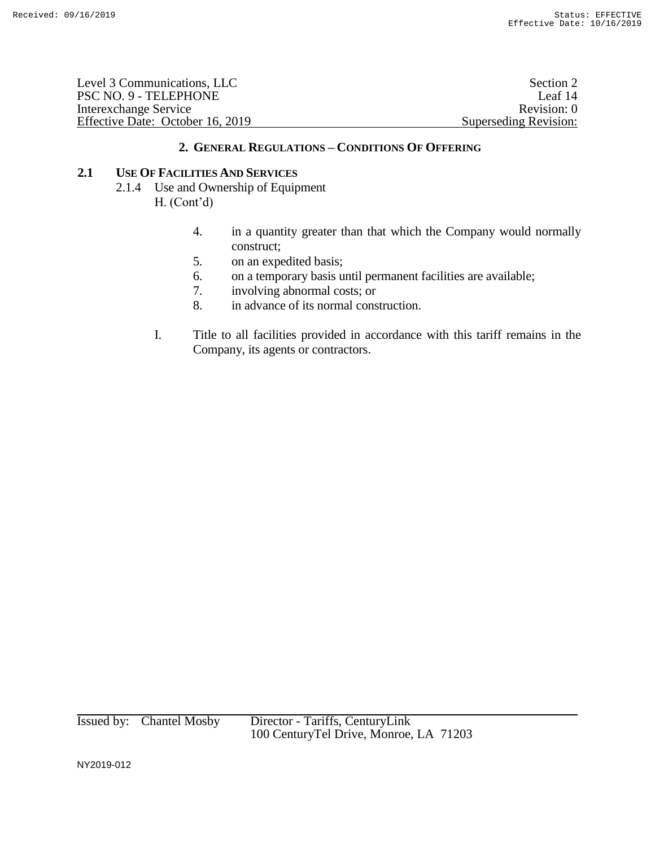| Level 3 Communications, LLC      | Section 2             |
|----------------------------------|-----------------------|
| PSC NO. 9 - TELEPHONE            | Leaf $14$             |
| Interexchange Service            | Revision: 0           |
| Effective Date: October 16, 2019 | Superseding Revision: |

# **2.1 USE OF FACILITIES AND SERVICES**

- 2.1.4 Use and Ownership of Equipment H. (Cont'd)
	- 4. in a quantity greater than that which the Company would normally construct;
	- 5. on an expedited basis;
	- 6. on a temporary basis until permanent facilities are available;
	- 7. involving abnormal costs; or
	- 8. in advance of its normal construction.
	- I. Title to all facilities provided in accordance with this tariff remains in the Company, its agents or contractors.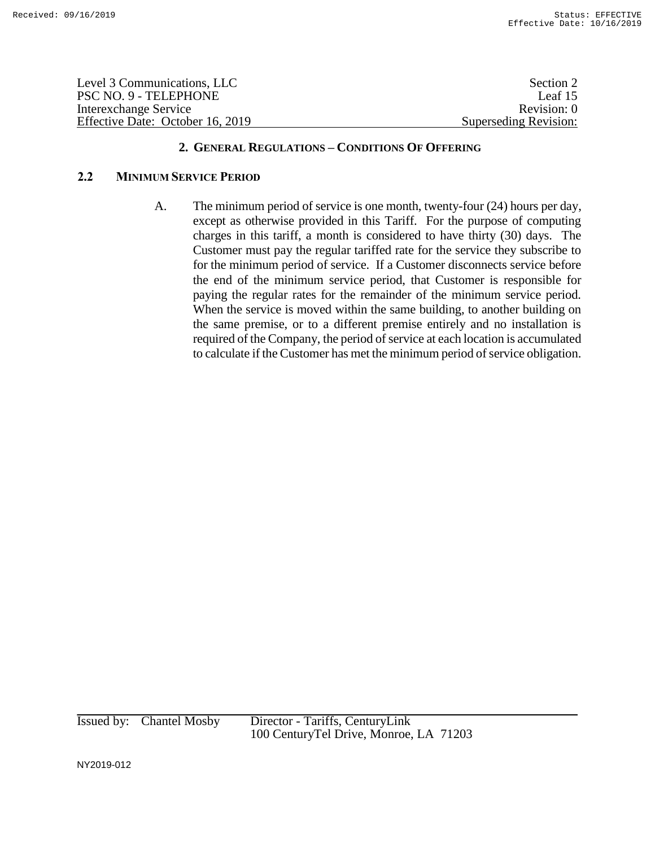| Level 3 Communications, LLC      | Section 2             |
|----------------------------------|-----------------------|
| PSC NO. 9 - TELEPHONE            | Leaf 15               |
| Interexchange Service            | Revision: 0           |
| Effective Date: October 16, 2019 | Superseding Revision: |

# **2.2 MINIMUM SERVICE PERIOD**

A. The minimum period of service is one month, twenty-four (24) hours per day, except as otherwise provided in this Tariff. For the purpose of computing charges in this tariff, a month is considered to have thirty (30) days. The Customer must pay the regular tariffed rate for the service they subscribe to for the minimum period of service. If a Customer disconnects service before the end of the minimum service period, that Customer is responsible for paying the regular rates for the remainder of the minimum service period. When the service is moved within the same building, to another building on the same premise, or to a different premise entirely and no installation is required of the Company, the period of service at each location is accumulated to calculate if the Customer has met the minimum period of service obligation.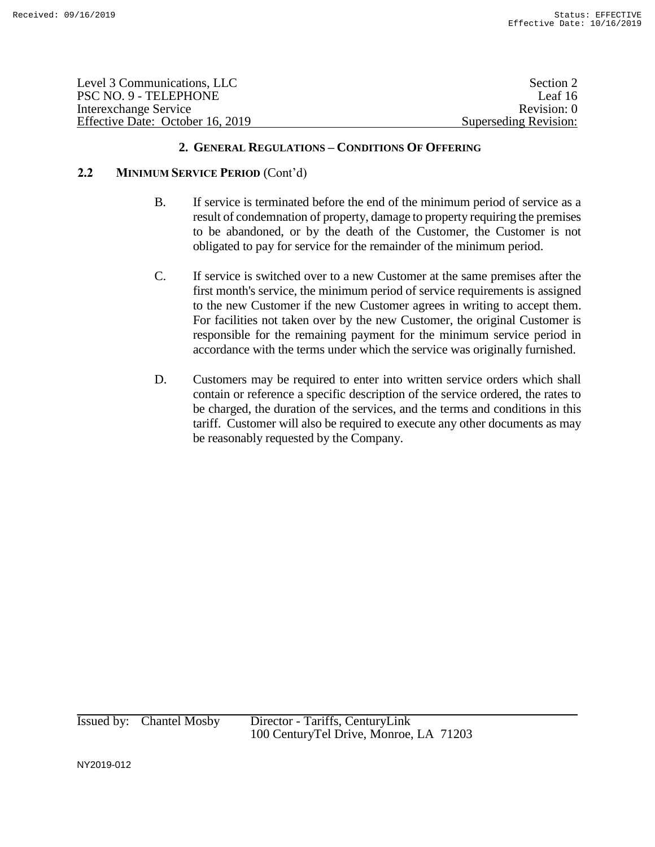| Level 3 Communications, LLC      | Section 2             |
|----------------------------------|-----------------------|
| PSC NO. 9 - TELEPHONE            | Leaf 16               |
| Interexchange Service            | Revision: 0           |
| Effective Date: October 16, 2019 | Superseding Revision: |

### **2.2 MINIMUM SERVICE PERIOD** (Cont'd)

- B. If service is terminated before the end of the minimum period of service as a result of condemnation of property, damage to property requiring the premises to be abandoned, or by the death of the Customer, the Customer is not obligated to pay for service for the remainder of the minimum period.
- C. If service is switched over to a new Customer at the same premises after the first month's service, the minimum period of service requirements is assigned to the new Customer if the new Customer agrees in writing to accept them. For facilities not taken over by the new Customer, the original Customer is responsible for the remaining payment for the minimum service period in accordance with the terms under which the service was originally furnished.
- D. Customers may be required to enter into written service orders which shall contain or reference a specific description of the service ordered, the rates to be charged, the duration of the services, and the terms and conditions in this tariff. Customer will also be required to execute any other documents as may be reasonably requested by the Company.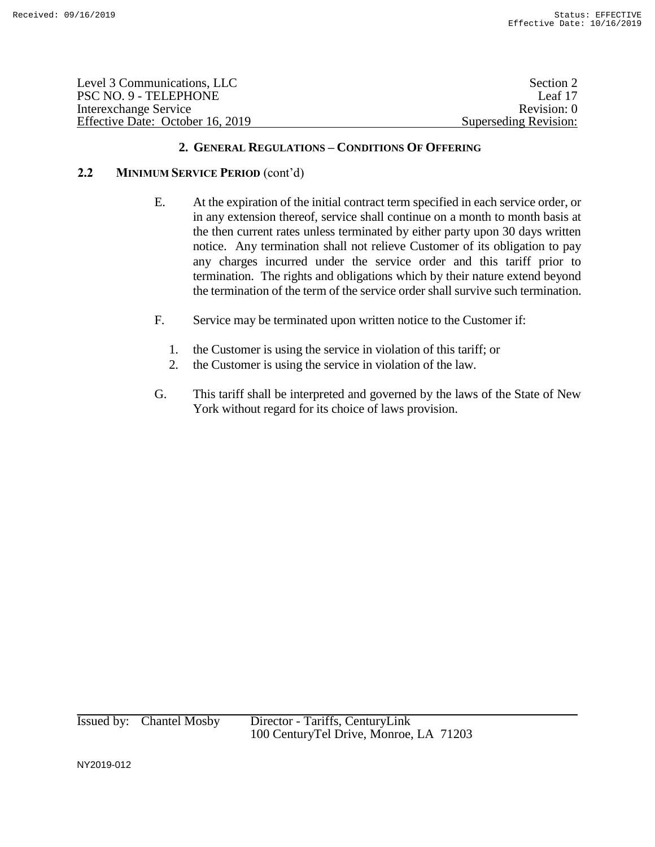| Level 3 Communications, LLC      | Section 2             |
|----------------------------------|-----------------------|
| PSC NO. 9 - TELEPHONE            | Leaf 17               |
| Interexchange Service            | Revision: 0           |
| Effective Date: October 16, 2019 | Superseding Revision: |

### **2.2 MINIMUM SERVICE PERIOD** (cont'd)

- E. At the expiration of the initial contract term specified in each service order, or in any extension thereof, service shall continue on a month to month basis at the then current rates unless terminated by either party upon 30 days written notice. Any termination shall not relieve Customer of its obligation to pay any charges incurred under the service order and this tariff prior to termination. The rights and obligations which by their nature extend beyond the termination of the term of the service order shall survive such termination.
- F. Service may be terminated upon written notice to the Customer if:
	- 1. the Customer is using the service in violation of this tariff; or
	- 2. the Customer is using the service in violation of the law.
- G. This tariff shall be interpreted and governed by the laws of the State of New York without regard for its choice of laws provision.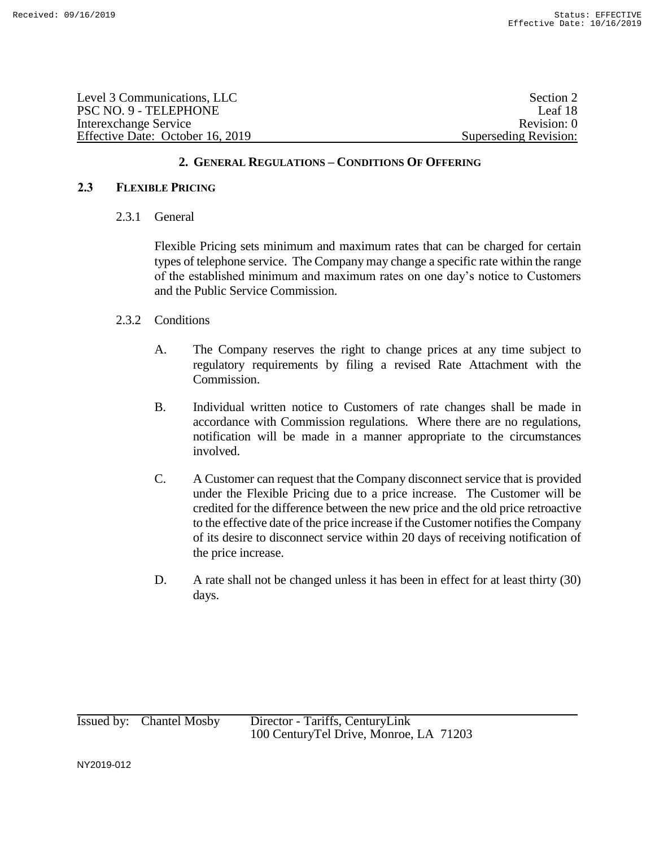| Level 3 Communications, LLC      | Section 2             |
|----------------------------------|-----------------------|
| PSC NO. 9 - TELEPHONE            | Leaf 18               |
| Interexchange Service            | Revision: 0           |
| Effective Date: October 16, 2019 | Superseding Revision: |

### **2.3 FLEXIBLE PRICING**

2.3.1 General

Flexible Pricing sets minimum and maximum rates that can be charged for certain types of telephone service. The Company may change a specific rate within the range of the established minimum and maximum rates on one day's notice to Customers and the Public Service Commission.

### 2.3.2 Conditions

- A. The Company reserves the right to change prices at any time subject to regulatory requirements by filing a revised Rate Attachment with the Commission.
- B. Individual written notice to Customers of rate changes shall be made in accordance with Commission regulations. Where there are no regulations, notification will be made in a manner appropriate to the circumstances involved.
- C. A Customer can request that the Company disconnect service that is provided under the Flexible Pricing due to a price increase. The Customer will be credited for the difference between the new price and the old price retroactive to the effective date of the price increase if the Customer notifies the Company of its desire to disconnect service within 20 days of receiving notification of the price increase.
- D. A rate shall not be changed unless it has been in effect for at least thirty (30) days.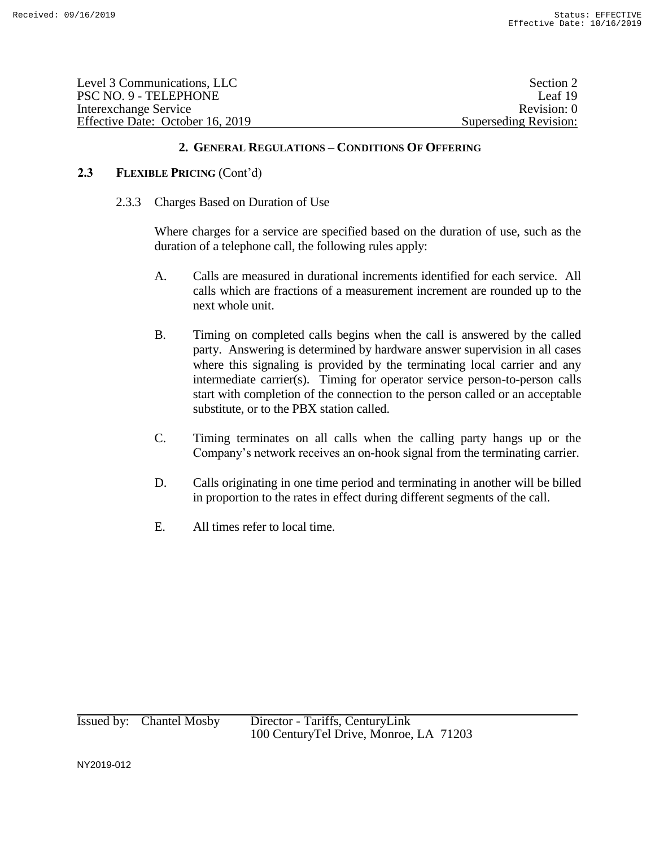| Level 3 Communications, LLC      | Section 2             |
|----------------------------------|-----------------------|
| PSC NO. 9 - TELEPHONE            | Leaf 19               |
| Interexchange Service            | Revision: 0           |
| Effective Date: October 16, 2019 | Superseding Revision: |

### **2.3 FLEXIBLE PRICING** (Cont'd)

2.3.3 Charges Based on Duration of Use

Where charges for a service are specified based on the duration of use, such as the duration of a telephone call, the following rules apply:

- A. Calls are measured in durational increments identified for each service. All calls which are fractions of a measurement increment are rounded up to the next whole unit.
- B. Timing on completed calls begins when the call is answered by the called party. Answering is determined by hardware answer supervision in all cases where this signaling is provided by the terminating local carrier and any intermediate carrier(s). Timing for operator service person-to-person calls start with completion of the connection to the person called or an acceptable substitute, or to the PBX station called.
- C. Timing terminates on all calls when the calling party hangs up or the Company's network receives an on-hook signal from the terminating carrier.
- D. Calls originating in one time period and terminating in another will be billed in proportion to the rates in effect during different segments of the call.
- E. All times refer to local time.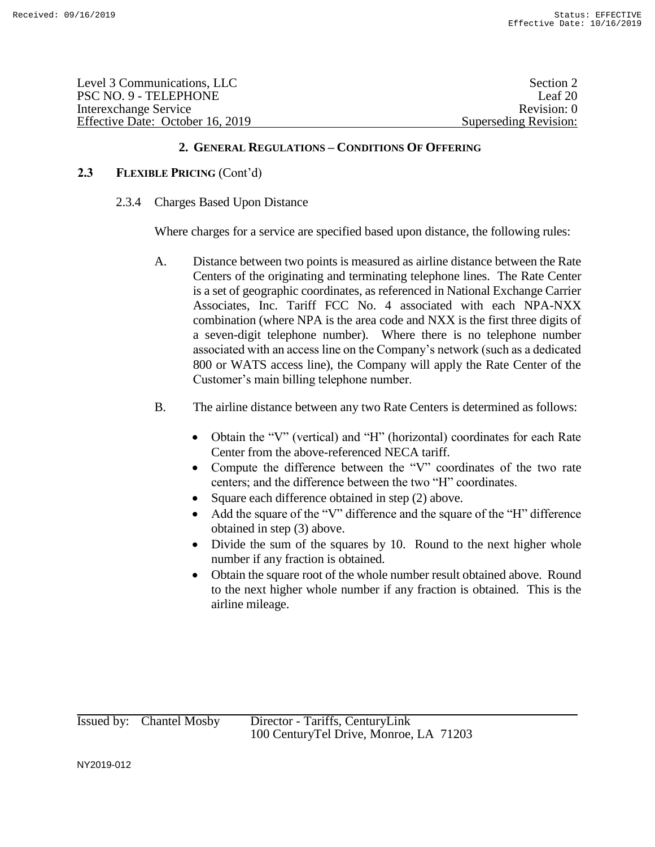| Level 3 Communications, LLC      | Section 2             |
|----------------------------------|-----------------------|
| PSC NO. 9 - TELEPHONE            | Leaf $201$            |
| Interexchange Service            | Revision: 0           |
| Effective Date: October 16, 2019 | Superseding Revision: |

### **2.3 FLEXIBLE PRICING** (Cont'd)

2.3.4 Charges Based Upon Distance

Where charges for a service are specified based upon distance, the following rules:

- A. Distance between two points is measured as airline distance between the Rate Centers of the originating and terminating telephone lines. The Rate Center is a set of geographic coordinates, as referenced in National Exchange Carrier Associates, Inc. Tariff FCC No. 4 associated with each NPA-NXX combination (where NPA is the area code and NXX is the first three digits of a seven-digit telephone number). Where there is no telephone number associated with an access line on the Company's network (such as a dedicated 800 or WATS access line), the Company will apply the Rate Center of the Customer's main billing telephone number.
- B. The airline distance between any two Rate Centers is determined as follows:
	- Obtain the "V" (vertical) and "H" (horizontal) coordinates for each Rate Center from the above-referenced NECA tariff.
	- Compute the difference between the "V" coordinates of the two rate centers; and the difference between the two "H" coordinates.
	- Square each difference obtained in step (2) above.
	- Add the square of the "V" difference and the square of the "H" difference obtained in step (3) above.
	- Divide the sum of the squares by 10. Round to the next higher whole number if any fraction is obtained.
	- Obtain the square root of the whole number result obtained above. Round to the next higher whole number if any fraction is obtained. This is the airline mileage.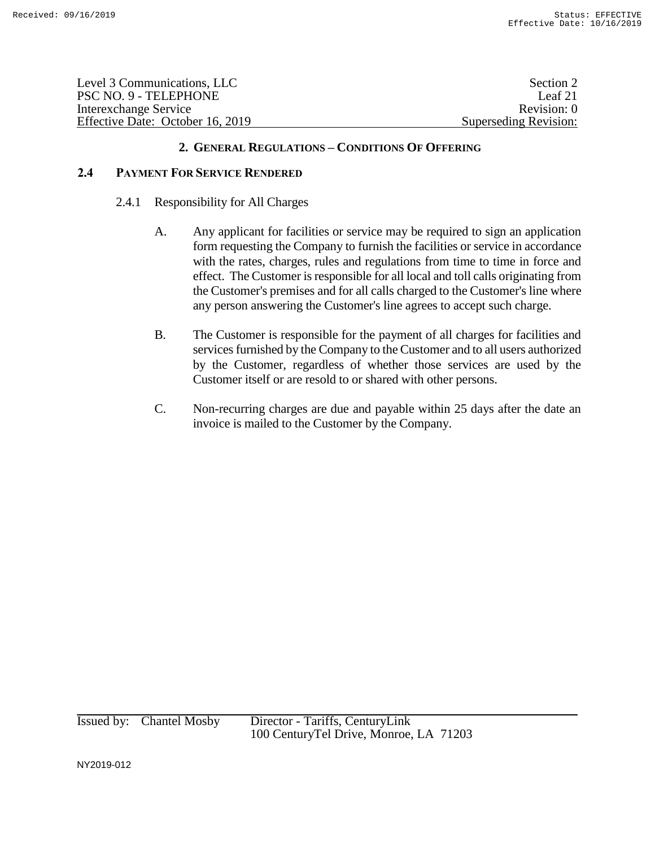| Level 3 Communications, LLC      | Section 2             |
|----------------------------------|-----------------------|
| PSC NO. 9 - TELEPHONE            | Leaf 21               |
| Interexchange Service            | Revision: 0           |
| Effective Date: October 16, 2019 | Superseding Revision: |

### **2.4 PAYMENT FOR SERVICE RENDERED**

- 2.4.1 Responsibility for All Charges
	- A. Any applicant for facilities or service may be required to sign an application form requesting the Company to furnish the facilities or service in accordance with the rates, charges, rules and regulations from time to time in force and effect. The Customer is responsible for all local and toll calls originating from the Customer's premises and for all calls charged to the Customer's line where any person answering the Customer's line agrees to accept such charge.
	- B. The Customer is responsible for the payment of all charges for facilities and services furnished by the Company to the Customer and to all users authorized by the Customer, regardless of whether those services are used by the Customer itself or are resold to or shared with other persons.
	- C. Non-recurring charges are due and payable within 25 days after the date an invoice is mailed to the Customer by the Company.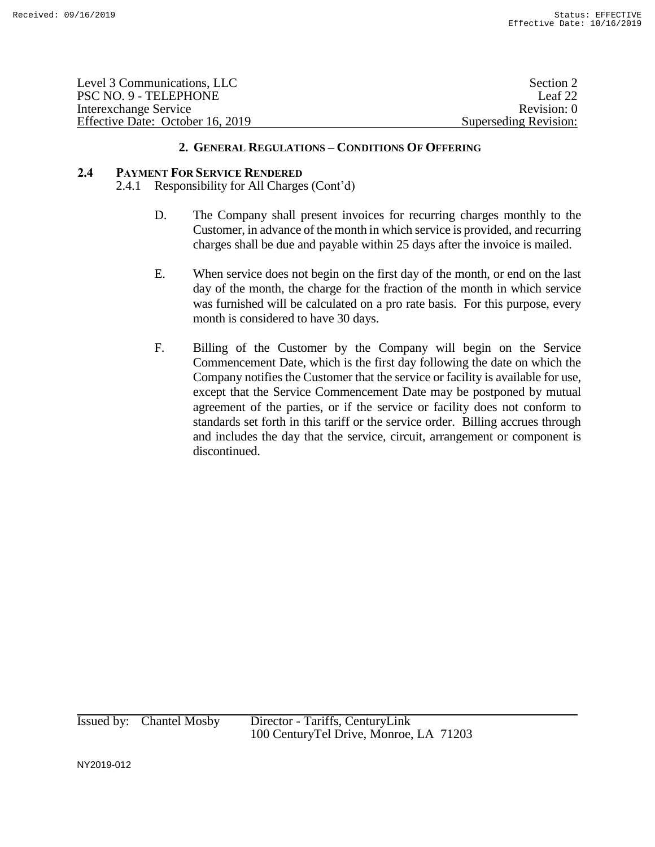| Level 3 Communications, LLC      | Section 2             |
|----------------------------------|-----------------------|
| PSC NO. 9 - TELEPHONE            | Leaf $22$             |
| Interexchange Service            | Revision: 0           |
| Effective Date: October 16, 2019 | Superseding Revision: |

# **2.4 PAYMENT FOR SERVICE RENDERED**

2.4.1 Responsibility for All Charges (Cont'd)

- D. The Company shall present invoices for recurring charges monthly to the Customer, in advance of the month in which service is provided, and recurring charges shall be due and payable within 25 days after the invoice is mailed.
- E. When service does not begin on the first day of the month, or end on the last day of the month, the charge for the fraction of the month in which service was furnished will be calculated on a pro rate basis. For this purpose, every month is considered to have 30 days.
- F. Billing of the Customer by the Company will begin on the Service Commencement Date, which is the first day following the date on which the Company notifies the Customer that the service or facility is available for use, except that the Service Commencement Date may be postponed by mutual agreement of the parties, or if the service or facility does not conform to standards set forth in this tariff or the service order. Billing accrues through and includes the day that the service, circuit, arrangement or component is discontinued.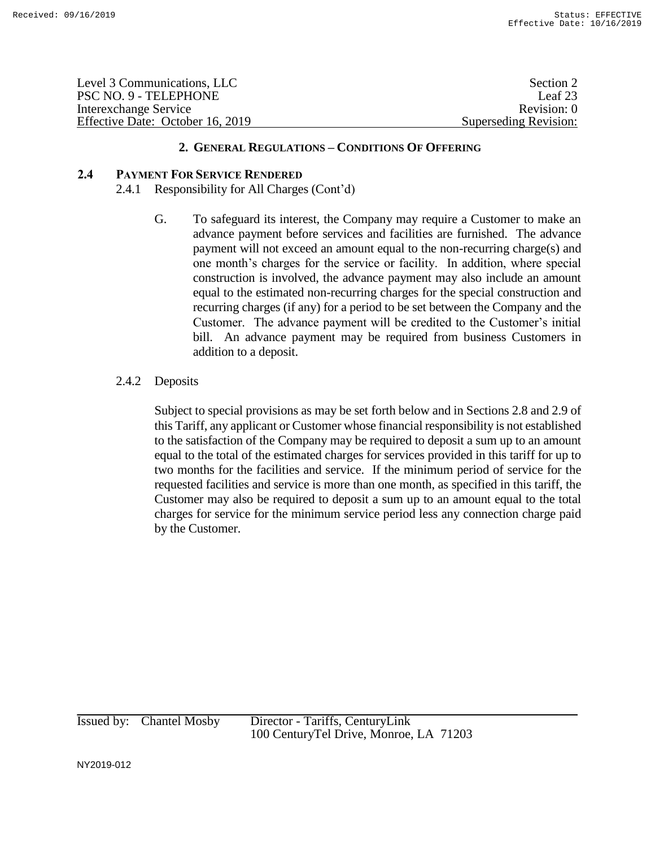| Level 3 Communications, LLC      | Section 2             |
|----------------------------------|-----------------------|
| PSC NO. 9 - TELEPHONE            | Leaf $23$             |
| Interexchange Service            | Revision: 0           |
| Effective Date: October 16, 2019 | Superseding Revision: |

### **2.4 PAYMENT FOR SERVICE RENDERED**

2.4.1 Responsibility for All Charges (Cont'd)

G. To safeguard its interest, the Company may require a Customer to make an advance payment before services and facilities are furnished. The advance payment will not exceed an amount equal to the non-recurring charge(s) and one month's charges for the service or facility. In addition, where special construction is involved, the advance payment may also include an amount equal to the estimated non-recurring charges for the special construction and recurring charges (if any) for a period to be set between the Company and the Customer. The advance payment will be credited to the Customer's initial bill. An advance payment may be required from business Customers in addition to a deposit.

# 2.4.2 Deposits

Subject to special provisions as may be set forth below and in Sections 2.8 and 2.9 of this Tariff, any applicant or Customer whose financial responsibility is not established to the satisfaction of the Company may be required to deposit a sum up to an amount equal to the total of the estimated charges for services provided in this tariff for up to two months for the facilities and service. If the minimum period of service for the requested facilities and service is more than one month, as specified in this tariff, the Customer may also be required to deposit a sum up to an amount equal to the total charges for service for the minimum service period less any connection charge paid by the Customer.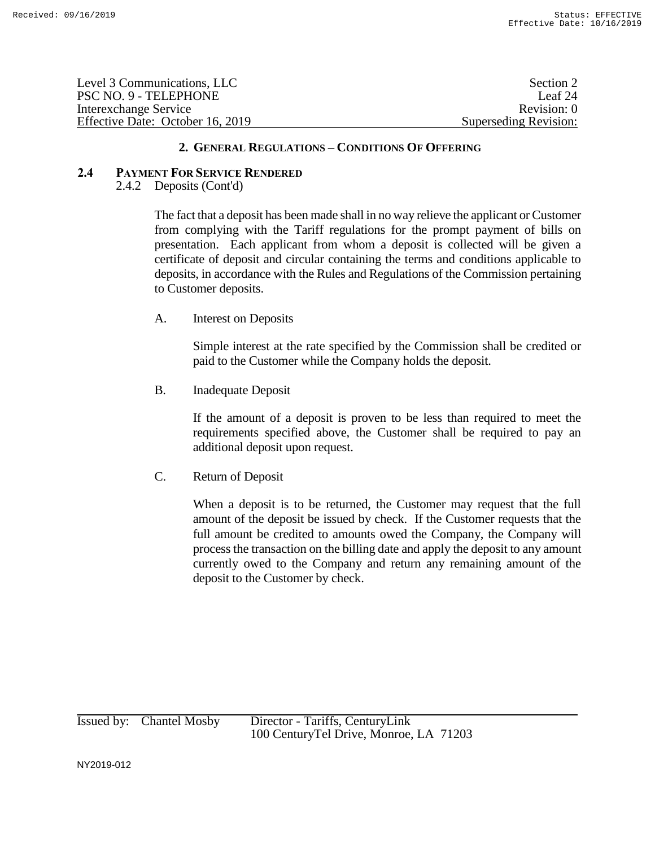| Level 3 Communications, LLC      | Section 2             |
|----------------------------------|-----------------------|
| PSC NO. 9 - TELEPHONE            | Leaf 24               |
| Interexchange Service            | Revision: 0           |
| Effective Date: October 16, 2019 | Superseding Revision: |

# **2.4 PAYMENT FOR SERVICE RENDERED**

2.4.2 Deposits (Cont'd)

The fact that a deposit has been made shall in no way relieve the applicant or Customer from complying with the Tariff regulations for the prompt payment of bills on presentation. Each applicant from whom a deposit is collected will be given a certificate of deposit and circular containing the terms and conditions applicable to deposits, in accordance with the Rules and Regulations of the Commission pertaining to Customer deposits.

A. Interest on Deposits

Simple interest at the rate specified by the Commission shall be credited or paid to the Customer while the Company holds the deposit.

B. Inadequate Deposit

If the amount of a deposit is proven to be less than required to meet the requirements specified above, the Customer shall be required to pay an additional deposit upon request.

C. Return of Deposit

When a deposit is to be returned, the Customer may request that the full amount of the deposit be issued by check. If the Customer requests that the full amount be credited to amounts owed the Company, the Company will process the transaction on the billing date and apply the deposit to any amount currently owed to the Company and return any remaining amount of the deposit to the Customer by check.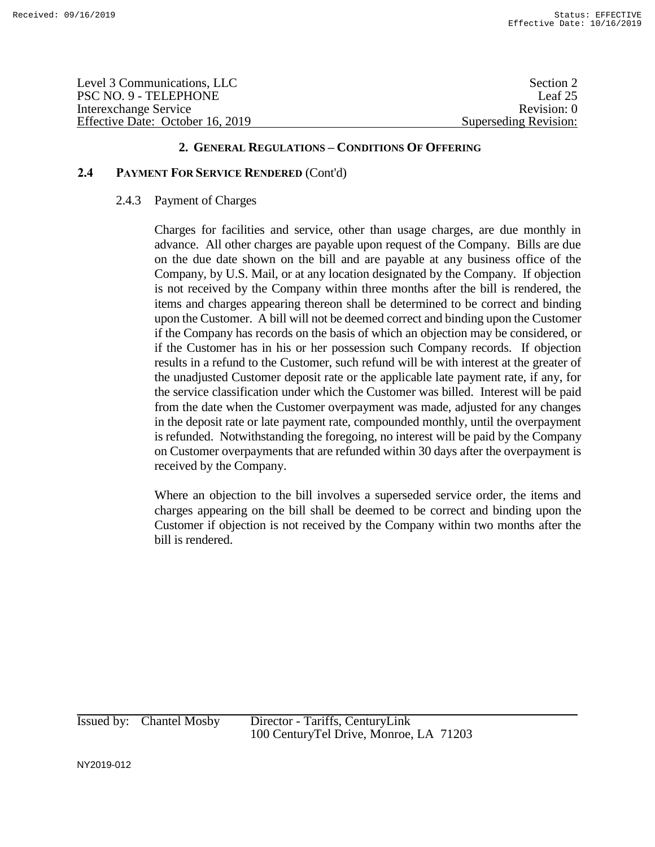| Level 3 Communications, LLC      | Section 2             |
|----------------------------------|-----------------------|
| PSC NO. 9 - TELEPHONE            | Leaf $25$             |
| Interexchange Service            | Revision: 0           |
| Effective Date: October 16, 2019 | Superseding Revision: |

#### **2.4 PAYMENT FOR SERVICE RENDERED** (Cont'd)

#### 2.4.3 Payment of Charges

Charges for facilities and service, other than usage charges, are due monthly in advance. All other charges are payable upon request of the Company. Bills are due on the due date shown on the bill and are payable at any business office of the Company, by U.S. Mail, or at any location designated by the Company. If objection is not received by the Company within three months after the bill is rendered, the items and charges appearing thereon shall be determined to be correct and binding upon the Customer. A bill will not be deemed correct and binding upon the Customer if the Company has records on the basis of which an objection may be considered, or if the Customer has in his or her possession such Company records. If objection results in a refund to the Customer, such refund will be with interest at the greater of the unadjusted Customer deposit rate or the applicable late payment rate, if any, for the service classification under which the Customer was billed. Interest will be paid from the date when the Customer overpayment was made, adjusted for any changes in the deposit rate or late payment rate, compounded monthly, until the overpayment is refunded. Notwithstanding the foregoing, no interest will be paid by the Company on Customer overpayments that are refunded within 30 days after the overpayment is received by the Company.

Where an objection to the bill involves a superseded service order, the items and charges appearing on the bill shall be deemed to be correct and binding upon the Customer if objection is not received by the Company within two months after the bill is rendered.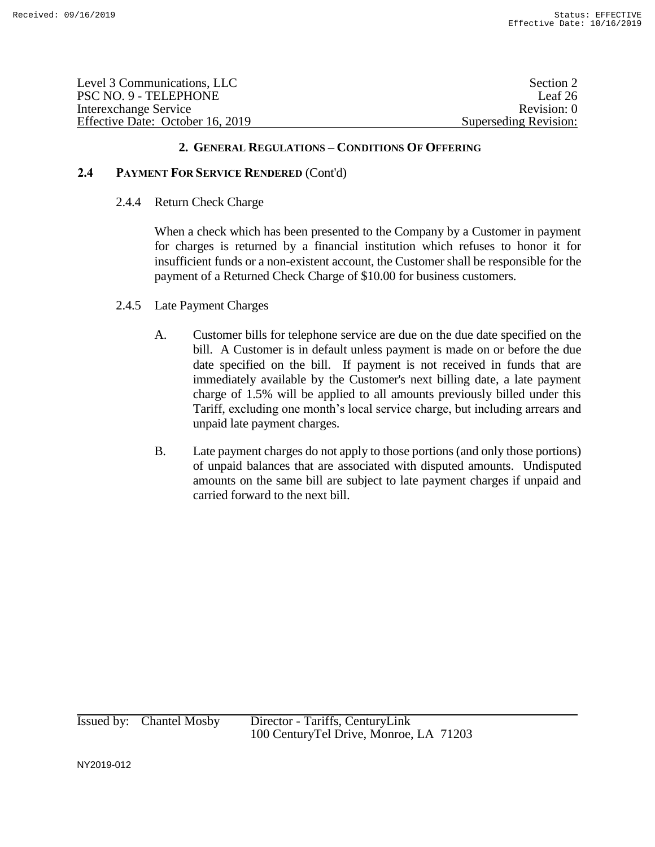| Level 3 Communications, LLC      | Section 2                    |
|----------------------------------|------------------------------|
| PSC NO. 9 - TELEPHONE            | Leaf 26                      |
| Interexchange Service            | Revision: 0                  |
| Effective Date: October 16, 2019 | <b>Superseding Revision:</b> |

### **2.4 PAYMENT FOR SERVICE RENDERED** (Cont'd)

#### 2.4.4 Return Check Charge

When a check which has been presented to the Company by a Customer in payment for charges is returned by a financial institution which refuses to honor it for insufficient funds or a non-existent account, the Customer shall be responsible for the payment of a Returned Check Charge of \$10.00 for business customers.

- 2.4.5 Late Payment Charges
	- A. Customer bills for telephone service are due on the due date specified on the bill. A Customer is in default unless payment is made on or before the due date specified on the bill. If payment is not received in funds that are immediately available by the Customer's next billing date, a late payment charge of 1.5% will be applied to all amounts previously billed under this Tariff, excluding one month's local service charge, but including arrears and unpaid late payment charges.
	- B. Late payment charges do not apply to those portions (and only those portions) of unpaid balances that are associated with disputed amounts. Undisputed amounts on the same bill are subject to late payment charges if unpaid and carried forward to the next bill.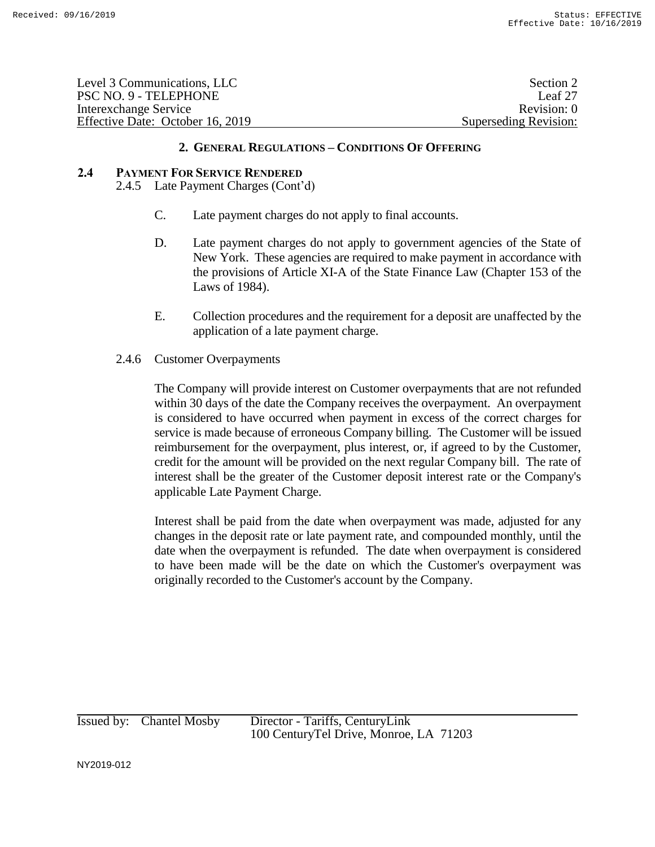| Level 3 Communications, LLC      | Section 2             |
|----------------------------------|-----------------------|
| PSC NO. 9 - TELEPHONE            | Leaf $27$             |
| Interexchange Service            | Revision: 0           |
| Effective Date: October 16, 2019 | Superseding Revision: |

### **2.4 PAYMENT FOR SERVICE RENDERED**

2.4.5 Late Payment Charges (Cont'd)

- C. Late payment charges do not apply to final accounts.
- D. Late payment charges do not apply to government agencies of the State of New York. These agencies are required to make payment in accordance with the provisions of Article XI-A of the State Finance Law (Chapter 153 of the Laws of 1984).
- E. Collection procedures and the requirement for a deposit are unaffected by the application of a late payment charge.
- 2.4.6 Customer Overpayments

The Company will provide interest on Customer overpayments that are not refunded within 30 days of the date the Company receives the overpayment. An overpayment is considered to have occurred when payment in excess of the correct charges for service is made because of erroneous Company billing. The Customer will be issued reimbursement for the overpayment, plus interest, or, if agreed to by the Customer, credit for the amount will be provided on the next regular Company bill. The rate of interest shall be the greater of the Customer deposit interest rate or the Company's applicable Late Payment Charge.

Interest shall be paid from the date when overpayment was made, adjusted for any changes in the deposit rate or late payment rate, and compounded monthly, until the date when the overpayment is refunded. The date when overpayment is considered to have been made will be the date on which the Customer's overpayment was originally recorded to the Customer's account by the Company.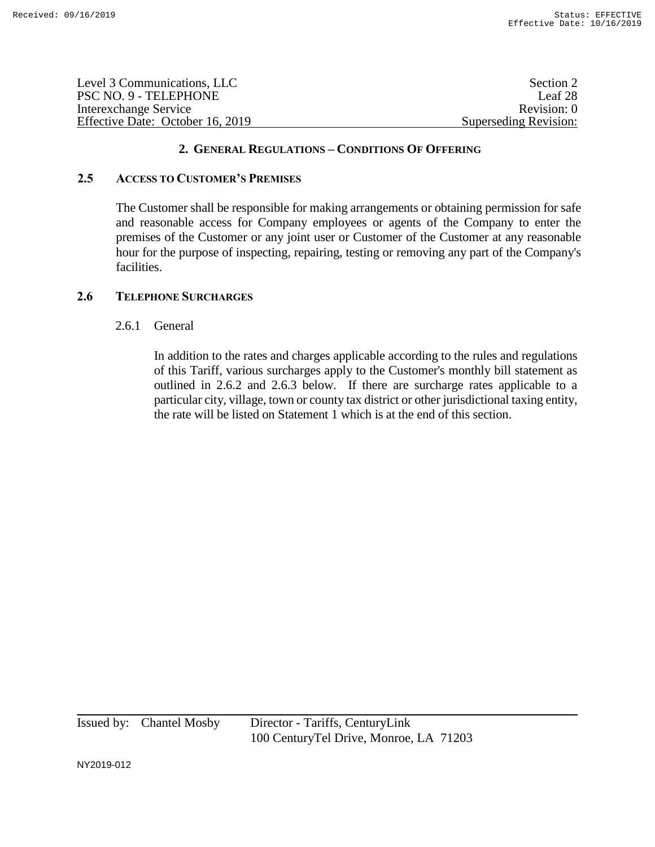| Level 3 Communications, LLC      | Section 2             |
|----------------------------------|-----------------------|
| PSC NO. 9 - TELEPHONE            | Leaf 28               |
| Interexchange Service            | Revision: 0           |
| Effective Date: October 16, 2019 | Superseding Revision: |

### **2.5 ACCESS TO CUSTOMER'S PREMISES**

The Customer shall be responsible for making arrangements or obtaining permission for safe and reasonable access for Company employees or agents of the Company to enter the premises of the Customer or any joint user or Customer of the Customer at any reasonable hour for the purpose of inspecting, repairing, testing or removing any part of the Company's facilities.

# **2.6 TELEPHONE SURCHARGES**

2.6.1 General

In addition to the rates and charges applicable according to the rules and regulations of this Tariff, various surcharges apply to the Customer's monthly bill statement as outlined in 2.6.2 and 2.6.3 below. If there are surcharge rates applicable to a particular city, village, town or county tax district or other jurisdictional taxing entity, the rate will be listed on Statement 1 which is at the end of this section.

Issued by: Chantel Mosby Director - Tariffs, CenturyLink 100 CenturyTel Drive, Monroe, LA 71203

NY2019-012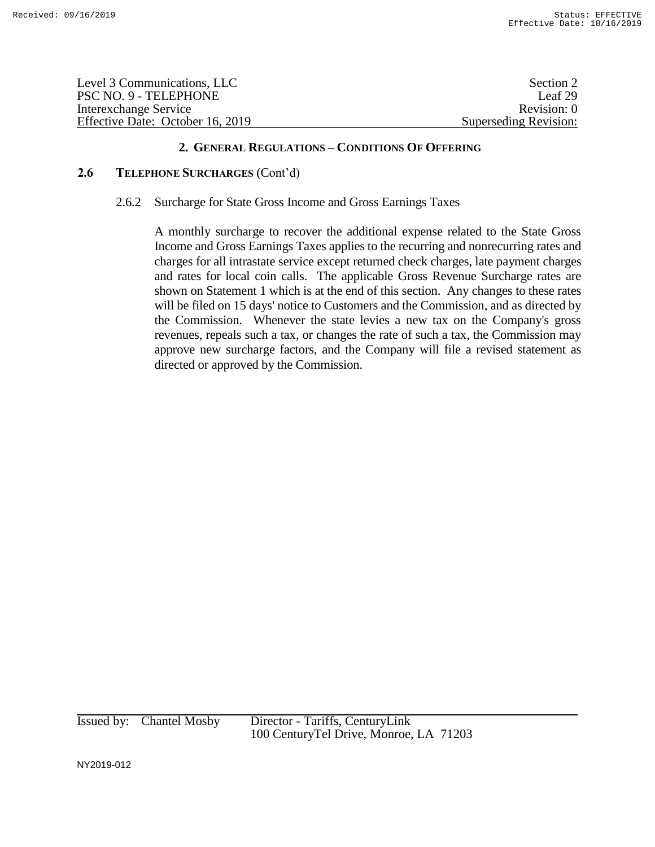| Level 3 Communications, LLC      | Section 2             |
|----------------------------------|-----------------------|
| PSC NO. 9 - TELEPHONE            | Leaf 29               |
| Interexchange Service            | Revision: 0           |
| Effective Date: October 16, 2019 | Superseding Revision: |

### **2.6 TELEPHONE SURCHARGES** (Cont'd)

#### 2.6.2 Surcharge for State Gross Income and Gross Earnings Taxes

A monthly surcharge to recover the additional expense related to the State Gross Income and Gross Earnings Taxes applies to the recurring and nonrecurring rates and charges for all intrastate service except returned check charges, late payment charges and rates for local coin calls. The applicable Gross Revenue Surcharge rates are shown on Statement 1 which is at the end of this section. Any changes to these rates will be filed on 15 days' notice to Customers and the Commission, and as directed by the Commission. Whenever the state levies a new tax on the Company's gross revenues, repeals such a tax, or changes the rate of such a tax, the Commission may approve new surcharge factors, and the Company will file a revised statement as directed or approved by the Commission.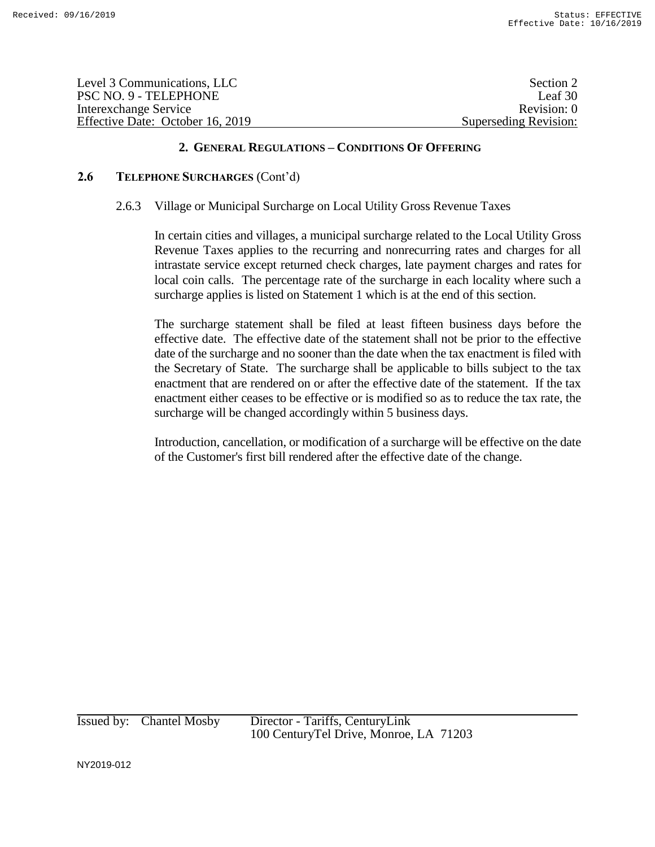| Level 3 Communications, LLC      | Section 2             |
|----------------------------------|-----------------------|
| PSC NO. 9 - TELEPHONE            | Leaf $302$            |
| Interexchange Service            | Revision: 0           |
| Effective Date: October 16, 2019 | Superseding Revision: |

# **2.6 TELEPHONE SURCHARGES** (Cont'd)

#### 2.6.3 Village or Municipal Surcharge on Local Utility Gross Revenue Taxes

In certain cities and villages, a municipal surcharge related to the Local Utility Gross Revenue Taxes applies to the recurring and nonrecurring rates and charges for all intrastate service except returned check charges, late payment charges and rates for local coin calls. The percentage rate of the surcharge in each locality where such a surcharge applies is listed on Statement 1 which is at the end of this section.

The surcharge statement shall be filed at least fifteen business days before the effective date. The effective date of the statement shall not be prior to the effective date of the surcharge and no sooner than the date when the tax enactment is filed with the Secretary of State. The surcharge shall be applicable to bills subject to the tax enactment that are rendered on or after the effective date of the statement. If the tax enactment either ceases to be effective or is modified so as to reduce the tax rate, the surcharge will be changed accordingly within 5 business days.

Introduction, cancellation, or modification of a surcharge will be effective on the date of the Customer's first bill rendered after the effective date of the change.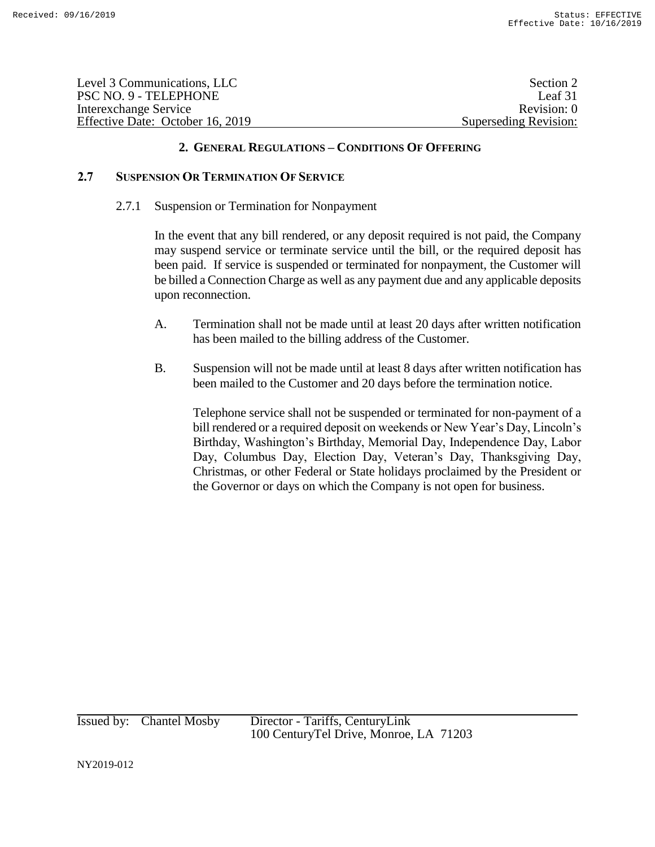| Level 3 Communications, LLC      | Section 2             |
|----------------------------------|-----------------------|
| PSC NO. 9 - TELEPHONE            | Leaf 31               |
| Interexchange Service            | Revision: 0           |
| Effective Date: October 16, 2019 | Superseding Revision: |

# **2.7 SUSPENSION OR TERMINATION OF SERVICE**

2.7.1 Suspension or Termination for Nonpayment

In the event that any bill rendered, or any deposit required is not paid, the Company may suspend service or terminate service until the bill, or the required deposit has been paid. If service is suspended or terminated for nonpayment, the Customer will be billed a Connection Charge as well as any payment due and any applicable deposits upon reconnection.

- A. Termination shall not be made until at least 20 days after written notification has been mailed to the billing address of the Customer.
- B. Suspension will not be made until at least 8 days after written notification has been mailed to the Customer and 20 days before the termination notice.

Telephone service shall not be suspended or terminated for non-payment of a bill rendered or a required deposit on weekends or New Year's Day, Lincoln's Birthday, Washington's Birthday, Memorial Day, Independence Day, Labor Day, Columbus Day, Election Day, Veteran's Day, Thanksgiving Day, Christmas, or other Federal or State holidays proclaimed by the President or the Governor or days on which the Company is not open for business.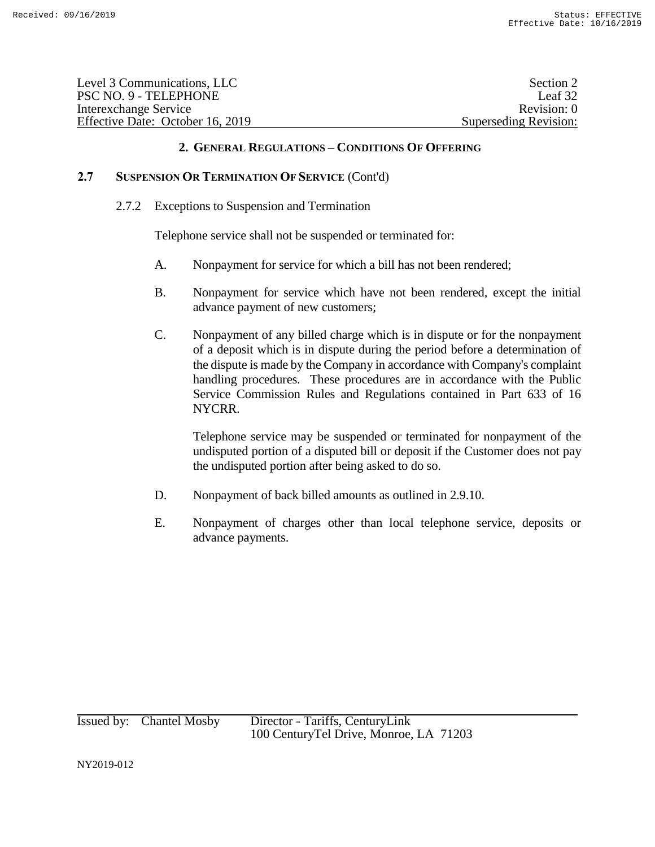| Level 3 Communications, LLC      | Section 2                    |
|----------------------------------|------------------------------|
| PSC NO. 9 - TELEPHONE            | Leaf 32                      |
| Interexchange Service            | Revision: 0                  |
| Effective Date: October 16, 2019 | <b>Superseding Revision:</b> |

# **2.7 SUSPENSION OR TERMINATION OF SERVICE** (Cont'd)

2.7.2 Exceptions to Suspension and Termination

Telephone service shall not be suspended or terminated for:

- A. Nonpayment for service for which a bill has not been rendered;
- B. Nonpayment for service which have not been rendered, except the initial advance payment of new customers;
- C. Nonpayment of any billed charge which is in dispute or for the nonpayment of a deposit which is in dispute during the period before a determination of the dispute is made by the Company in accordance with Company's complaint handling procedures. These procedures are in accordance with the Public Service Commission Rules and Regulations contained in Part 633 of 16 NYCRR.

Telephone service may be suspended or terminated for nonpayment of the undisputed portion of a disputed bill or deposit if the Customer does not pay the undisputed portion after being asked to do so.

- D. Nonpayment of back billed amounts as outlined in 2.9.10.
- E. Nonpayment of charges other than local telephone service, deposits or advance payments.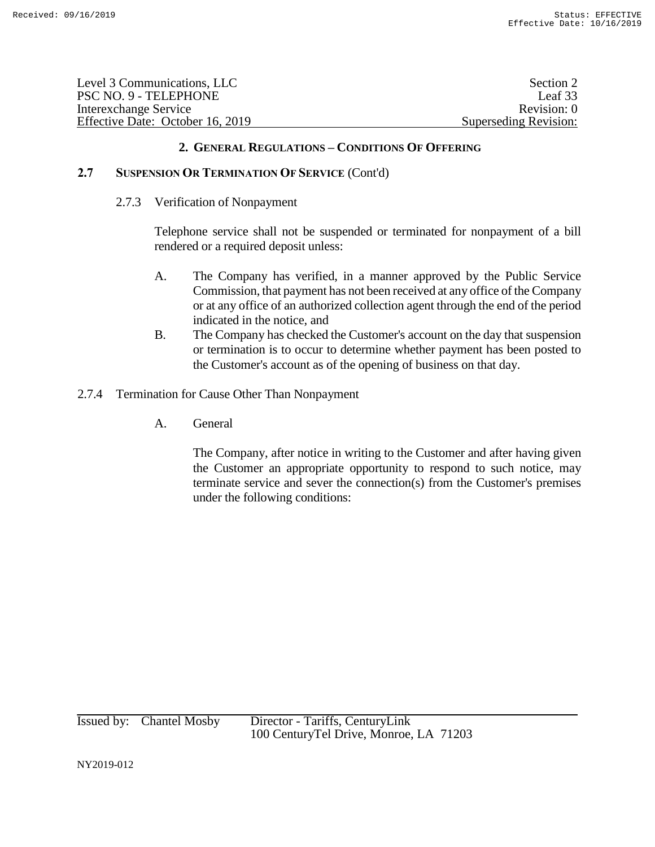| Level 3 Communications, LLC      | Section 2             |
|----------------------------------|-----------------------|
| PSC NO. 9 - TELEPHONE            | Leaf 33               |
| Interexchange Service            | Revision: 0           |
| Effective Date: October 16, 2019 | Superseding Revision: |

### **2.7 SUSPENSION OR TERMINATION OF SERVICE** (Cont'd)

### 2.7.3 Verification of Nonpayment

Telephone service shall not be suspended or terminated for nonpayment of a bill rendered or a required deposit unless:

- A. The Company has verified, in a manner approved by the Public Service Commission, that payment has not been received at any office of the Company or at any office of an authorized collection agent through the end of the period indicated in the notice, and
- B. The Company has checked the Customer's account on the day that suspension or termination is to occur to determine whether payment has been posted to the Customer's account as of the opening of business on that day.

# 2.7.4 Termination for Cause Other Than Nonpayment

A. General

The Company, after notice in writing to the Customer and after having given the Customer an appropriate opportunity to respond to such notice, may terminate service and sever the connection(s) from the Customer's premises under the following conditions: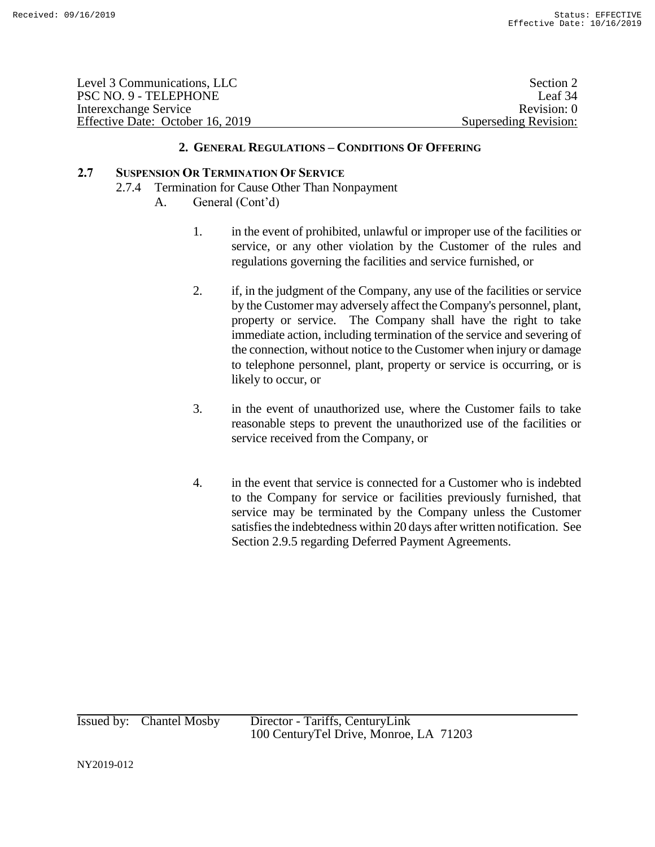| Level 3 Communications, LLC      | Section 2             |
|----------------------------------|-----------------------|
| PSC NO. 9 - TELEPHONE            | Leaf 34               |
| Interexchange Service            | Revision: 0           |
| Effective Date: October 16, 2019 | Superseding Revision: |

### **2.7 SUSPENSION OR TERMINATION OF SERVICE**

- 2.7.4 Termination for Cause Other Than Nonpayment
	- A. General (Cont'd)
		- 1. in the event of prohibited, unlawful or improper use of the facilities or service, or any other violation by the Customer of the rules and regulations governing the facilities and service furnished, or
		- 2. if, in the judgment of the Company, any use of the facilities or service by the Customer may adversely affect the Company's personnel, plant, property or service. The Company shall have the right to take immediate action, including termination of the service and severing of the connection, without notice to the Customer when injury or damage to telephone personnel, plant, property or service is occurring, or is likely to occur, or
		- 3. in the event of unauthorized use, where the Customer fails to take reasonable steps to prevent the unauthorized use of the facilities or service received from the Company, or
		- 4. in the event that service is connected for a Customer who is indebted to the Company for service or facilities previously furnished, that service may be terminated by the Company unless the Customer satisfies the indebtedness within 20 days after written notification. See Section 2.9.5 regarding Deferred Payment Agreements.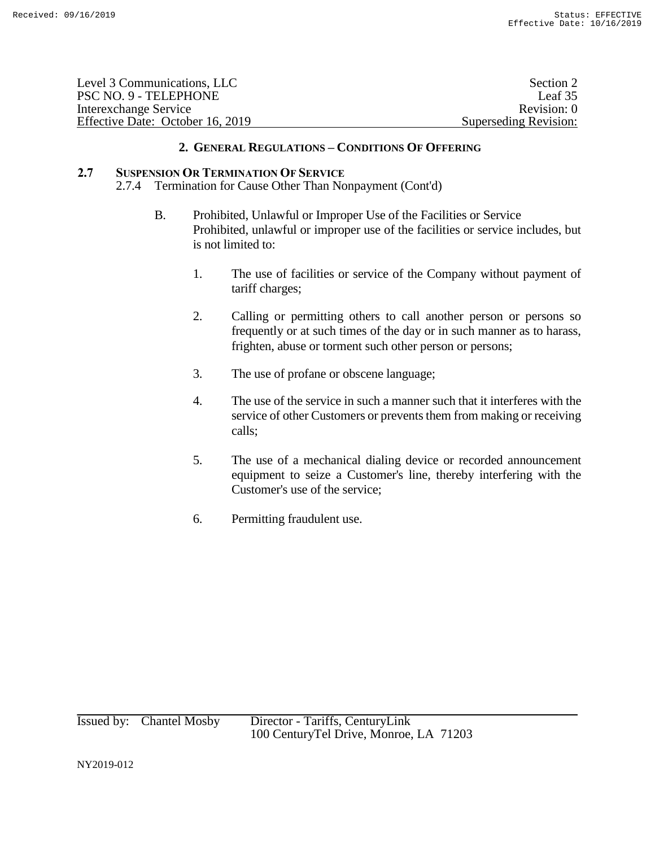| Level 3 Communications, LLC      | Section 2             |
|----------------------------------|-----------------------|
| PSC NO. 9 - TELEPHONE            | Leaf 35               |
| Interexchange Service            | Revision: 0           |
| Effective Date: October 16, 2019 | Superseding Revision: |

# **2.7 SUSPENSION OR TERMINATION OF SERVICE**

2.7.4 Termination for Cause Other Than Nonpayment (Cont'd)

- B. Prohibited, Unlawful or Improper Use of the Facilities or Service Prohibited, unlawful or improper use of the facilities or service includes, but is not limited to:
	- 1. The use of facilities or service of the Company without payment of tariff charges;
	- 2. Calling or permitting others to call another person or persons so frequently or at such times of the day or in such manner as to harass, frighten, abuse or torment such other person or persons;
	- 3. The use of profane or obscene language;
	- 4. The use of the service in such a manner such that it interferes with the service of other Customers or prevents them from making or receiving calls;
	- 5. The use of a mechanical dialing device or recorded announcement equipment to seize a Customer's line, thereby interfering with the Customer's use of the service;
	- 6. Permitting fraudulent use.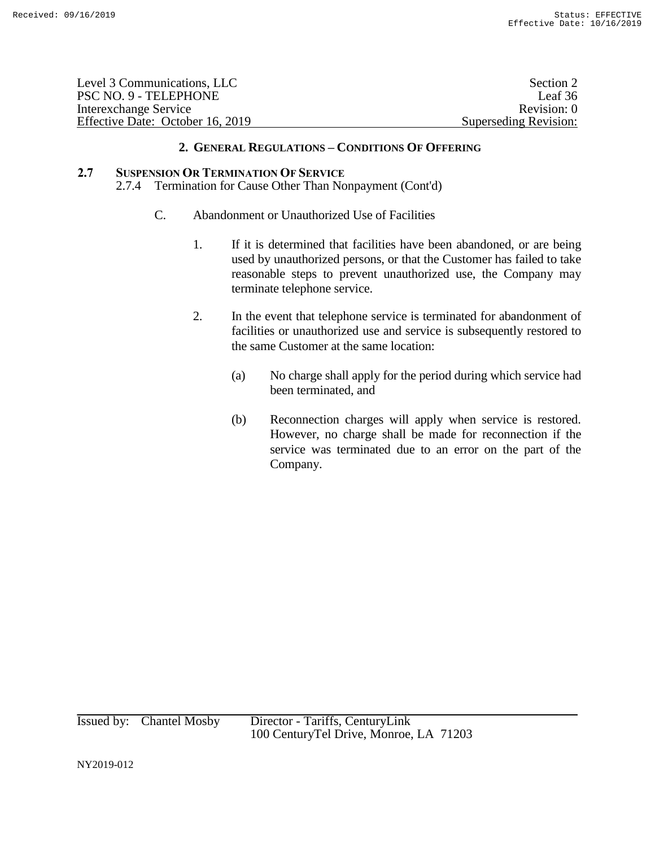| Level 3 Communications, LLC      | Section 2             |
|----------------------------------|-----------------------|
| PSC NO. 9 - TELEPHONE            | Leaf 36               |
| Interexchange Service            | Revision: 0           |
| Effective Date: October 16, 2019 | Superseding Revision: |

#### **2.7 SUSPENSION OR TERMINATION OF SERVICE**

2.7.4 Termination for Cause Other Than Nonpayment (Cont'd)

- C. Abandonment or Unauthorized Use of Facilities
	- 1. If it is determined that facilities have been abandoned, or are being used by unauthorized persons, or that the Customer has failed to take reasonable steps to prevent unauthorized use, the Company may terminate telephone service.
	- 2. In the event that telephone service is terminated for abandonment of facilities or unauthorized use and service is subsequently restored to the same Customer at the same location:
		- (a) No charge shall apply for the period during which service had been terminated, and
		- (b) Reconnection charges will apply when service is restored. However, no charge shall be made for reconnection if the service was terminated due to an error on the part of the Company.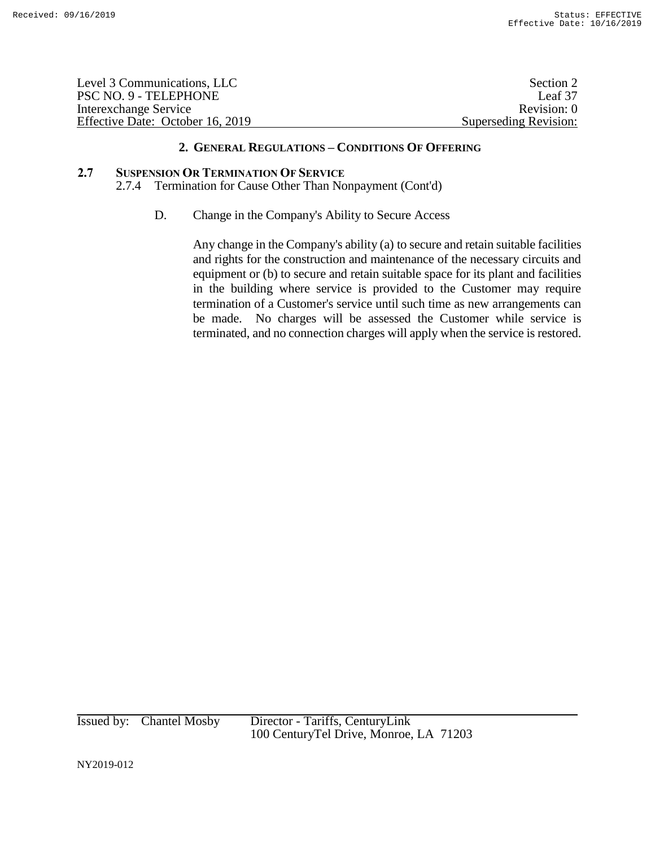| Level 3 Communications, LLC      | Section 2             |
|----------------------------------|-----------------------|
| PSC NO. 9 - TELEPHONE            | Leaf $37$             |
| Interexchange Service            | Revision: 0           |
| Effective Date: October 16, 2019 | Superseding Revision: |

### **2.7 SUSPENSION OR TERMINATION OF SERVICE**

2.7.4 Termination for Cause Other Than Nonpayment (Cont'd)

D. Change in the Company's Ability to Secure Access

Any change in the Company's ability (a) to secure and retain suitable facilities and rights for the construction and maintenance of the necessary circuits and equipment or (b) to secure and retain suitable space for its plant and facilities in the building where service is provided to the Customer may require termination of a Customer's service until such time as new arrangements can be made. No charges will be assessed the Customer while service is terminated, and no connection charges will apply when the service is restored.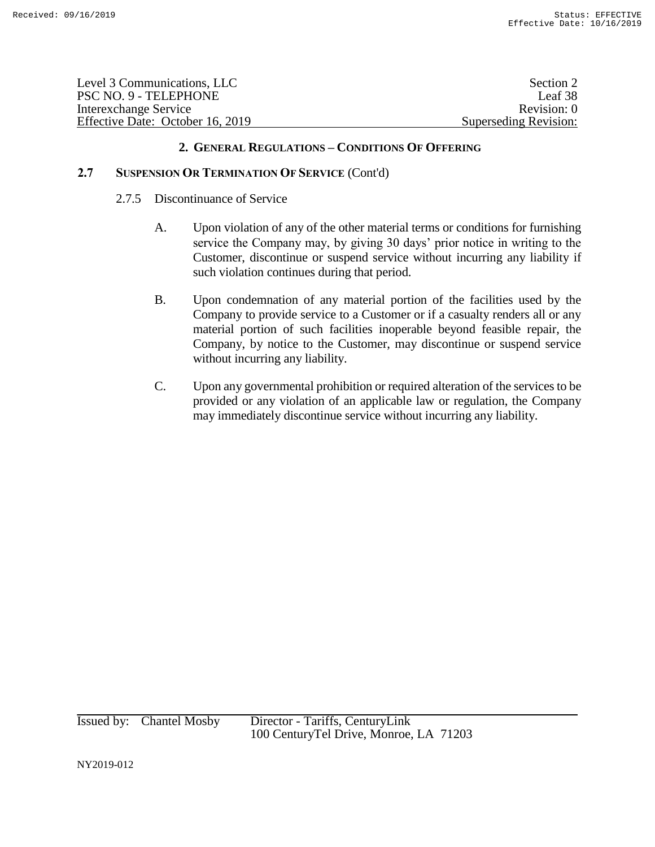| Level 3 Communications, LLC      | Section 2                    |
|----------------------------------|------------------------------|
| PSC NO. 9 - TELEPHONE            | Leaf 38                      |
| Interexchange Service            | Revision: 0                  |
| Effective Date: October 16, 2019 | <b>Superseding Revision:</b> |

## **2.7 SUSPENSION OR TERMINATION OF SERVICE** (Cont'd)

- 2.7.5 Discontinuance of Service
	- A. Upon violation of any of the other material terms or conditions for furnishing service the Company may, by giving 30 days' prior notice in writing to the Customer, discontinue or suspend service without incurring any liability if such violation continues during that period.
	- B. Upon condemnation of any material portion of the facilities used by the Company to provide service to a Customer or if a casualty renders all or any material portion of such facilities inoperable beyond feasible repair, the Company, by notice to the Customer, may discontinue or suspend service without incurring any liability.
	- C. Upon any governmental prohibition or required alteration of the services to be provided or any violation of an applicable law or regulation, the Company may immediately discontinue service without incurring any liability.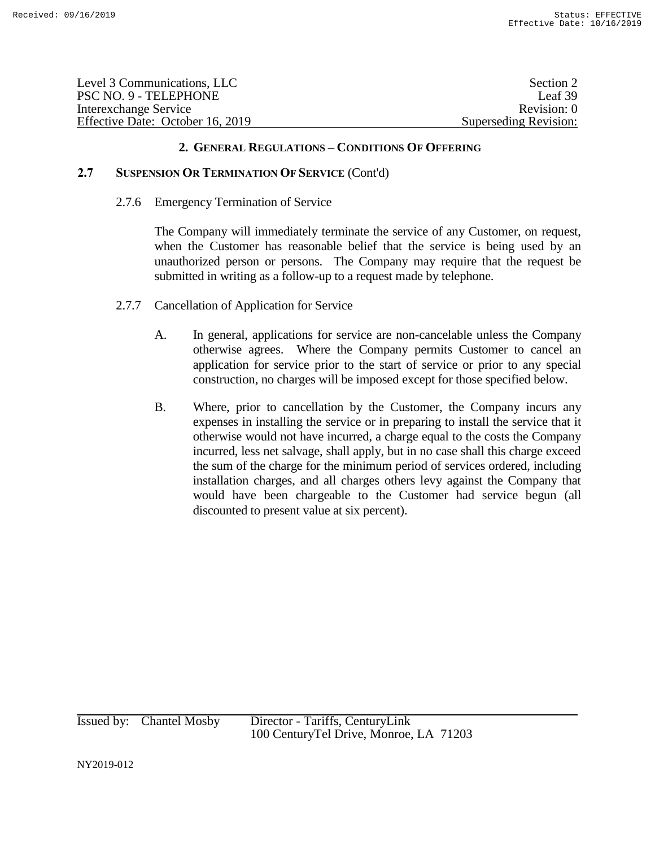| Level 3 Communications, LLC      | Section 2                    |
|----------------------------------|------------------------------|
| PSC NO. 9 - TELEPHONE            | Leaf 39                      |
| Interexchange Service            | Revision: 0                  |
| Effective Date: October 16, 2019 | <b>Superseding Revision:</b> |

# **2.7 SUSPENSION OR TERMINATION OF SERVICE** (Cont'd)

### 2.7.6 Emergency Termination of Service

The Company will immediately terminate the service of any Customer, on request, when the Customer has reasonable belief that the service is being used by an unauthorized person or persons. The Company may require that the request be submitted in writing as a follow-up to a request made by telephone.

- 2.7.7 Cancellation of Application for Service
	- A. In general, applications for service are non-cancelable unless the Company otherwise agrees. Where the Company permits Customer to cancel an application for service prior to the start of service or prior to any special construction, no charges will be imposed except for those specified below.
	- B. Where, prior to cancellation by the Customer, the Company incurs any expenses in installing the service or in preparing to install the service that it otherwise would not have incurred, a charge equal to the costs the Company incurred, less net salvage, shall apply, but in no case shall this charge exceed the sum of the charge for the minimum period of services ordered, including installation charges, and all charges others levy against the Company that would have been chargeable to the Customer had service begun (all discounted to present value at six percent).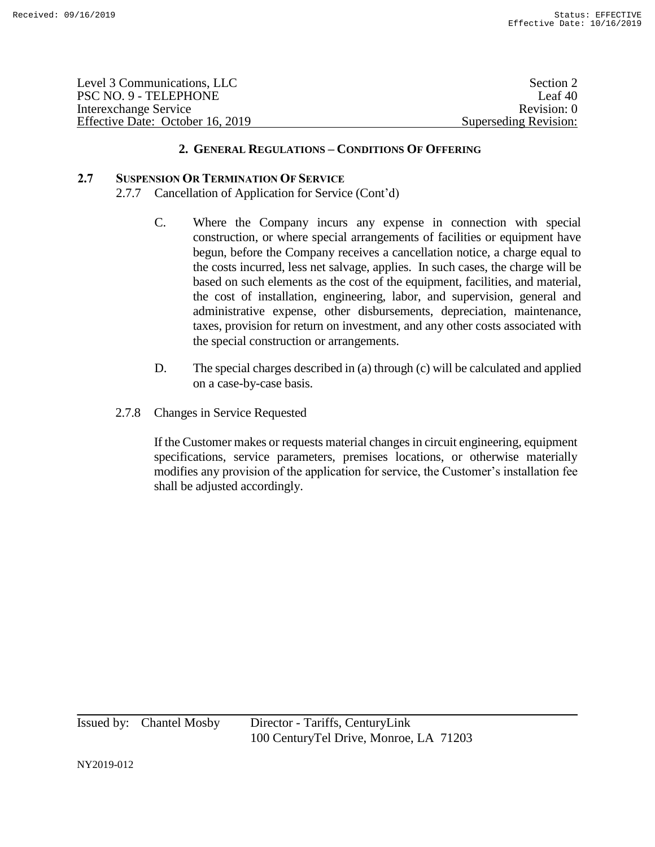| Level 3 Communications, LLC      | Section 2             |
|----------------------------------|-----------------------|
| PSC NO. 9 - TELEPHONE            | Leaf 40               |
| Interexchange Service            | Revision: 0           |
| Effective Date: October 16, 2019 | Superseding Revision: |

# **2.7 SUSPENSION OR TERMINATION OF SERVICE**

- 2.7.7 Cancellation of Application for Service (Cont'd)
	- C. Where the Company incurs any expense in connection with special construction, or where special arrangements of facilities or equipment have begun, before the Company receives a cancellation notice, a charge equal to the costs incurred, less net salvage, applies. In such cases, the charge will be based on such elements as the cost of the equipment, facilities, and material, the cost of installation, engineering, labor, and supervision, general and administrative expense, other disbursements, depreciation, maintenance, taxes, provision for return on investment, and any other costs associated with the special construction or arrangements.
	- D. The special charges described in (a) through (c) will be calculated and applied on a case-by-case basis.
- 2.7.8 Changes in Service Requested

If the Customer makes or requests material changes in circuit engineering, equipment specifications, service parameters, premises locations, or otherwise materially modifies any provision of the application for service, the Customer's installation fee shall be adjusted accordingly.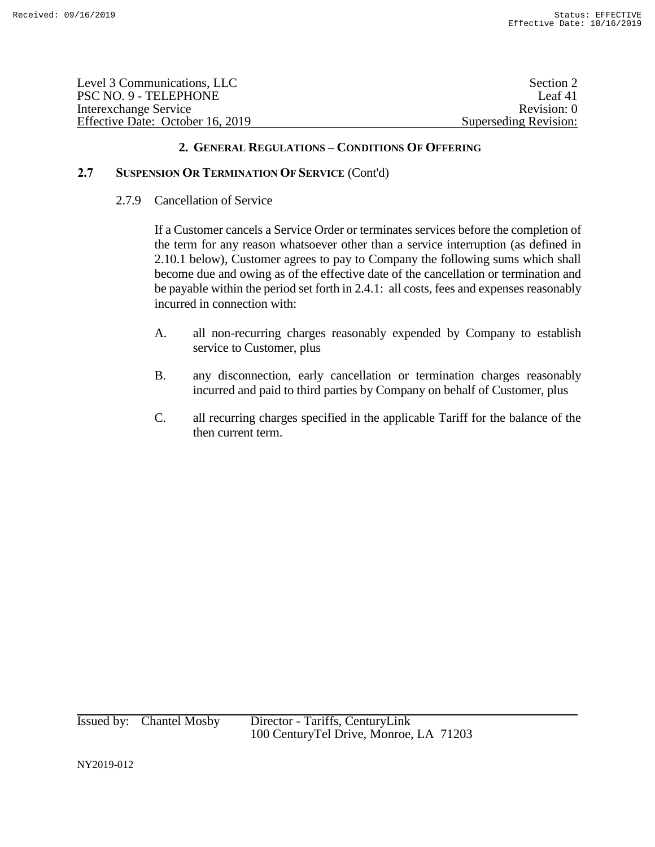| Level 3 Communications, LLC      | Section 2                    |
|----------------------------------|------------------------------|
| PSC NO. 9 - TELEPHONE            | Leaf 41                      |
| Interexchange Service            | Revision: 0                  |
| Effective Date: October 16, 2019 | <b>Superseding Revision:</b> |

# **2.7 SUSPENSION OR TERMINATION OF SERVICE** (Cont'd)

### 2.7.9 Cancellation of Service

If a Customer cancels a Service Order or terminates services before the completion of the term for any reason whatsoever other than a service interruption (as defined in 2.10.1 below), Customer agrees to pay to Company the following sums which shall become due and owing as of the effective date of the cancellation or termination and be payable within the period set forth in 2.4.1: all costs, fees and expenses reasonably incurred in connection with:

- A. all non-recurring charges reasonably expended by Company to establish service to Customer, plus
- B. any disconnection, early cancellation or termination charges reasonably incurred and paid to third parties by Company on behalf of Customer, plus
- C. all recurring charges specified in the applicable Tariff for the balance of the then current term.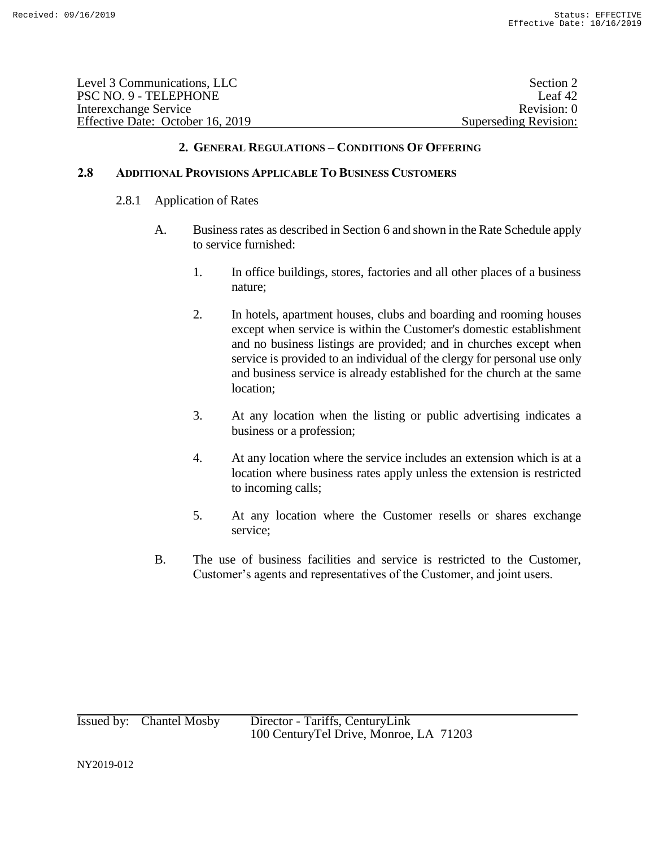| Level 3 Communications, LLC      | Section 2             |
|----------------------------------|-----------------------|
| PSC NO. 9 - TELEPHONE            | Leaf $42$             |
| Interexchange Service            | Revision: 0           |
| Effective Date: October 16, 2019 | Superseding Revision: |

## **2.8 ADDITIONAL PROVISIONS APPLICABLE TO BUSINESS CUSTOMERS**

- 2.8.1 Application of Rates
	- A. Business rates as described in Section 6 and shown in the Rate Schedule apply to service furnished:
		- 1. In office buildings, stores, factories and all other places of a business nature;
		- 2. In hotels, apartment houses, clubs and boarding and rooming houses except when service is within the Customer's domestic establishment and no business listings are provided; and in churches except when service is provided to an individual of the clergy for personal use only and business service is already established for the church at the same location;
		- 3. At any location when the listing or public advertising indicates a business or a profession;
		- 4. At any location where the service includes an extension which is at a location where business rates apply unless the extension is restricted to incoming calls;
		- 5. At any location where the Customer resells or shares exchange service;
	- B. The use of business facilities and service is restricted to the Customer, Customer's agents and representatives of the Customer, and joint users.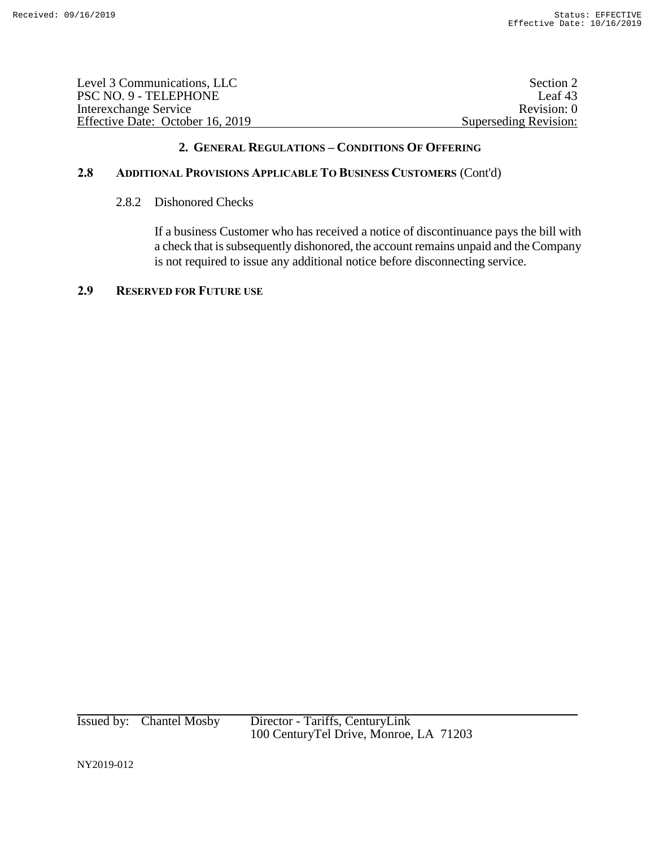| Level 3 Communications, LLC      | Section 2             |
|----------------------------------|-----------------------|
| PSC NO. 9 - TELEPHONE            | Leaf 43               |
| Interexchange Service            | Revision: 0           |
| Effective Date: October 16, 2019 | Superseding Revision: |

# **2.8 ADDITIONAL PROVISIONS APPLICABLE TO BUSINESS CUSTOMERS** (Cont'd)

# 2.8.2 Dishonored Checks

If a business Customer who has received a notice of discontinuance pays the bill with a check that is subsequently dishonored, the account remains unpaid and the Company is not required to issue any additional notice before disconnecting service.

# **2.9 RESERVED FOR FUTURE USE**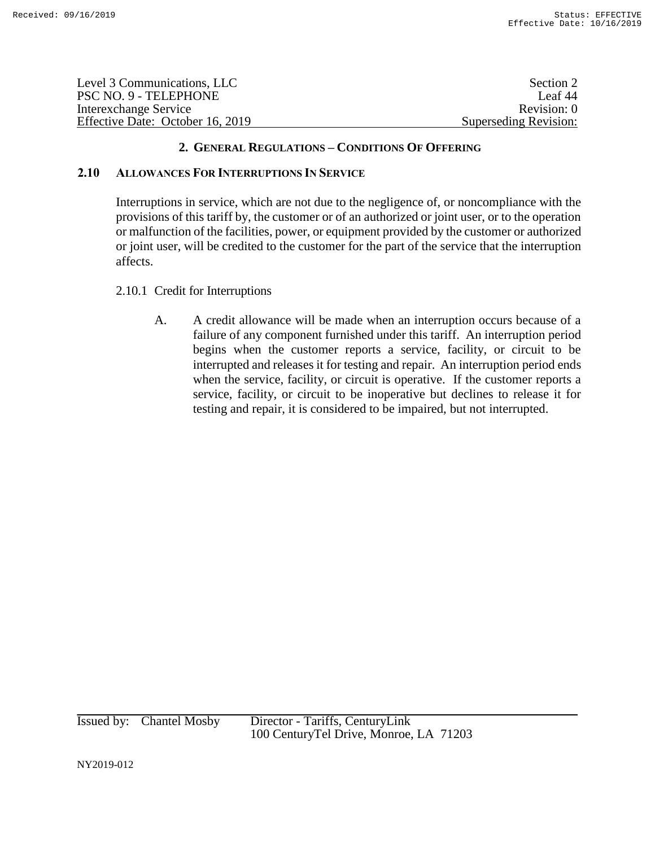| Level 3 Communications, LLC      | Section 2             |
|----------------------------------|-----------------------|
| PSC NO. 9 - TELEPHONE            | Leaf 44               |
| Interexchange Service            | Revision: 0           |
| Effective Date: October 16, 2019 | Superseding Revision: |

# **2.10 ALLOWANCES FOR INTERRUPTIONS IN SERVICE**

Interruptions in service, which are not due to the negligence of, or noncompliance with the provisions of this tariff by, the customer or of an authorized or joint user, or to the operation or malfunction of the facilities, power, or equipment provided by the customer or authorized or joint user, will be credited to the customer for the part of the service that the interruption affects.

# 2.10.1 Credit for Interruptions

A. A credit allowance will be made when an interruption occurs because of a failure of any component furnished under this tariff. An interruption period begins when the customer reports a service, facility, or circuit to be interrupted and releases it for testing and repair. An interruption period ends when the service, facility, or circuit is operative. If the customer reports a service, facility, or circuit to be inoperative but declines to release it for testing and repair, it is considered to be impaired, but not interrupted.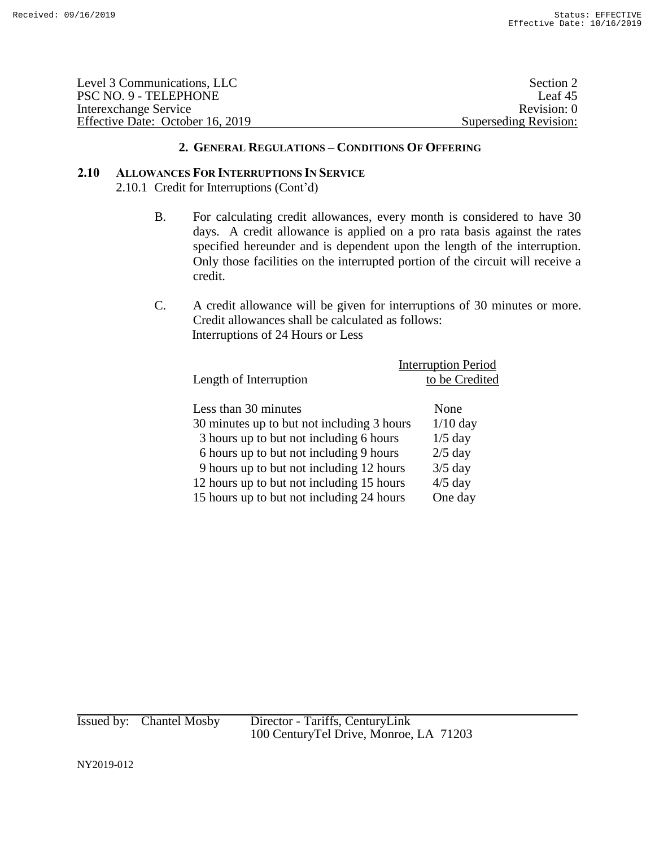| Level 3 Communications, LLC      | Section 2             |
|----------------------------------|-----------------------|
| PSC NO. 9 - TELEPHONE            | Leaf $45$             |
| Interexchange Service            | Revision: 0           |
| Effective Date: October 16, 2019 | Superseding Revision: |

# **2.10 ALLOWANCES FOR INTERRUPTIONS IN SERVICE**

2.10.1 Credit for Interruptions (Cont'd)

- B. For calculating credit allowances, every month is considered to have 30 days. A credit allowance is applied on a pro rata basis against the rates specified hereunder and is dependent upon the length of the interruption. Only those facilities on the interrupted portion of the circuit will receive a credit.
- C. A credit allowance will be given for interruptions of 30 minutes or more. Credit allowances shall be calculated as follows: Interruptions of 24 Hours or Less

|                                            | <b>Interruption Period</b> |
|--------------------------------------------|----------------------------|
| Length of Interruption                     | to be Credited             |
|                                            |                            |
| Less than 30 minutes                       | None                       |
| 30 minutes up to but not including 3 hours | $1/10$ day                 |
| 3 hours up to but not including 6 hours    | $1/5$ day                  |
| 6 hours up to but not including 9 hours    | $2/5$ day                  |
| 9 hours up to but not including 12 hours   | $3/5$ day                  |
| 12 hours up to but not including 15 hours  | $4/5$ day                  |
| 15 hours up to but not including 24 hours  | One day                    |
|                                            |                            |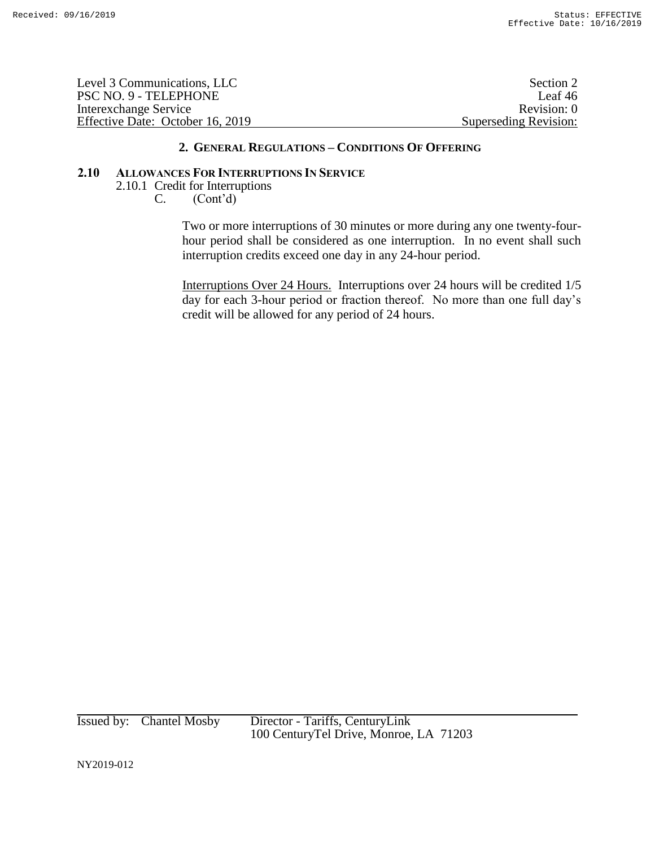| Level 3 Communications, LLC      | Section 2             |
|----------------------------------|-----------------------|
| PSC NO. 9 - TELEPHONE            | Leaf $46$             |
| Interexchange Service            | Revision: 0           |
| Effective Date: October 16, 2019 | Superseding Revision: |

#### **2.10 ALLOWANCES FOR INTERRUPTIONS IN SERVICE**

2.10.1 Credit for Interruptions

C. (Cont'd)

Two or more interruptions of 30 minutes or more during any one twenty-fourhour period shall be considered as one interruption. In no event shall such interruption credits exceed one day in any 24-hour period.

Interruptions Over 24 Hours. Interruptions over 24 hours will be credited 1/5 day for each 3-hour period or fraction thereof. No more than one full day's credit will be allowed for any period of 24 hours.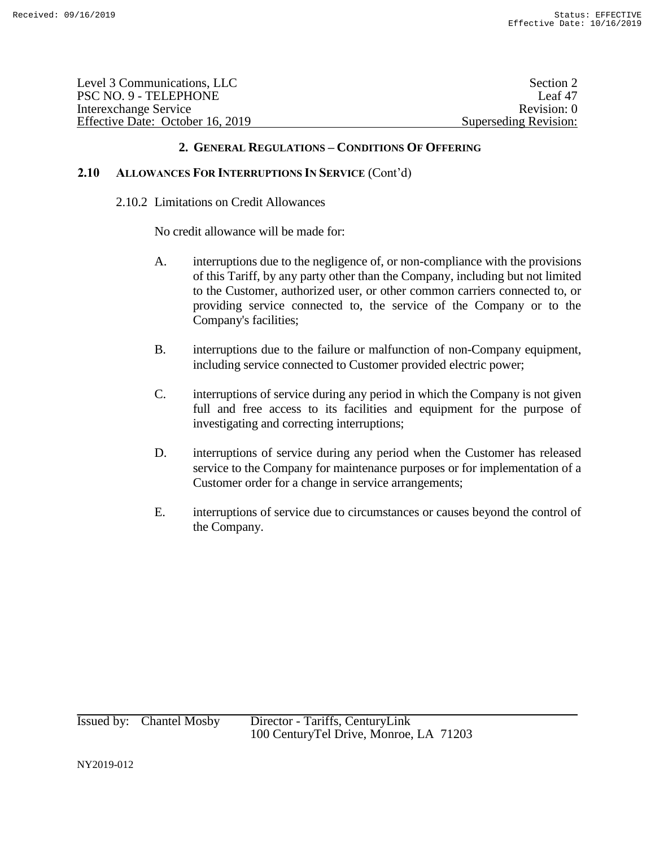| Level 3 Communications, LLC      | Section 2             |
|----------------------------------|-----------------------|
| PSC NO. 9 - TELEPHONE            | Leaf 47               |
| Interexchange Service            | Revision: 0           |
| Effective Date: October 16, 2019 | Superseding Revision: |

# **2.10 ALLOWANCES FOR INTERRUPTIONS IN SERVICE** (Cont'd)

### 2.10.2 Limitations on Credit Allowances

No credit allowance will be made for:

- A. interruptions due to the negligence of, or non-compliance with the provisions of this Tariff, by any party other than the Company, including but not limited to the Customer, authorized user, or other common carriers connected to, or providing service connected to, the service of the Company or to the Company's facilities;
- B. interruptions due to the failure or malfunction of non-Company equipment, including service connected to Customer provided electric power;
- C. interruptions of service during any period in which the Company is not given full and free access to its facilities and equipment for the purpose of investigating and correcting interruptions;
- D. interruptions of service during any period when the Customer has released service to the Company for maintenance purposes or for implementation of a Customer order for a change in service arrangements;
- E. interruptions of service due to circumstances or causes beyond the control of the Company.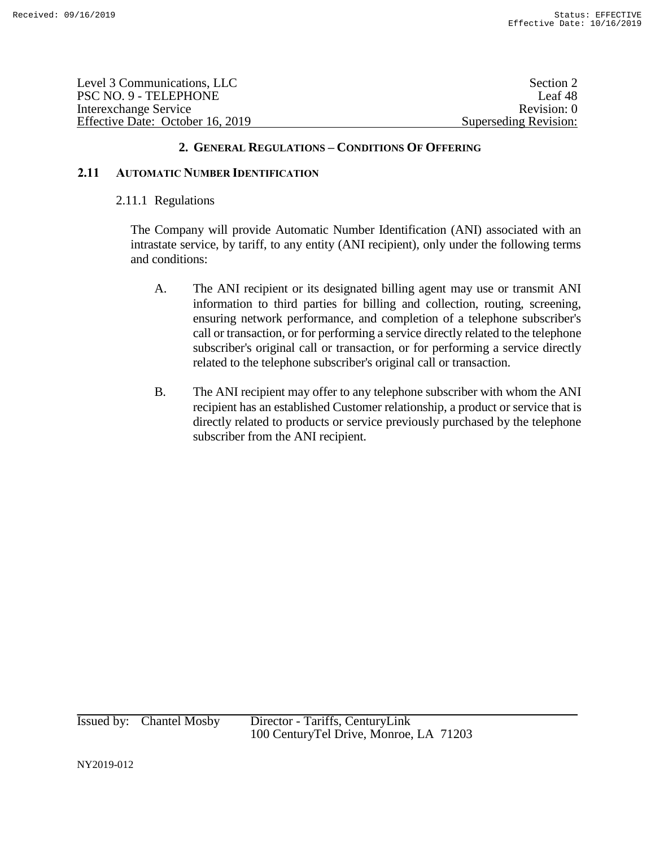| Level 3 Communications, LLC      | Section 2             |
|----------------------------------|-----------------------|
| PSC NO. 9 - TELEPHONE            | Leaf 48               |
| Interexchange Service            | Revision: 0           |
| Effective Date: October 16, 2019 | Superseding Revision: |

# **2.11 AUTOMATIC NUMBER IDENTIFICATION**

### 2.11.1 Regulations

The Company will provide Automatic Number Identification (ANI) associated with an intrastate service, by tariff, to any entity (ANI recipient), only under the following terms and conditions:

- A. The ANI recipient or its designated billing agent may use or transmit ANI information to third parties for billing and collection, routing, screening, ensuring network performance, and completion of a telephone subscriber's call or transaction, or for performing a service directly related to the telephone subscriber's original call or transaction, or for performing a service directly related to the telephone subscriber's original call or transaction.
- B. The ANI recipient may offer to any telephone subscriber with whom the ANI recipient has an established Customer relationship, a product or service that is directly related to products or service previously purchased by the telephone subscriber from the ANI recipient.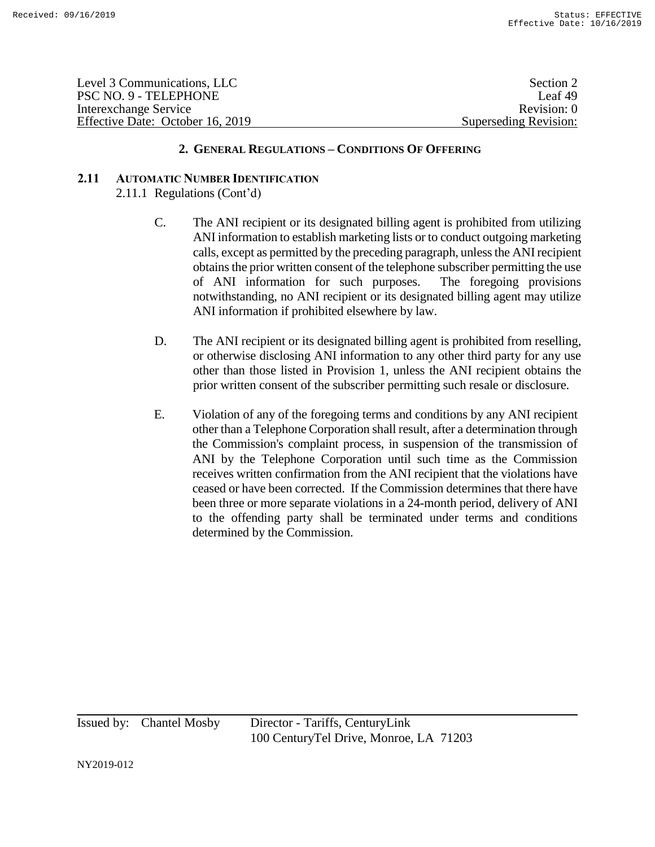| Level 3 Communications, LLC      | Section 2             |
|----------------------------------|-----------------------|
| PSC NO. 9 - TELEPHONE            | Leaf 49               |
| Interexchange Service            | Revision: 0           |
| Effective Date: October 16, 2019 | Superseding Revision: |

### **2.11 AUTOMATIC NUMBER IDENTIFICATION**

2.11.1 Regulations (Cont'd)

- C. The ANI recipient or its designated billing agent is prohibited from utilizing ANI information to establish marketing lists or to conduct outgoing marketing calls, except as permitted by the preceding paragraph, unless the ANI recipient obtains the prior written consent of the telephone subscriber permitting the use of ANI information for such purposes. The foregoing provisions notwithstanding, no ANI recipient or its designated billing agent may utilize ANI information if prohibited elsewhere by law.
- D. The ANI recipient or its designated billing agent is prohibited from reselling, or otherwise disclosing ANI information to any other third party for any use other than those listed in Provision 1, unless the ANI recipient obtains the prior written consent of the subscriber permitting such resale or disclosure.
- E. Violation of any of the foregoing terms and conditions by any ANI recipient other than a Telephone Corporation shall result, after a determination through the Commission's complaint process, in suspension of the transmission of ANI by the Telephone Corporation until such time as the Commission receives written confirmation from the ANI recipient that the violations have ceased or have been corrected. If the Commission determines that there have been three or more separate violations in a 24-month period, delivery of ANI to the offending party shall be terminated under terms and conditions determined by the Commission.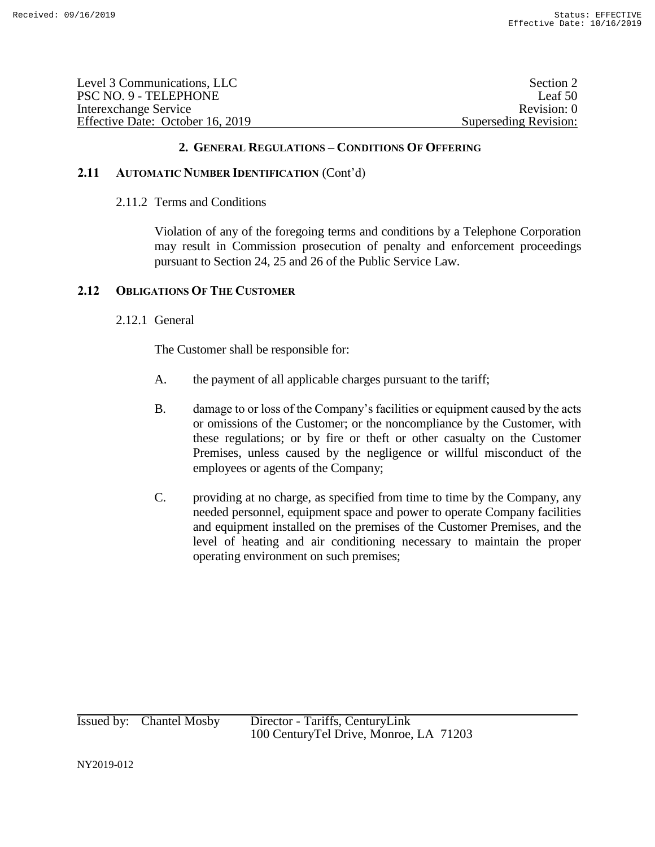| Level 3 Communications, LLC      | Section 2             |
|----------------------------------|-----------------------|
| PSC NO. 9 - TELEPHONE            | Leaf $50$             |
| Interexchange Service            | Revision: 0           |
| Effective Date: October 16, 2019 | Superseding Revision: |

# **2.11 AUTOMATIC NUMBER IDENTIFICATION** (Cont'd)

2.11.2 Terms and Conditions

Violation of any of the foregoing terms and conditions by a Telephone Corporation may result in Commission prosecution of penalty and enforcement proceedings pursuant to Section 24, 25 and 26 of the Public Service Law.

# **2.12 OBLIGATIONS OF THE CUSTOMER**

2.12.1 General

The Customer shall be responsible for:

- A. the payment of all applicable charges pursuant to the tariff;
- B. damage to or loss of the Company's facilities or equipment caused by the acts or omissions of the Customer; or the noncompliance by the Customer, with these regulations; or by fire or theft or other casualty on the Customer Premises, unless caused by the negligence or willful misconduct of the employees or agents of the Company;
- C. providing at no charge, as specified from time to time by the Company, any needed personnel, equipment space and power to operate Company facilities and equipment installed on the premises of the Customer Premises, and the level of heating and air conditioning necessary to maintain the proper operating environment on such premises;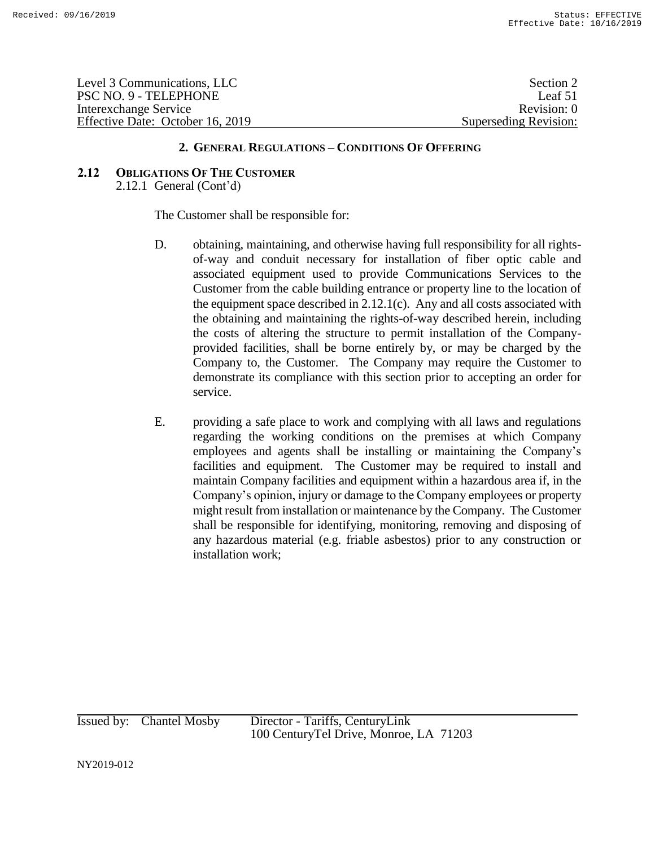| Level 3 Communications, LLC      | Section 2             |
|----------------------------------|-----------------------|
| PSC NO. 9 - TELEPHONE            | Leaf 51               |
| Interexchange Service            | Revision: 0           |
| Effective Date: October 16, 2019 | Superseding Revision: |

### **2.12 OBLIGATIONS OF THE CUSTOMER** 2.12.1 General (Cont'd)

The Customer shall be responsible for:

- D. obtaining, maintaining, and otherwise having full responsibility for all rightsof-way and conduit necessary for installation of fiber optic cable and associated equipment used to provide Communications Services to the Customer from the cable building entrance or property line to the location of the equipment space described in 2.12.1(c). Any and all costs associated with the obtaining and maintaining the rights-of-way described herein, including the costs of altering the structure to permit installation of the Companyprovided facilities, shall be borne entirely by, or may be charged by the Company to, the Customer. The Company may require the Customer to demonstrate its compliance with this section prior to accepting an order for service.
- E. providing a safe place to work and complying with all laws and regulations regarding the working conditions on the premises at which Company employees and agents shall be installing or maintaining the Company's facilities and equipment. The Customer may be required to install and maintain Company facilities and equipment within a hazardous area if, in the Company's opinion, injury or damage to the Company employees or property might result from installation or maintenance by the Company. The Customer shall be responsible for identifying, monitoring, removing and disposing of any hazardous material (e.g. friable asbestos) prior to any construction or installation work;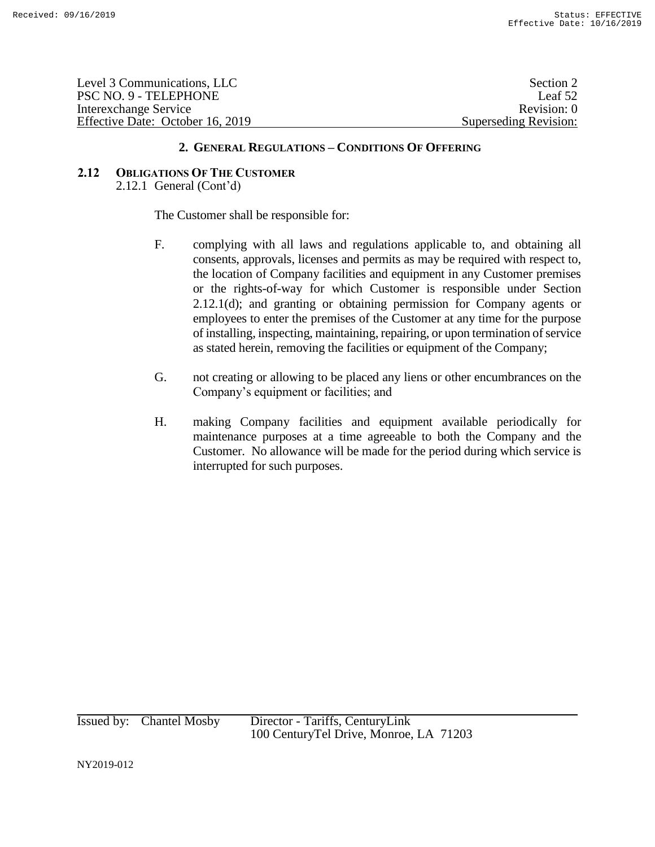| Level 3 Communications, LLC      | Section 2                    |
|----------------------------------|------------------------------|
| PSC NO. 9 - TELEPHONE            | Leaf $52$                    |
| Interexchange Service            | Revision: 0                  |
| Effective Date: October 16, 2019 | <b>Superseding Revision:</b> |

### **2.12 OBLIGATIONS OF THE CUSTOMER** 2.12.1 General (Cont'd)

The Customer shall be responsible for:

- F. complying with all laws and regulations applicable to, and obtaining all consents, approvals, licenses and permits as may be required with respect to, the location of Company facilities and equipment in any Customer premises or the rights-of-way for which Customer is responsible under Section 2.12.1(d); and granting or obtaining permission for Company agents or employees to enter the premises of the Customer at any time for the purpose of installing, inspecting, maintaining, repairing, or upon termination of service as stated herein, removing the facilities or equipment of the Company;
- G. not creating or allowing to be placed any liens or other encumbrances on the Company's equipment or facilities; and
- H. making Company facilities and equipment available periodically for maintenance purposes at a time agreeable to both the Company and the Customer. No allowance will be made for the period during which service is interrupted for such purposes.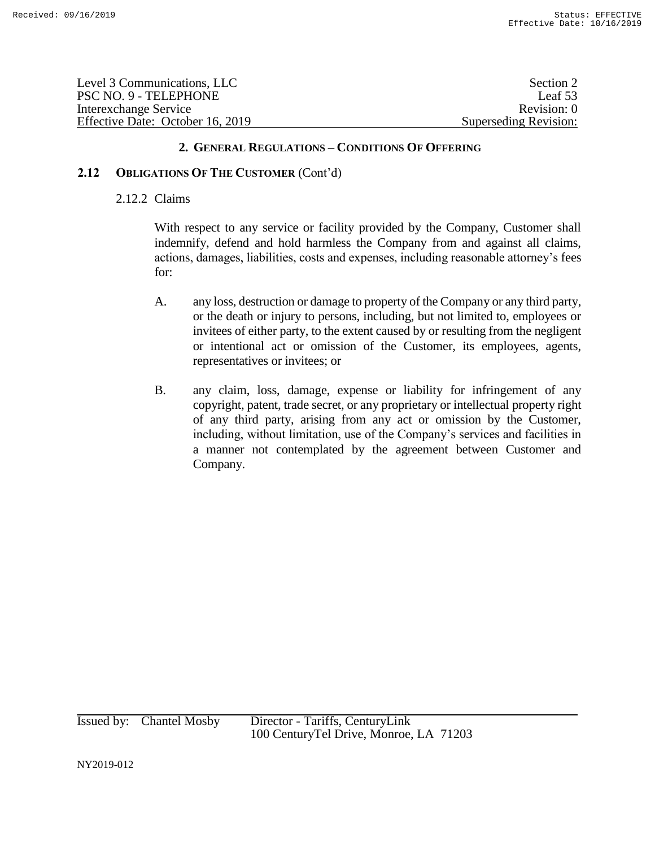| Level 3 Communications, LLC      | Section 2             |
|----------------------------------|-----------------------|
| PSC NO. 9 - TELEPHONE            | Leaf $53$             |
| Interexchange Service            | Revision: 0           |
| Effective Date: October 16, 2019 | Superseding Revision: |

# **2.12 OBLIGATIONS OF THE CUSTOMER** (Cont'd)

#### 2.12.2 Claims

With respect to any service or facility provided by the Company, Customer shall indemnify, defend and hold harmless the Company from and against all claims, actions, damages, liabilities, costs and expenses, including reasonable attorney's fees for:

- A. any loss, destruction or damage to property of the Company or any third party, or the death or injury to persons, including, but not limited to, employees or invitees of either party, to the extent caused by or resulting from the negligent or intentional act or omission of the Customer, its employees, agents, representatives or invitees; or
- B. any claim, loss, damage, expense or liability for infringement of any copyright, patent, trade secret, or any proprietary or intellectual property right of any third party, arising from any act or omission by the Customer, including, without limitation, use of the Company's services and facilities in a manner not contemplated by the agreement between Customer and Company.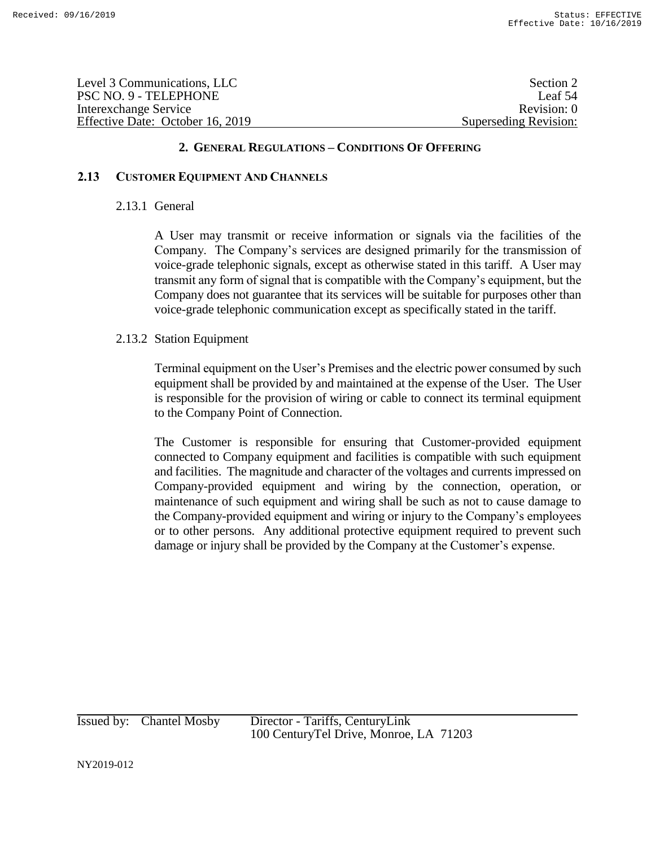| Level 3 Communications, LLC      | Section 2             |
|----------------------------------|-----------------------|
| PSC NO. 9 - TELEPHONE            | Leaf $54$             |
| Interexchange Service            | Revision: 0           |
| Effective Date: October 16, 2019 | Superseding Revision: |

# **2.13 CUSTOMER EQUIPMENT AND CHANNELS**

# 2.13.1 General

A User may transmit or receive information or signals via the facilities of the Company. The Company's services are designed primarily for the transmission of voice-grade telephonic signals, except as otherwise stated in this tariff. A User may transmit any form of signal that is compatible with the Company's equipment, but the Company does not guarantee that its services will be suitable for purposes other than voice-grade telephonic communication except as specifically stated in the tariff.

# 2.13.2 Station Equipment

Terminal equipment on the User's Premises and the electric power consumed by such equipment shall be provided by and maintained at the expense of the User. The User is responsible for the provision of wiring or cable to connect its terminal equipment to the Company Point of Connection.

The Customer is responsible for ensuring that Customer-provided equipment connected to Company equipment and facilities is compatible with such equipment and facilities. The magnitude and character of the voltages and currents impressed on Company-provided equipment and wiring by the connection, operation, or maintenance of such equipment and wiring shall be such as not to cause damage to the Company-provided equipment and wiring or injury to the Company's employees or to other persons. Any additional protective equipment required to prevent such damage or injury shall be provided by the Company at the Customer's expense.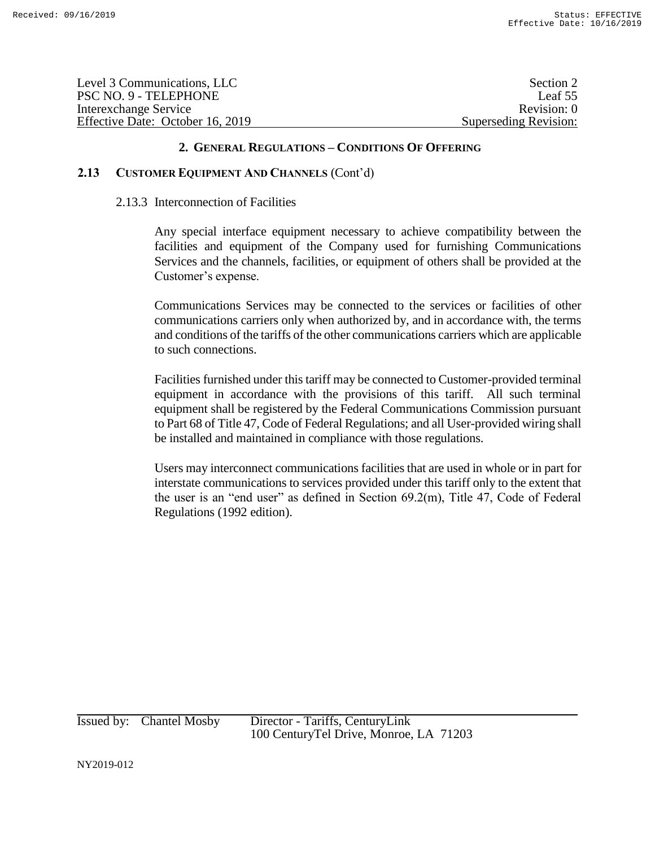| Level 3 Communications, LLC      | Section 2             |
|----------------------------------|-----------------------|
| PSC NO. 9 - TELEPHONE            | Leaf 55               |
| Interexchange Service            | Revision: 0           |
| Effective Date: October 16, 2019 | Superseding Revision: |

# **2.13 CUSTOMER EQUIPMENT AND CHANNELS** (Cont'd)

#### 2.13.3 Interconnection of Facilities

Any special interface equipment necessary to achieve compatibility between the facilities and equipment of the Company used for furnishing Communications Services and the channels, facilities, or equipment of others shall be provided at the Customer's expense.

Communications Services may be connected to the services or facilities of other communications carriers only when authorized by, and in accordance with, the terms and conditions of the tariffs of the other communications carriers which are applicable to such connections.

Facilities furnished under this tariff may be connected to Customer-provided terminal equipment in accordance with the provisions of this tariff. All such terminal equipment shall be registered by the Federal Communications Commission pursuant to Part 68 of Title 47, Code of Federal Regulations; and all User-provided wiring shall be installed and maintained in compliance with those regulations.

Users may interconnect communications facilities that are used in whole or in part for interstate communications to services provided under this tariff only to the extent that the user is an "end user" as defined in Section 69.2(m), Title 47, Code of Federal Regulations (1992 edition).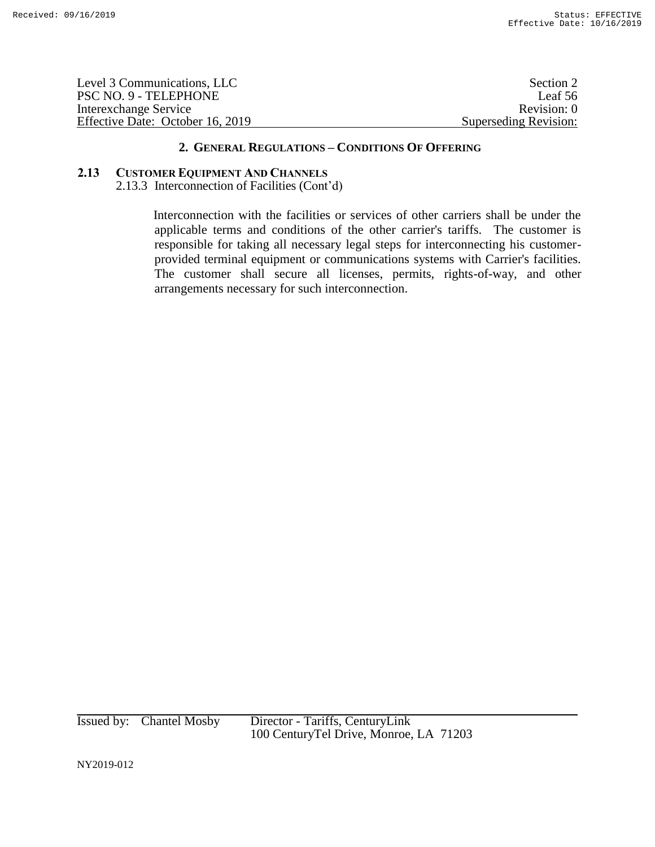| Level 3 Communications, LLC      | Section 2             |
|----------------------------------|-----------------------|
| PSC NO. 9 - TELEPHONE            | Leaf 56               |
| Interexchange Service            | Revision: 0           |
| Effective Date: October 16, 2019 | Superseding Revision: |

## **2.13 CUSTOMER EQUIPMENT AND CHANNELS**

2.13.3 Interconnection of Facilities (Cont'd)

Interconnection with the facilities or services of other carriers shall be under the applicable terms and conditions of the other carrier's tariffs. The customer is responsible for taking all necessary legal steps for interconnecting his customerprovided terminal equipment or communications systems with Carrier's facilities. The customer shall secure all licenses, permits, rights-of-way, and other arrangements necessary for such interconnection.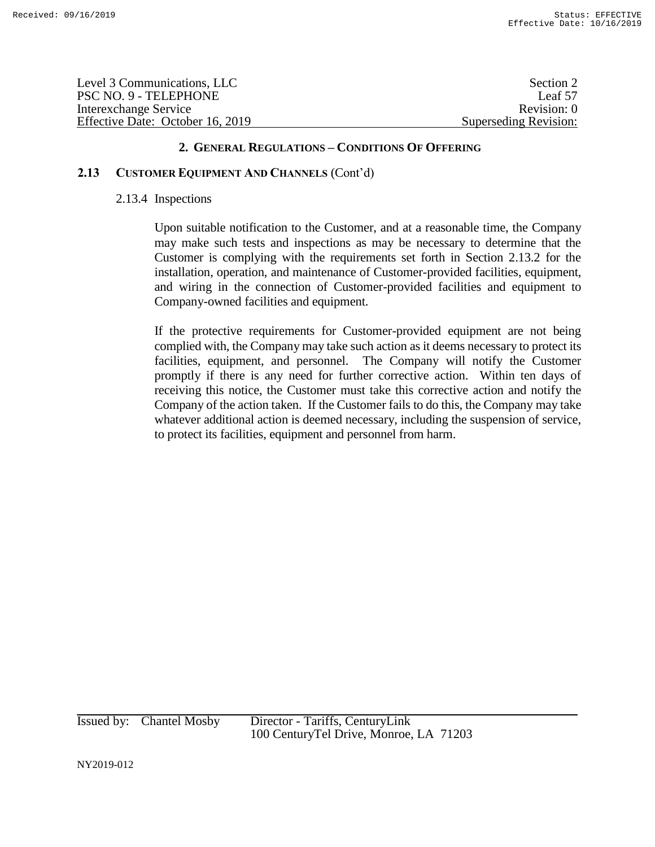| Level 3 Communications, LLC      | Section 2             |
|----------------------------------|-----------------------|
| PSC NO. 9 - TELEPHONE            | Leaf $57$             |
| Interexchange Service            | Revision: 0           |
| Effective Date: October 16, 2019 | Superseding Revision: |

# **2.13 CUSTOMER EQUIPMENT AND CHANNELS** (Cont'd)

#### 2.13.4 Inspections

Upon suitable notification to the Customer, and at a reasonable time, the Company may make such tests and inspections as may be necessary to determine that the Customer is complying with the requirements set forth in Section 2.13.2 for the installation, operation, and maintenance of Customer-provided facilities, equipment, and wiring in the connection of Customer-provided facilities and equipment to Company-owned facilities and equipment.

If the protective requirements for Customer-provided equipment are not being complied with, the Company may take such action as it deems necessary to protect its facilities, equipment, and personnel. The Company will notify the Customer promptly if there is any need for further corrective action. Within ten days of receiving this notice, the Customer must take this corrective action and notify the Company of the action taken. If the Customer fails to do this, the Company may take whatever additional action is deemed necessary, including the suspension of service, to protect its facilities, equipment and personnel from harm.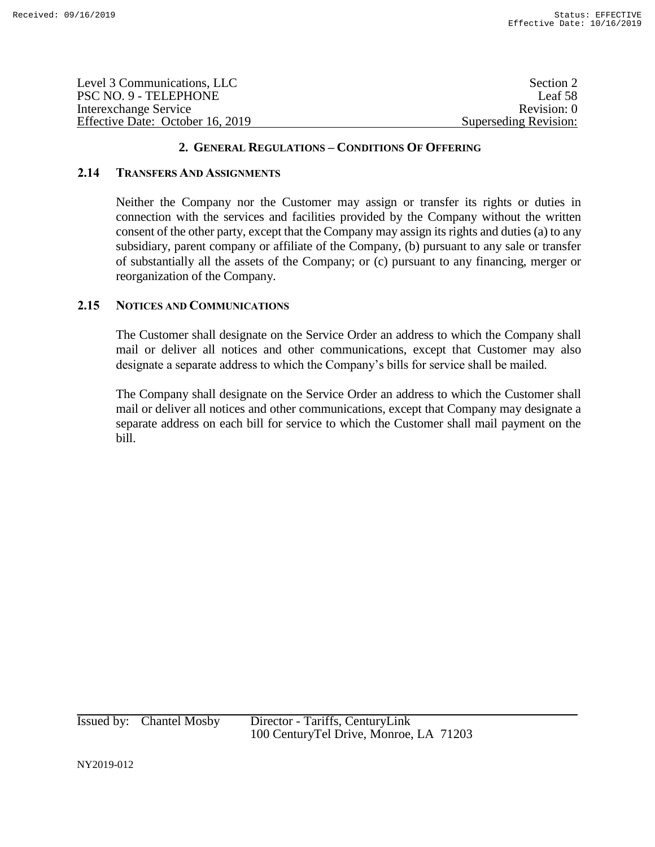| Level 3 Communications, LLC      | Section 2             |
|----------------------------------|-----------------------|
| PSC NO. 9 - TELEPHONE            | Leaf 58               |
| Interexchange Service            | Revision: 0           |
| Effective Date: October 16, 2019 | Superseding Revision: |

# **2.14 TRANSFERS AND ASSIGNMENTS**

Neither the Company nor the Customer may assign or transfer its rights or duties in connection with the services and facilities provided by the Company without the written consent of the other party, except that the Company may assign its rights and duties (a) to any subsidiary, parent company or affiliate of the Company, (b) pursuant to any sale or transfer of substantially all the assets of the Company; or (c) pursuant to any financing, merger or reorganization of the Company.

# **2.15 NOTICES AND COMMUNICATIONS**

The Customer shall designate on the Service Order an address to which the Company shall mail or deliver all notices and other communications, except that Customer may also designate a separate address to which the Company's bills for service shall be mailed.

The Company shall designate on the Service Order an address to which the Customer shall mail or deliver all notices and other communications, except that Company may designate a separate address on each bill for service to which the Customer shall mail payment on the bill.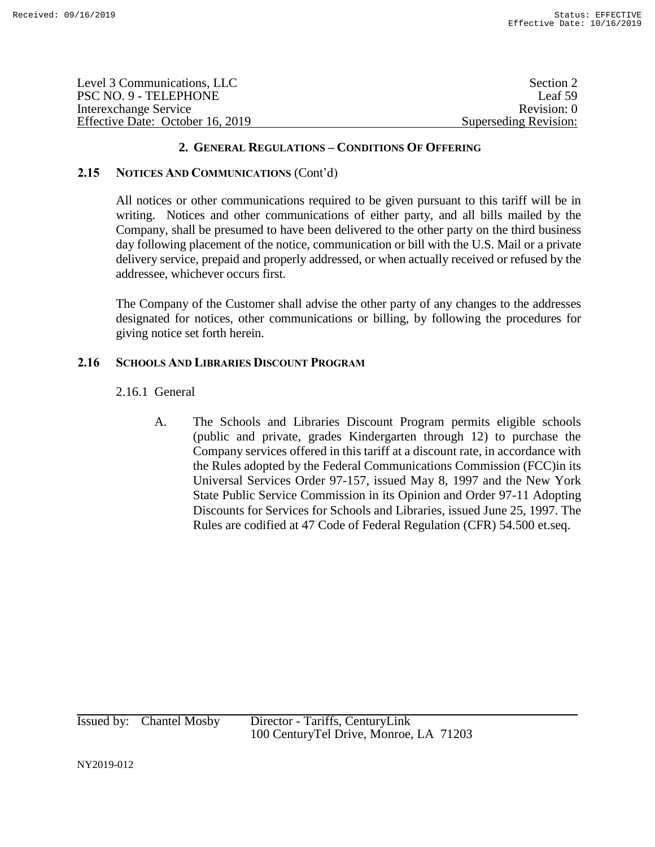| Level 3 Communications, LLC      | Section 2             |
|----------------------------------|-----------------------|
| PSC NO. 9 - TELEPHONE            | Leaf 59               |
| Interexchange Service            | Revision: 0           |
| Effective Date: October 16, 2019 | Superseding Revision: |

# **2.15 NOTICES AND COMMUNICATIONS** (Cont'd)

All notices or other communications required to be given pursuant to this tariff will be in writing. Notices and other communications of either party, and all bills mailed by the Company, shall be presumed to have been delivered to the other party on the third business day following placement of the notice, communication or bill with the U.S. Mail or a private delivery service, prepaid and properly addressed, or when actually received or refused by the addressee, whichever occurs first.

The Company of the Customer shall advise the other party of any changes to the addresses designated for notices, other communications or billing, by following the procedures for giving notice set forth herein.

# **2.16 SCHOOLS AND LIBRARIES DISCOUNT PROGRAM**

# 2.16.1 General

A. The Schools and Libraries Discount Program permits eligible schools (public and private, grades Kindergarten through 12) to purchase the Company services offered in this tariff at a discount rate, in accordance with the Rules adopted by the Federal Communications Commission (FCC)in its Universal Services Order 97-157, issued May 8, 1997 and the New York State Public Service Commission in its Opinion and Order 97-11 Adopting Discounts for Services for Schools and Libraries, issued June 25, 1997. The Rules are codified at 47 Code of Federal Regulation (CFR) 54.500 et.seq.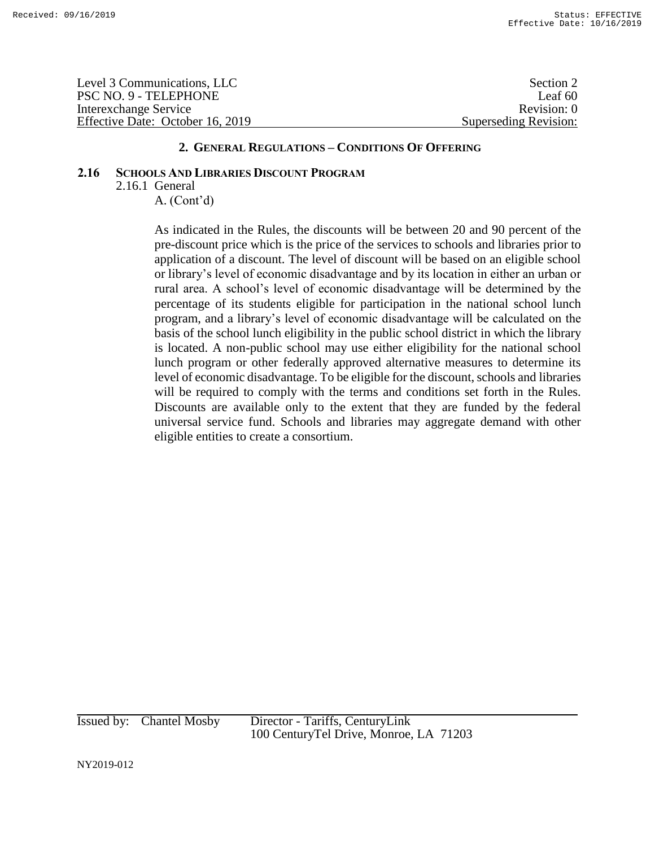Level 3 Communications, LLC Section 2 PSC NO. 9 - TELEPHONE Leaf 60 Interexchange Service Revision: 0 Effective Date: October 16, 2019 Superseding Revision:

# **2. GENERAL REGULATIONS – CONDITIONS OF OFFERING**

### **2.16 SCHOOLS AND LIBRARIES DISCOUNT PROGRAM**

2.16.1 General A. (Cont'd)

> As indicated in the Rules, the discounts will be between 20 and 90 percent of the pre-discount price which is the price of the services to schools and libraries prior to application of a discount. The level of discount will be based on an eligible school or library's level of economic disadvantage and by its location in either an urban or rural area. A school's level of economic disadvantage will be determined by the percentage of its students eligible for participation in the national school lunch program, and a library's level of economic disadvantage will be calculated on the basis of the school lunch eligibility in the public school district in which the library is located. A non-public school may use either eligibility for the national school lunch program or other federally approved alternative measures to determine its level of economic disadvantage. To be eligible for the discount, schools and libraries will be required to comply with the terms and conditions set forth in the Rules. Discounts are available only to the extent that they are funded by the federal universal service fund. Schools and libraries may aggregate demand with other eligible entities to create a consortium.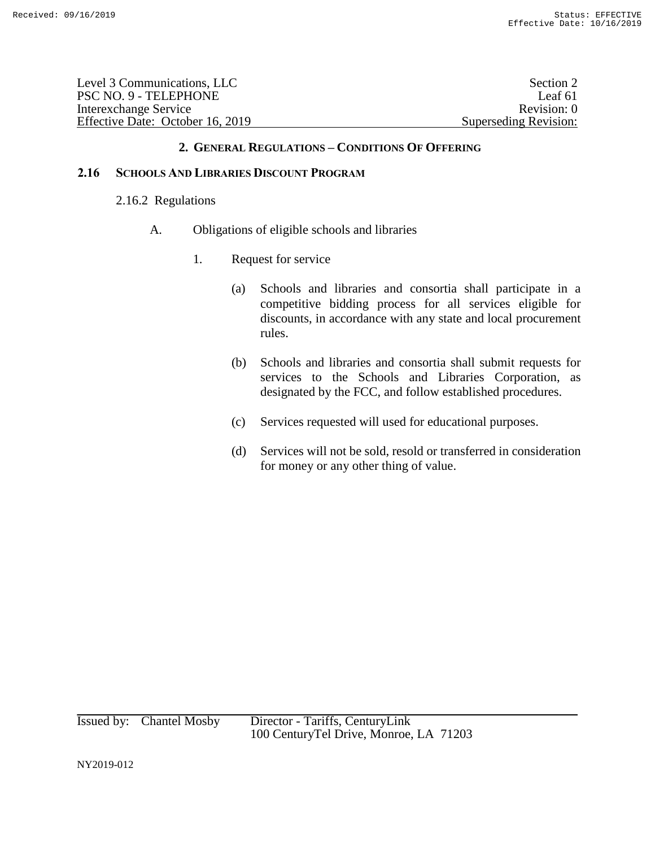| Level 3 Communications, LLC      | Section 2             |
|----------------------------------|-----------------------|
| PSC NO. 9 - TELEPHONE            | Leaf 61               |
| Interexchange Service            | Revision: 0           |
| Effective Date: October 16, 2019 | Superseding Revision: |

# **2.16 SCHOOLS AND LIBRARIES DISCOUNT PROGRAM**

2.16.2 Regulations

- A. Obligations of eligible schools and libraries
	- 1. Request for service
		- (a) Schools and libraries and consortia shall participate in a competitive bidding process for all services eligible for discounts, in accordance with any state and local procurement rules.
		- (b) Schools and libraries and consortia shall submit requests for services to the Schools and Libraries Corporation, as designated by the FCC, and follow established procedures.
		- (c) Services requested will used for educational purposes.
		- (d) Services will not be sold, resold or transferred in consideration for money or any other thing of value.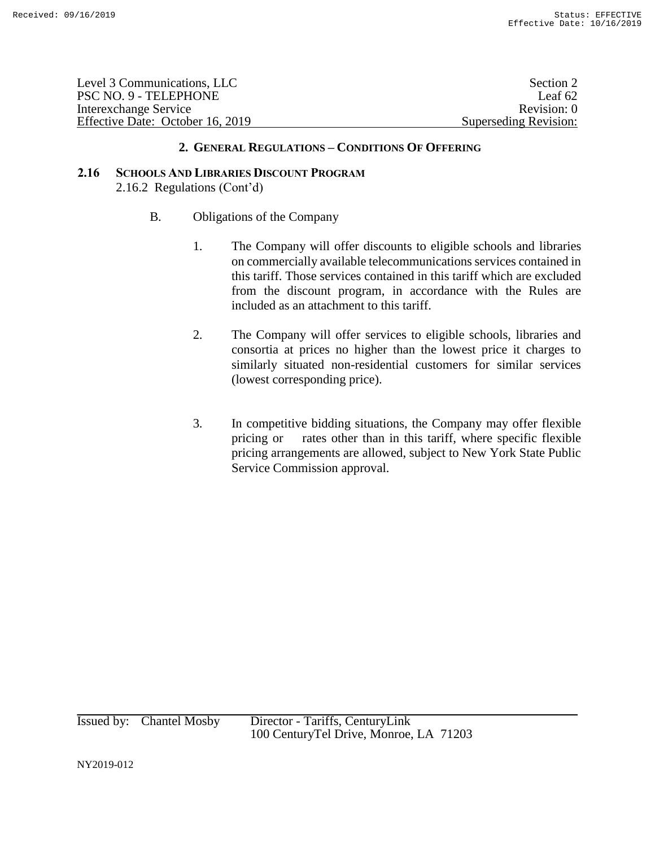| Level 3 Communications, LLC      | Section 2             |
|----------------------------------|-----------------------|
| PSC NO. 9 - TELEPHONE            | Leaf $62$             |
| Interexchange Service            | Revision: 0           |
| Effective Date: October 16, 2019 | Superseding Revision: |

# **2.16 SCHOOLS AND LIBRARIES DISCOUNT PROGRAM** 2.16.2 Regulations (Cont'd)

- B. Obligations of the Company
	- 1. The Company will offer discounts to eligible schools and libraries on commercially available telecommunications services contained in this tariff. Those services contained in this tariff which are excluded from the discount program, in accordance with the Rules are included as an attachment to this tariff.
	- 2. The Company will offer services to eligible schools, libraries and consortia at prices no higher than the lowest price it charges to similarly situated non-residential customers for similar services (lowest corresponding price).
	- 3. In competitive bidding situations, the Company may offer flexible pricing or rates other than in this tariff, where specific flexible pricing arrangements are allowed, subject to New York State Public Service Commission approval.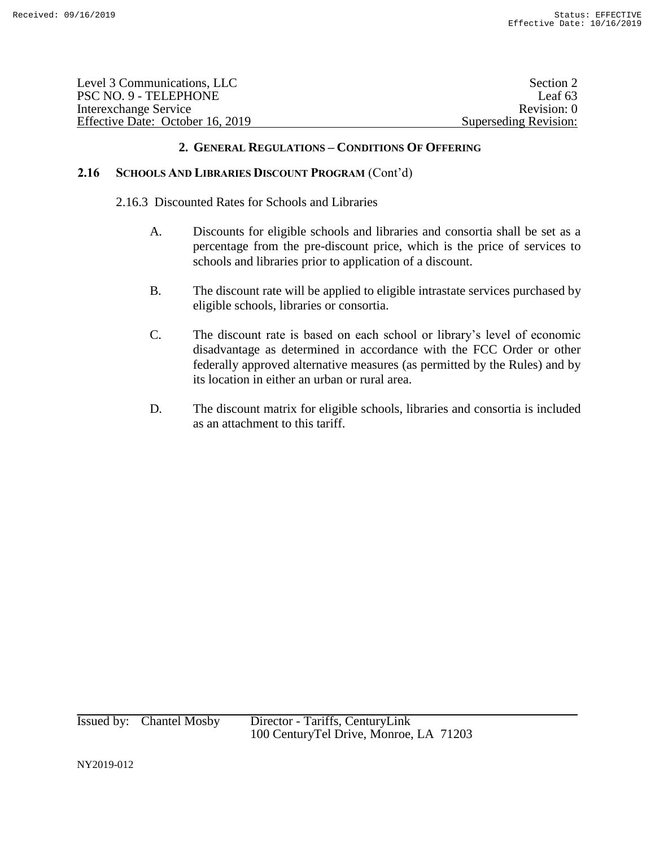| Level 3 Communications, LLC      | Section 2             |
|----------------------------------|-----------------------|
| PSC NO. 9 - TELEPHONE            | Leaf $63$             |
| Interexchange Service            | Revision: 0           |
| Effective Date: October 16, 2019 | Superseding Revision: |

# **2.16 SCHOOLS AND LIBRARIES DISCOUNT PROGRAM** (Cont'd)

2.16.3 Discounted Rates for Schools and Libraries

- A. Discounts for eligible schools and libraries and consortia shall be set as a percentage from the pre-discount price, which is the price of services to schools and libraries prior to application of a discount.
- B. The discount rate will be applied to eligible intrastate services purchased by eligible schools, libraries or consortia.
- C. The discount rate is based on each school or library's level of economic disadvantage as determined in accordance with the FCC Order or other federally approved alternative measures (as permitted by the Rules) and by its location in either an urban or rural area.
- D. The discount matrix for eligible schools, libraries and consortia is included as an attachment to this tariff.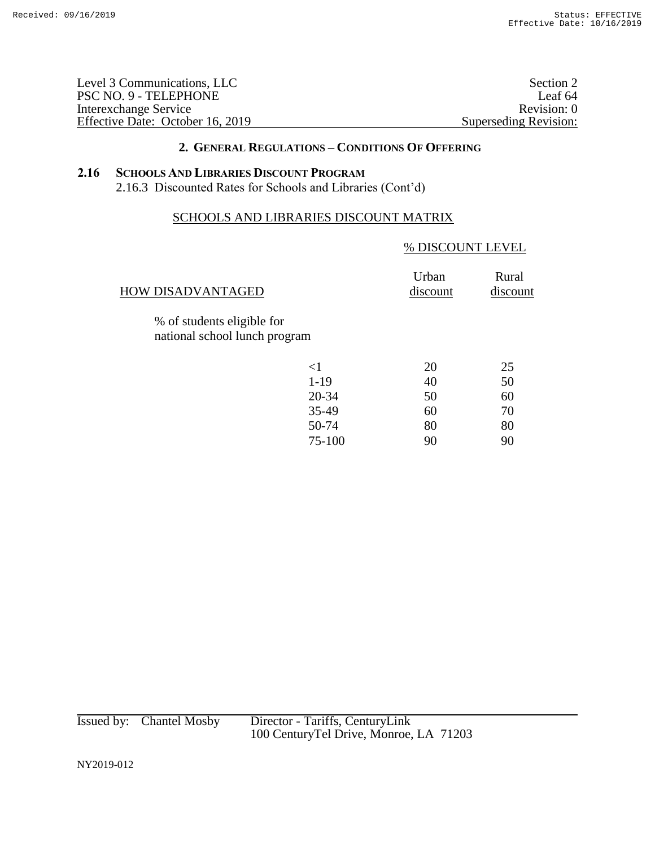| Level 3 Communications, LLC      | Section 2             |
|----------------------------------|-----------------------|
| PSC NO. 9 - TELEPHONE            | Leaf 64               |
| Interexchange Service            | Revision: 0           |
| Effective Date: October 16, 2019 | Superseding Revision: |

# **2.16 SCHOOLS AND LIBRARIES DISCOUNT PROGRAM**

2.16.3 Discounted Rates for Schools and Libraries (Cont'd)

# SCHOOLS AND LIBRARIES DISCOUNT MATRIX

# % DISCOUNT LEVEL

| <b>HOW DISADVANTAGED</b>                                    |          | Urban<br>discount | Rural<br>discount |
|-------------------------------------------------------------|----------|-------------------|-------------------|
| % of students eligible for<br>national school lunch program |          |                   |                   |
|                                                             | $\leq$ 1 | 20                | 25                |
|                                                             | $1-19$   | 40                | 50                |
|                                                             | 20-34    | 50                | 60                |
|                                                             | 35-49    | 60                | 70                |
|                                                             | 50-74    | 80                | 80                |
|                                                             | 75-100   | 90                | 90                |
|                                                             |          |                   |                   |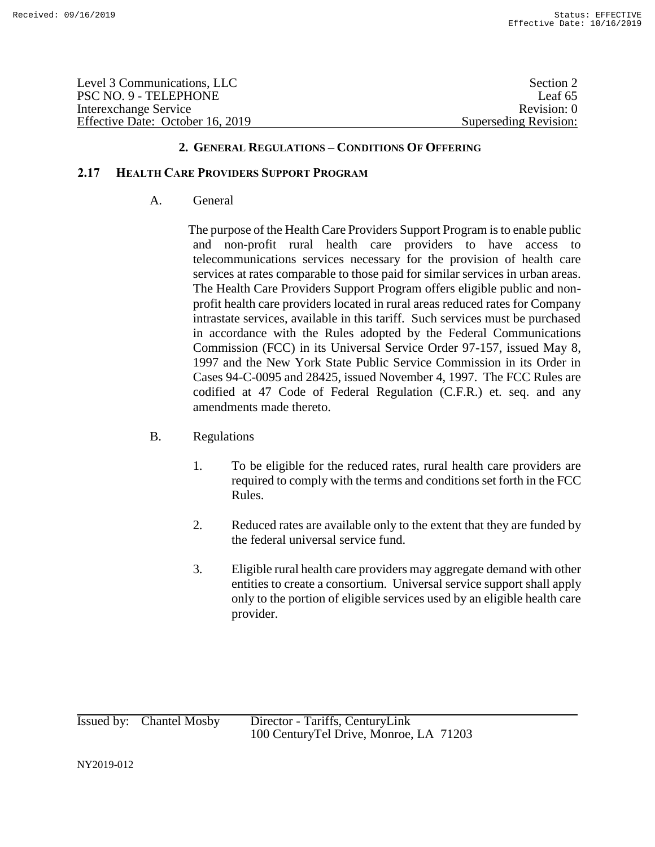| Level 3 Communications, LLC      | Section 2             |
|----------------------------------|-----------------------|
| PSC NO. 9 - TELEPHONE            | Leaf $65$             |
| Interexchange Service            | Revision: 0           |
| Effective Date: October 16, 2019 | Superseding Revision: |

# **2.17 HEALTH CARE PROVIDERS SUPPORT PROGRAM**

A. General

The purpose of the Health Care Providers Support Program is to enable public and non-profit rural health care providers to have access to telecommunications services necessary for the provision of health care services at rates comparable to those paid for similar services in urban areas. The Health Care Providers Support Program offers eligible public and nonprofit health care providers located in rural areas reduced rates for Company intrastate services, available in this tariff. Such services must be purchased in accordance with the Rules adopted by the Federal Communications Commission (FCC) in its Universal Service Order 97-157, issued May 8, 1997 and the New York State Public Service Commission in its Order in Cases 94-C-0095 and 28425, issued November 4, 1997. The FCC Rules are codified at 47 Code of Federal Regulation (C.F.R.) et. seq. and any amendments made thereto.

- B. Regulations
	- 1. To be eligible for the reduced rates, rural health care providers are required to comply with the terms and conditions set forth in the FCC Rules.
	- 2. Reduced rates are available only to the extent that they are funded by the federal universal service fund.
	- 3. Eligible rural health care providers may aggregate demand with other entities to create a consortium. Universal service support shall apply only to the portion of eligible services used by an eligible health care provider.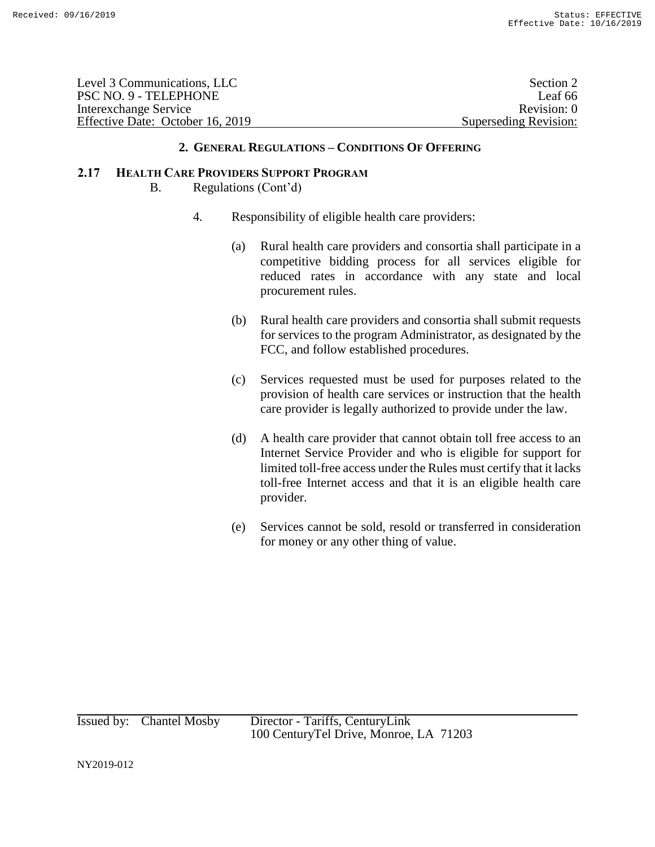| Level 3 Communications, LLC      | Section 2             |
|----------------------------------|-----------------------|
| PSC NO. 9 - TELEPHONE            | Leaf 66               |
| Interexchange Service            | Revision: 0           |
| Effective Date: October 16, 2019 | Superseding Revision: |

### **2.17 HEALTH CARE PROVIDERS SUPPORT PROGRAM**

- B. Regulations (Cont'd)
	- 4. Responsibility of eligible health care providers:
		- (a) Rural health care providers and consortia shall participate in a competitive bidding process for all services eligible for reduced rates in accordance with any state and local procurement rules.
		- (b) Rural health care providers and consortia shall submit requests for services to the program Administrator, as designated by the FCC, and follow established procedures.
		- (c) Services requested must be used for purposes related to the provision of health care services or instruction that the health care provider is legally authorized to provide under the law.
		- (d) A health care provider that cannot obtain toll free access to an Internet Service Provider and who is eligible for support for limited toll-free access under the Rules must certify that it lacks toll-free Internet access and that it is an eligible health care provider.
		- (e) Services cannot be sold, resold or transferred in consideration for money or any other thing of value.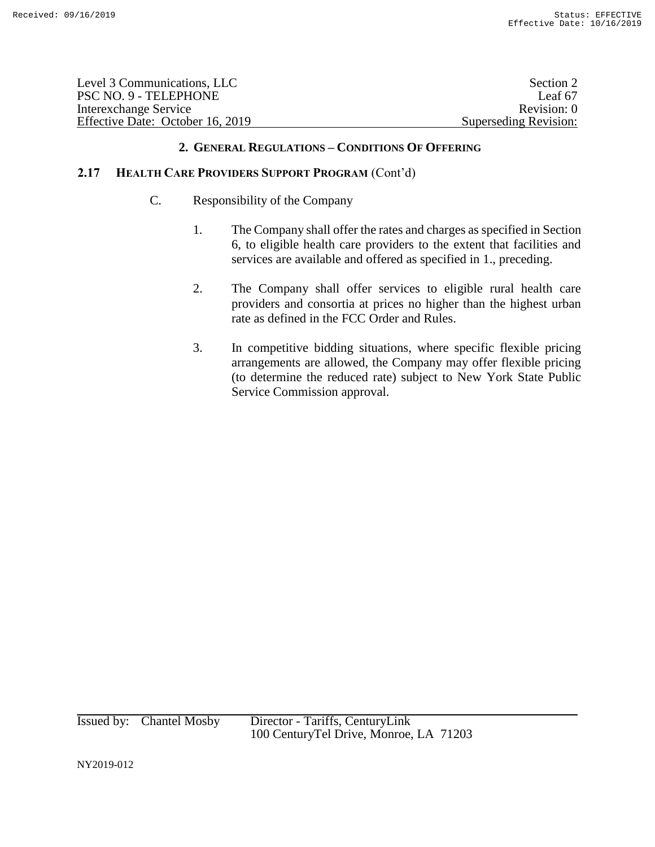| Level 3 Communications, LLC      | Section 2             |
|----------------------------------|-----------------------|
| PSC NO. 9 - TELEPHONE            | Leaf 67               |
| Interexchange Service            | Revision: 0           |
| Effective Date: October 16, 2019 | Superseding Revision: |

# **2.17 HEALTH CARE PROVIDERS SUPPORT PROGRAM** (Cont'd)

- C. Responsibility of the Company
	- 1. The Company shall offer the rates and charges as specified in Section 6, to eligible health care providers to the extent that facilities and services are available and offered as specified in 1., preceding.
	- 2. The Company shall offer services to eligible rural health care providers and consortia at prices no higher than the highest urban rate as defined in the FCC Order and Rules.
	- 3. In competitive bidding situations, where specific flexible pricing arrangements are allowed, the Company may offer flexible pricing (to determine the reduced rate) subject to New York State Public Service Commission approval.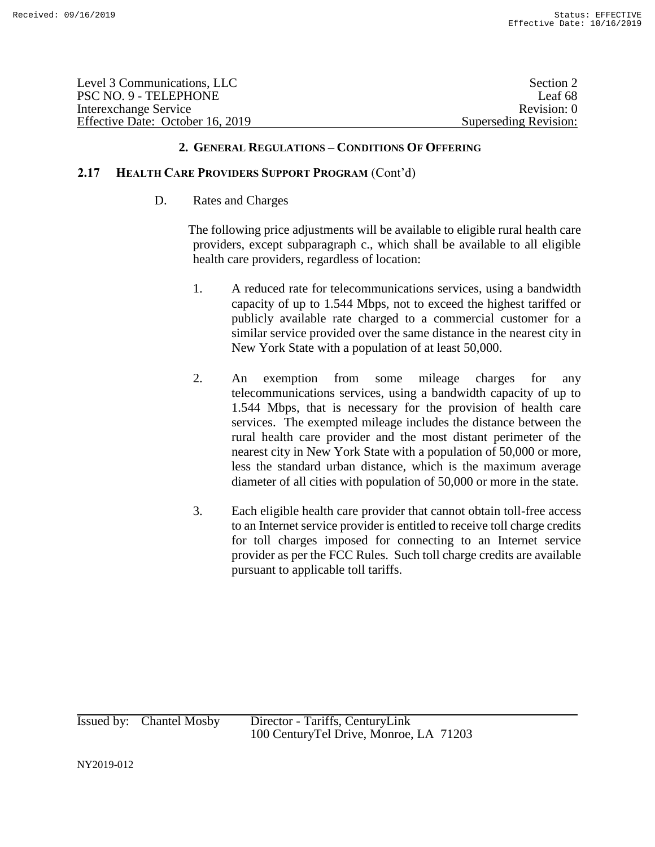| Level 3 Communications, LLC      | Section 2             |
|----------------------------------|-----------------------|
| PSC NO. 9 - TELEPHONE            | Leaf 68               |
| Interexchange Service            | Revision: 0           |
| Effective Date: October 16, 2019 | Superseding Revision: |

# **2.17 HEALTH CARE PROVIDERS SUPPORT PROGRAM** (Cont'd)

D. Rates and Charges

The following price adjustments will be available to eligible rural health care providers, except subparagraph c., which shall be available to all eligible health care providers, regardless of location:

- 1. A reduced rate for telecommunications services, using a bandwidth capacity of up to 1.544 Mbps, not to exceed the highest tariffed or publicly available rate charged to a commercial customer for a similar service provided over the same distance in the nearest city in New York State with a population of at least 50,000.
- 2. An exemption from some mileage charges for any telecommunications services, using a bandwidth capacity of up to 1.544 Mbps, that is necessary for the provision of health care services. The exempted mileage includes the distance between the rural health care provider and the most distant perimeter of the nearest city in New York State with a population of 50,000 or more, less the standard urban distance, which is the maximum average diameter of all cities with population of 50,000 or more in the state.
- 3. Each eligible health care provider that cannot obtain toll-free access to an Internet service provider is entitled to receive toll charge credits for toll charges imposed for connecting to an Internet service provider as per the FCC Rules. Such toll charge credits are available pursuant to applicable toll tariffs.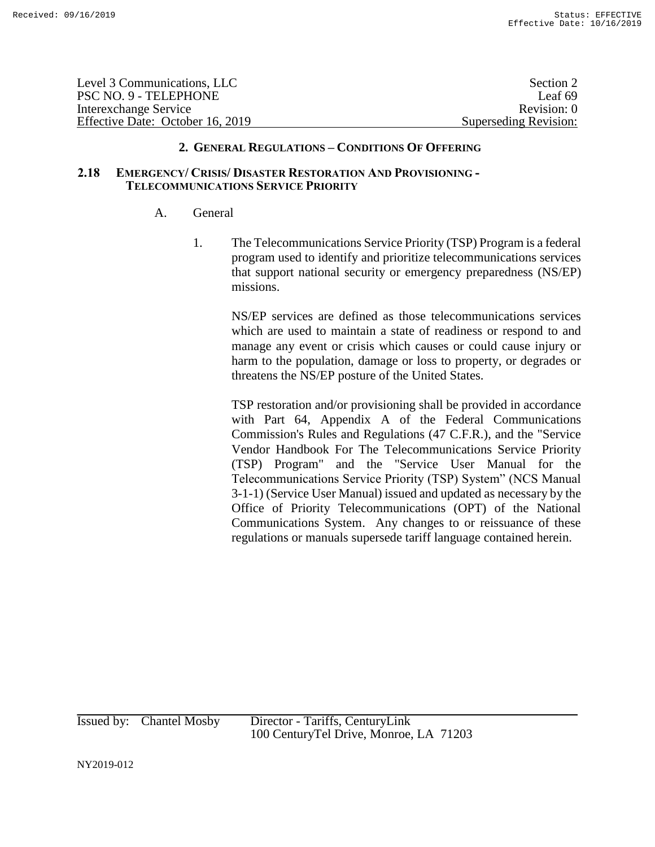| Level 3 Communications, LLC      | Section 2             |
|----------------------------------|-----------------------|
| PSC NO. 9 - TELEPHONE            | Leaf 69               |
| Interexchange Service            | Revision: 0           |
| Effective Date: October 16, 2019 | Superseding Revision: |

### **2.18 EMERGENCY/ CRISIS/ DISASTER RESTORATION AND PROVISIONING - TELECOMMUNICATIONS SERVICE PRIORITY**

### A. General

1. The Telecommunications Service Priority (TSP) Program is a federal program used to identify and prioritize telecommunications services that support national security or emergency preparedness (NS/EP) missions.

NS/EP services are defined as those telecommunications services which are used to maintain a state of readiness or respond to and manage any event or crisis which causes or could cause injury or harm to the population, damage or loss to property, or degrades or threatens the NS/EP posture of the United States.

TSP restoration and/or provisioning shall be provided in accordance with Part 64, Appendix A of the Federal Communications Commission's Rules and Regulations (47 C.F.R.), and the "Service Vendor Handbook For The Telecommunications Service Priority (TSP) Program" and the "Service User Manual for the Telecommunications Service Priority (TSP) System" (NCS Manual 3-1-1) (Service User Manual) issued and updated as necessary by the Office of Priority Telecommunications (OPT) of the National Communications System. Any changes to or reissuance of these regulations or manuals supersede tariff language contained herein.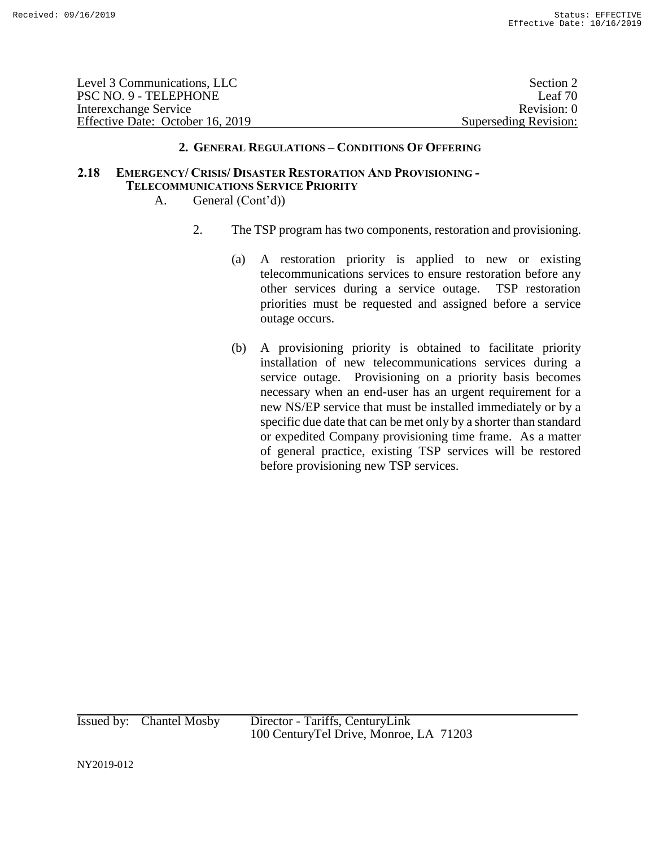| Level 3 Communications, LLC      | Section 2             |
|----------------------------------|-----------------------|
| PSC NO. 9 - TELEPHONE            | Leaf $701$            |
| Interexchange Service            | Revision: 0           |
| Effective Date: October 16, 2019 | Superseding Revision: |

## **2.18 EMERGENCY/ CRISIS/ DISASTER RESTORATION AND PROVISIONING - TELECOMMUNICATIONS SERVICE PRIORITY**

- A. General (Cont'd))
	- 2. The TSP program has two components, restoration and provisioning.
		- (a) A restoration priority is applied to new or existing telecommunications services to ensure restoration before any other services during a service outage. TSP restoration priorities must be requested and assigned before a service outage occurs.
		- (b) A provisioning priority is obtained to facilitate priority installation of new telecommunications services during a service outage. Provisioning on a priority basis becomes necessary when an end-user has an urgent requirement for a new NS/EP service that must be installed immediately or by a specific due date that can be met only by a shorter than standard or expedited Company provisioning time frame. As a matter of general practice, existing TSP services will be restored before provisioning new TSP services.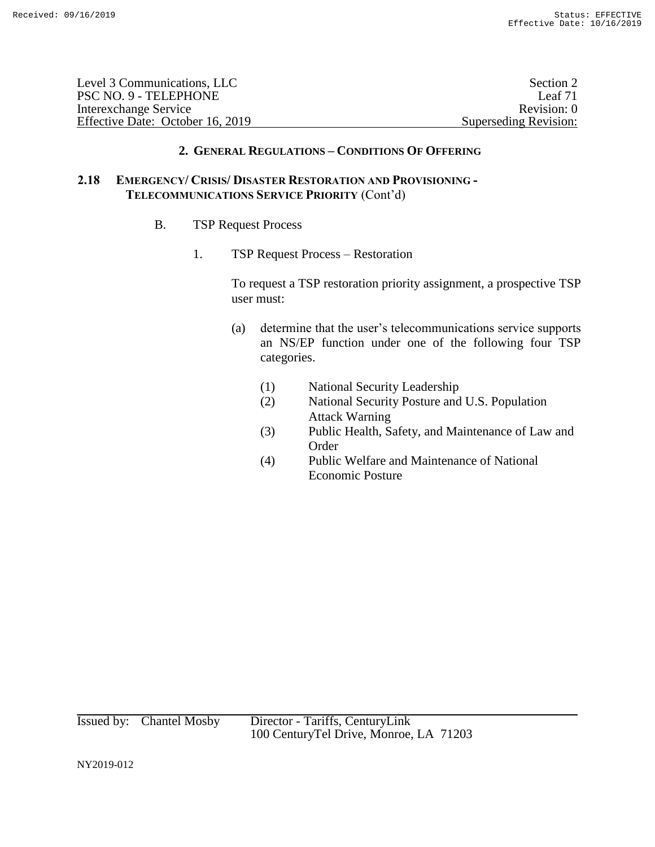| Level 3 Communications, LLC      | Section 2             |
|----------------------------------|-----------------------|
| PSC NO. 9 - TELEPHONE            | Leaf 71               |
| Interexchange Service            | Revision: 0           |
| Effective Date: October 16, 2019 | Superseding Revision: |

# **2.18 EMERGENCY/ CRISIS/ DISASTER RESTORATION AND PROVISIONING - TELECOMMUNICATIONS SERVICE PRIORITY** (Cont'd)

- B. TSP Request Process
	- 1. TSP Request Process Restoration

To request a TSP restoration priority assignment, a prospective TSP user must:

- (a) determine that the user's telecommunications service supports an NS/EP function under one of the following four TSP categories.
	- (1) National Security Leadership
	- (2) National Security Posture and U.S. Population Attack Warning
	- (3) Public Health, Safety, and Maintenance of Law and Order
	- (4) Public Welfare and Maintenance of National Economic Posture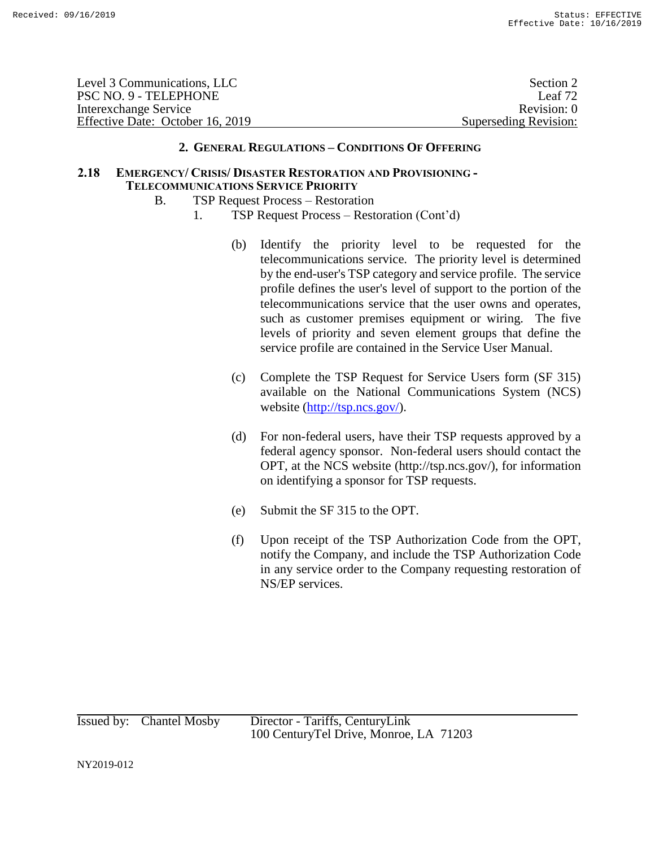| Level 3 Communications, LLC      | Section 2             |
|----------------------------------|-----------------------|
| PSC NO. 9 - TELEPHONE            | Leaf $72$             |
| Interexchange Service            | Revision: 0           |
| Effective Date: October 16, 2019 | Superseding Revision: |

## **2.18 EMERGENCY/ CRISIS/ DISASTER RESTORATION AND PROVISIONING - TELECOMMUNICATIONS SERVICE PRIORITY**

- B. TSP Request Process Restoration
	- 1. TSP Request Process Restoration (Cont'd)
		- (b) Identify the priority level to be requested for the telecommunications service. The priority level is determined by the end-user's TSP category and service profile. The service profile defines the user's level of support to the portion of the telecommunications service that the user owns and operates, such as customer premises equipment or wiring. The five levels of priority and seven element groups that define the service profile are contained in the Service User Manual.
		- (c) Complete the TSP Request for Service Users form (SF 315) available on the National Communications System (NCS) website (http://tsp.ncs.gov/).
		- (d) For non-federal users, have their TSP requests approved by a federal agency sponsor. Non-federal users should contact the OPT, at the NCS website (http://tsp.ncs.gov/), for information on identifying a sponsor for TSP requests.
		- (e) Submit the SF 315 to the OPT.
		- (f) Upon receipt of the TSP Authorization Code from the OPT, notify the Company, and include the TSP Authorization Code in any service order to the Company requesting restoration of NS/EP services.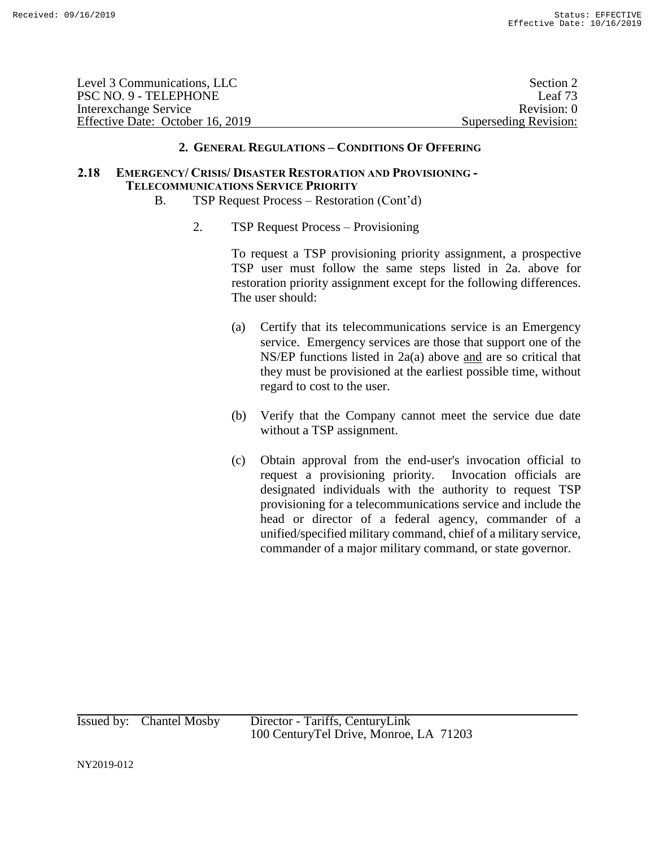| Level 3 Communications, LLC      | Section 2             |
|----------------------------------|-----------------------|
| PSC NO. 9 - TELEPHONE            | Leaf $73$             |
| Interexchange Service            | Revision: 0           |
| Effective Date: October 16, 2019 | Superseding Revision: |

## **2.18 EMERGENCY/ CRISIS/ DISASTER RESTORATION AND PROVISIONING - TELECOMMUNICATIONS SERVICE PRIORITY**

- B. TSP Request Process Restoration (Cont'd)
	- 2. TSP Request Process Provisioning

To request a TSP provisioning priority assignment, a prospective TSP user must follow the same steps listed in 2a. above for restoration priority assignment except for the following differences. The user should:

- (a) Certify that its telecommunications service is an Emergency service. Emergency services are those that support one of the NS/EP functions listed in 2a(a) above and are so critical that they must be provisioned at the earliest possible time, without regard to cost to the user.
- (b) Verify that the Company cannot meet the service due date without a TSP assignment.
- (c) Obtain approval from the end-user's invocation official to request a provisioning priority. Invocation officials are designated individuals with the authority to request TSP provisioning for a telecommunications service and include the head or director of a federal agency, commander of a unified/specified military command, chief of a military service, commander of a major military command, or state governor.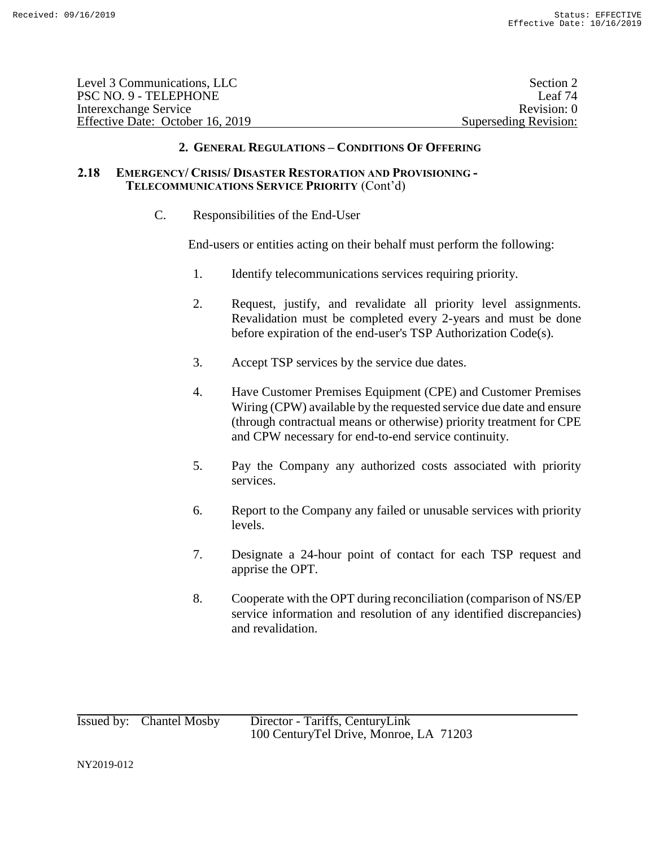| Level 3 Communications, LLC      | Section 2             |
|----------------------------------|-----------------------|
| PSC NO. 9 - TELEPHONE            | Leaf $74$             |
| Interexchange Service            | Revision: 0           |
| Effective Date: October 16, 2019 | Superseding Revision: |

#### **2.18 EMERGENCY/ CRISIS/ DISASTER RESTORATION AND PROVISIONING - TELECOMMUNICATIONS SERVICE PRIORITY** (Cont'd)

C. Responsibilities of the End-User

End-users or entities acting on their behalf must perform the following:

- 1. Identify telecommunications services requiring priority.
- 2. Request, justify, and revalidate all priority level assignments. Revalidation must be completed every 2-years and must be done before expiration of the end-user's TSP Authorization Code(s).
- 3. Accept TSP services by the service due dates.
- 4. Have Customer Premises Equipment (CPE) and Customer Premises Wiring (CPW) available by the requested service due date and ensure (through contractual means or otherwise) priority treatment for CPE and CPW necessary for end-to-end service continuity.
- 5. Pay the Company any authorized costs associated with priority services.
- 6. Report to the Company any failed or unusable services with priority levels.
- 7. Designate a 24-hour point of contact for each TSP request and apprise the OPT.
- 8. Cooperate with the OPT during reconciliation (comparison of NS/EP service information and resolution of any identified discrepancies) and revalidation.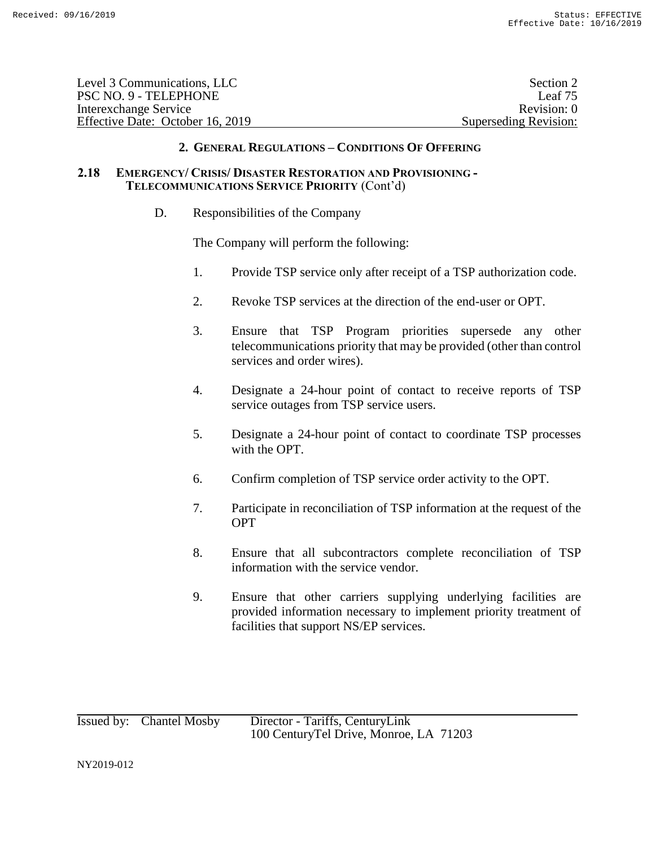| Level 3 Communications, LLC      | Section 2             |
|----------------------------------|-----------------------|
| PSC NO. 9 - TELEPHONE            | Leaf $75$             |
| Interexchange Service            | Revision: 0           |
| Effective Date: October 16, 2019 | Superseding Revision: |

#### **2.18 EMERGENCY/ CRISIS/ DISASTER RESTORATION AND PROVISIONING - TELECOMMUNICATIONS SERVICE PRIORITY** (Cont'd)

D. Responsibilities of the Company

The Company will perform the following:

- 1. Provide TSP service only after receipt of a TSP authorization code.
- 2. Revoke TSP services at the direction of the end-user or OPT.
- 3. Ensure that TSP Program priorities supersede any other telecommunications priority that may be provided (other than control services and order wires).
- 4. Designate a 24-hour point of contact to receive reports of TSP service outages from TSP service users.
- 5. Designate a 24-hour point of contact to coordinate TSP processes with the OPT.
- 6. Confirm completion of TSP service order activity to the OPT.
- 7. Participate in reconciliation of TSP information at the request of the OPT
- 8. Ensure that all subcontractors complete reconciliation of TSP information with the service vendor.
- 9. Ensure that other carriers supplying underlying facilities are provided information necessary to implement priority treatment of facilities that support NS/EP services.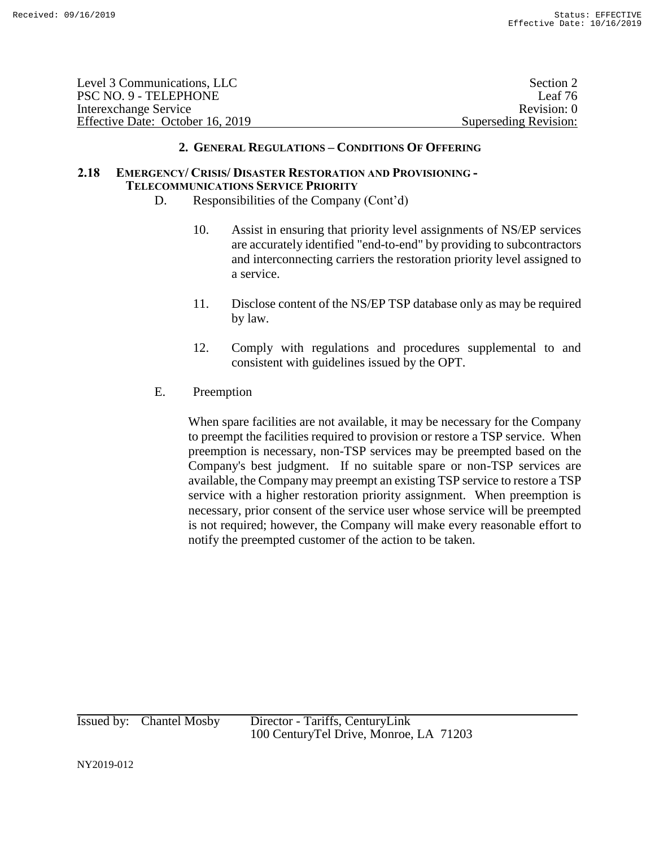| Level 3 Communications, LLC      | Section 2             |
|----------------------------------|-----------------------|
| PSC NO. 9 - TELEPHONE            | Leaf 76               |
| Interexchange Service            | Revision: 0           |
| Effective Date: October 16, 2019 | Superseding Revision: |

## **2.18 EMERGENCY/ CRISIS/ DISASTER RESTORATION AND PROVISIONING - TELECOMMUNICATIONS SERVICE PRIORITY**

- D. Responsibilities of the Company (Cont'd)
	- 10. Assist in ensuring that priority level assignments of NS/EP services are accurately identified "end-to-end" by providing to subcontractors and interconnecting carriers the restoration priority level assigned to a service.
	- 11. Disclose content of the NS/EP TSP database only as may be required by law.
	- 12. Comply with regulations and procedures supplemental to and consistent with guidelines issued by the OPT.
- E. Preemption

When spare facilities are not available, it may be necessary for the Company to preempt the facilities required to provision or restore a TSP service. When preemption is necessary, non-TSP services may be preempted based on the Company's best judgment. If no suitable spare or non-TSP services are available, the Company may preempt an existing TSP service to restore a TSP service with a higher restoration priority assignment. When preemption is necessary, prior consent of the service user whose service will be preempted is not required; however, the Company will make every reasonable effort to notify the preempted customer of the action to be taken.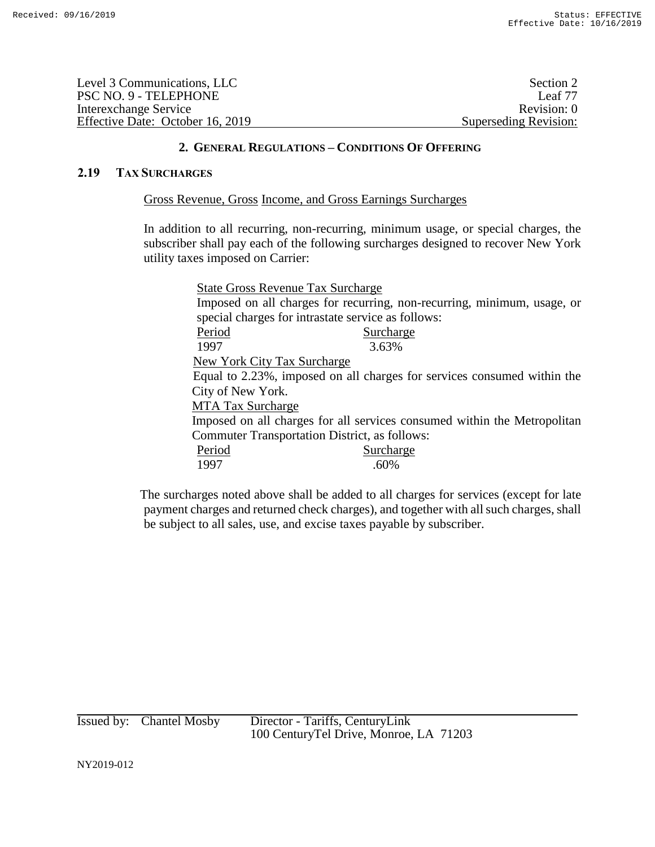| Level 3 Communications, LLC      | Section 2             |
|----------------------------------|-----------------------|
| PSC NO. 9 - TELEPHONE            | Leaf 77               |
| Interexchange Service            | Revision: 0           |
| Effective Date: October 16, 2019 | Superseding Revision: |

## **2.19 TAX SURCHARGES**

#### Gross Revenue, Gross Income, and Gross Earnings Surcharges

In addition to all recurring, non-recurring, minimum usage, or special charges, the subscriber shall pay each of the following surcharges designed to recover New York utility taxes imposed on Carrier:

| <b>State Gross Revenue Tax Surcharge</b>                                 |  |
|--------------------------------------------------------------------------|--|
| Imposed on all charges for recurring, non-recurring, minimum, usage, or  |  |
| special charges for intrastate service as follows:                       |  |
| Period<br>Surcharge                                                      |  |
| 1997<br>3.63%                                                            |  |
| <b>New York City Tax Surcharge</b>                                       |  |
| Equal to 2.23%, imposed on all charges for services consumed within the  |  |
| City of New York.                                                        |  |
| <b>MTA Tax Surcharge</b>                                                 |  |
| Imposed on all charges for all services consumed within the Metropolitan |  |
| <b>Commuter Transportation District, as follows:</b>                     |  |
| Period<br>Surcharge                                                      |  |
| .60%<br>1997                                                             |  |

The surcharges noted above shall be added to all charges for services (except for late payment charges and returned check charges), and together with all such charges, shall be subject to all sales, use, and excise taxes payable by subscriber.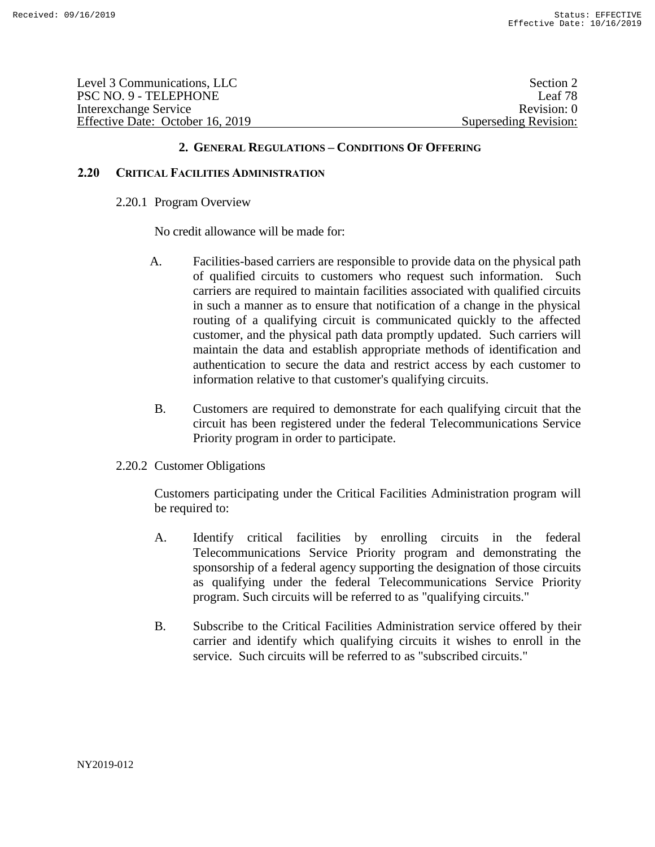| Level 3 Communications, LLC      | Section 2             |
|----------------------------------|-----------------------|
| PSC NO. 9 - TELEPHONE            | Leaf 78               |
| Interexchange Service            | Revision: 0           |
| Effective Date: October 16, 2019 | Superseding Revision: |

#### **2.20 CRITICAL FACILITIES ADMINISTRATION**

#### 2.20.1 Program Overview

No credit allowance will be made for:

- A. Facilities-based carriers are responsible to provide data on the physical path of qualified circuits to customers who request such information. Such carriers are required to maintain facilities associated with qualified circuits in such a manner as to ensure that notification of a change in the physical routing of a qualifying circuit is communicated quickly to the affected customer, and the physical path data promptly updated. Such carriers will maintain the data and establish appropriate methods of identification and authentication to secure the data and restrict access by each customer to information relative to that customer's qualifying circuits.
- B. Customers are required to demonstrate for each qualifying circuit that the circuit has been registered under the federal Telecommunications Service Priority program in order to participate.
- 2.20.2 Customer Obligations

Customers participating under the Critical Facilities Administration program will be required to:

- A. Identify critical facilities by enrolling circuits in the federal Telecommunications Service Priority program and demonstrating the sponsorship of a federal agency supporting the designation of those circuits as qualifying under the federal Telecommunications Service Priority program. Such circuits will be referred to as "qualifying circuits."
- B. Subscribe to the Critical Facilities Administration service offered by their carrier and identify which qualifying circuits it wishes to enroll in the service. Such circuits will be referred to as "subscribed circuits."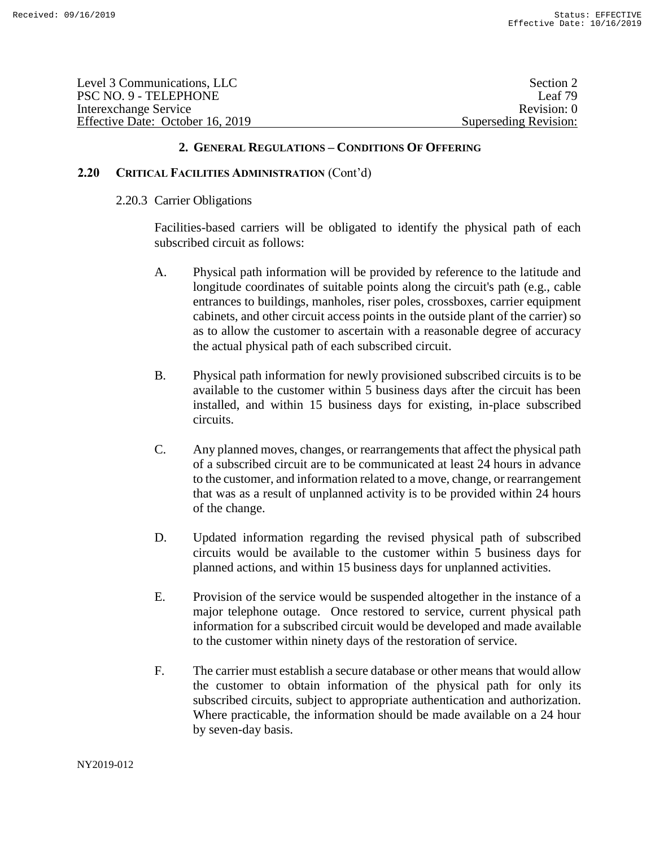| Level 3 Communications, LLC      | Section 2                    |
|----------------------------------|------------------------------|
| PSC NO. 9 - TELEPHONE            | Leaf $79$                    |
| Interexchange Service            | Revision: 0                  |
| Effective Date: October 16, 2019 | <b>Superseding Revision:</b> |

## **2.20 CRITICAL FACILITIES ADMINISTRATION** (Cont'd)

#### 2.20.3 Carrier Obligations

Facilities-based carriers will be obligated to identify the physical path of each subscribed circuit as follows:

- A. Physical path information will be provided by reference to the latitude and longitude coordinates of suitable points along the circuit's path (e.g., cable entrances to buildings, manholes, riser poles, crossboxes, carrier equipment cabinets, and other circuit access points in the outside plant of the carrier) so as to allow the customer to ascertain with a reasonable degree of accuracy the actual physical path of each subscribed circuit.
- B. Physical path information for newly provisioned subscribed circuits is to be available to the customer within 5 business days after the circuit has been installed, and within 15 business days for existing, in-place subscribed circuits.
- C. Any planned moves, changes, or rearrangements that affect the physical path of a subscribed circuit are to be communicated at least 24 hours in advance to the customer, and information related to a move, change, or rearrangement that was as a result of unplanned activity is to be provided within 24 hours of the change.
- D. Updated information regarding the revised physical path of subscribed circuits would be available to the customer within 5 business days for planned actions, and within 15 business days for unplanned activities.
- E. Provision of the service would be suspended altogether in the instance of a major telephone outage. Once restored to service, current physical path information for a subscribed circuit would be developed and made available to the customer within ninety days of the restoration of service.
- F. The carrier must establish a secure database or other means that would allow the customer to obtain information of the physical path for only its subscribed circuits, subject to appropriate authentication and authorization. Where practicable, the information should be made available on a 24 hour by seven-day basis.